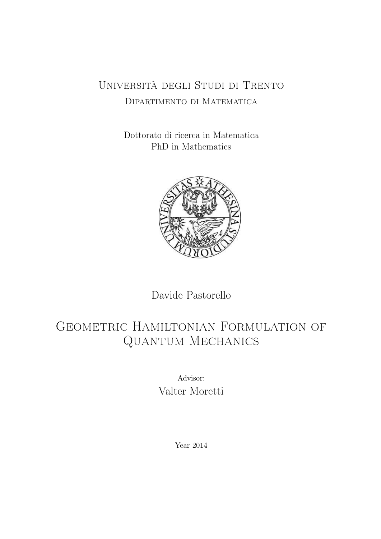### Università degli Studi di Trento Dipartimento di Matematica

Dottorato di ricerca in Matematica PhD in Mathematics



Davide Pastorello

### GEOMETRIC HAMILTONIAN FORMULATION OF Quantum Mechanics

Advisor: Valter Moretti

Year 2014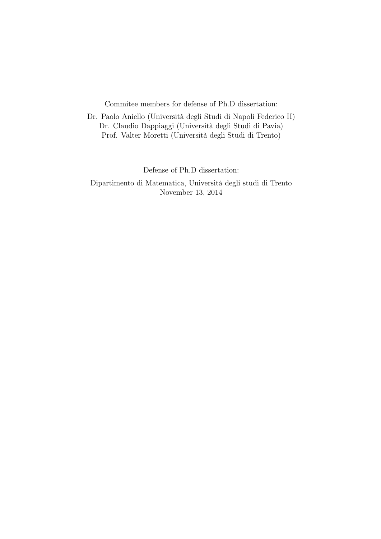Commitee members for defense of Ph.D dissertation:

Dr. Paolo Aniello (Università degli Studi di Napoli Federico II) Dr. Claudio Dappiaggi (Università degli Studi di Pavia) Prof. Valter Moretti (Università degli Studi di Trento)

Defense of Ph.D dissertation:

Dipartimento di Matematica, Università degli studi di Trento November 13, 2014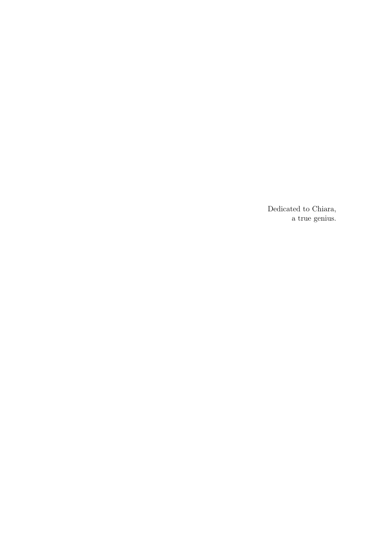Dedicated to Chiara, a true genius.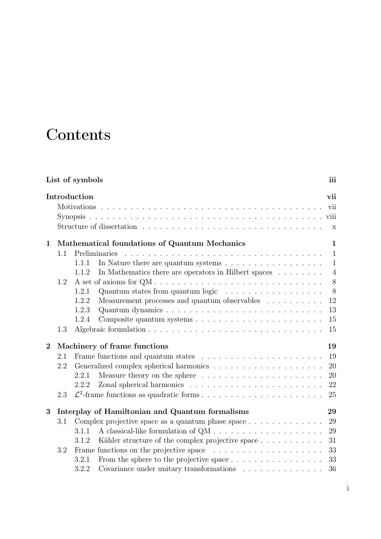# **Contents**

| List of symbols<br>iii |              |                                                                                        |                |  |  |
|------------------------|--------------|----------------------------------------------------------------------------------------|----------------|--|--|
|                        | Introduction |                                                                                        |                |  |  |
| $\mathbf{1}$           |              | Mathematical foundations of Quantum Mechanics                                          | $\mathbf{1}$   |  |  |
|                        | 1.1          | Preliminaries                                                                          | 1              |  |  |
|                        |              | In Nature there are quantum systems $\dots \dots \dots \dots \dots \dots$<br>1.1.1     | $\mathbf{1}$   |  |  |
|                        |              | In Mathematics there are operators in Hilbert spaces<br>1.1.2                          | $\overline{4}$ |  |  |
|                        | 1.2          |                                                                                        | 8              |  |  |
|                        |              | Quantum states from quantum logic<br>1.2.1                                             | 8              |  |  |
|                        |              | Measurement processes and quantum observables $\ldots \ldots \ldots$<br>1.2.2          | 12             |  |  |
|                        |              | 1.2.3                                                                                  | 13             |  |  |
|                        |              | 1.2.4                                                                                  | 15             |  |  |
|                        | 1.3          |                                                                                        | 15             |  |  |
| $\overline{2}$         |              | Machinery of frame functions                                                           | 19             |  |  |
|                        | 2.1          |                                                                                        | 19             |  |  |
|                        | 2.2          |                                                                                        | 20             |  |  |
|                        |              | 2.2.1                                                                                  | 20             |  |  |
|                        |              | 2.2.2                                                                                  | 22             |  |  |
|                        | 2.3          |                                                                                        | 25             |  |  |
| 3                      |              | Interplay of Hamiltonian and Quantum formalisms                                        | 29             |  |  |
|                        | 3.1          | Complex projective space as a quantum phase space $\dots \dots \dots \dots$            | 29             |  |  |
|                        |              | 3.1.1                                                                                  | 29             |  |  |
|                        |              | Kähler structure of the complex projective space<br>3.1.2                              | 31             |  |  |
|                        | 3.2          | Frame functions on the projective space $\ldots \ldots \ldots \ldots \ldots \ldots$    | 33             |  |  |
|                        |              | 3.2.1                                                                                  | 33             |  |  |
|                        |              | 3.2.2<br>Covariance under unitary transformations $\ldots \ldots \ldots \ldots \ldots$ | 36             |  |  |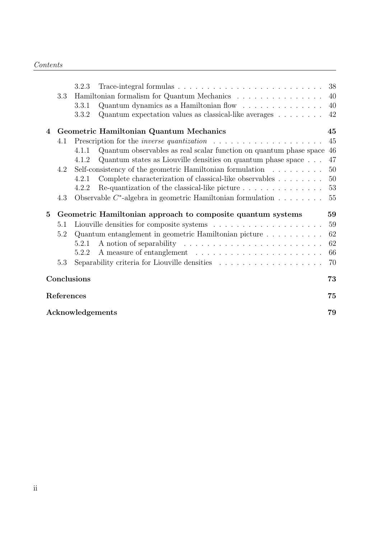|                        |     | 3.2.3 |                                                                                              |    |  |  |  |
|------------------------|-----|-------|----------------------------------------------------------------------------------------------|----|--|--|--|
|                        | 3.3 |       | Hamiltonian formalism for Quantum Mechanics                                                  | 40 |  |  |  |
|                        |     | 3.3.1 | Quantum dynamics as a Hamiltonian flow $\dots \dots \dots \dots$                             | 40 |  |  |  |
|                        |     | 3.3.2 | Quantum expectation values as classical-like averages $\dots \dots$                          | 42 |  |  |  |
| 4                      |     |       | Geometric Hamiltonian Quantum Mechanics                                                      | 45 |  |  |  |
|                        | 4.1 |       | Prescription for the <i>inverse quantization</i> $\ldots \ldots \ldots \ldots \ldots \ldots$ | 45 |  |  |  |
|                        |     | 4.1.1 | Quantum observables as real scalar function on quantum phase space 46                        |    |  |  |  |
|                        |     | 4.1.2 | Quantum states as Liouville densities on quantum phase space                                 | 47 |  |  |  |
|                        | 4.2 |       | Self-consistency of the geometric Hamiltonian formulation $\dots \dots \dots$                | 50 |  |  |  |
|                        |     | 4.2.1 | Complete characterization of classical-like observables                                      | 50 |  |  |  |
|                        |     | 4.2.2 | Re-quantization of the classical-like picture $\ldots \ldots \ldots \ldots$                  | 53 |  |  |  |
|                        | 4.3 |       | Observable $C^*$ -algebra in geometric Hamiltonian formulation $\ldots \ldots \ldots 55$     |    |  |  |  |
| $5\overline{)}$        |     |       | Geometric Hamiltonian approach to composite quantum systems                                  | 59 |  |  |  |
|                        | 5.1 |       |                                                                                              | 59 |  |  |  |
|                        | 5.2 |       | Quantum entanglement in geometric Hamiltonian picture                                        | 62 |  |  |  |
|                        |     | 5.2.1 |                                                                                              | 62 |  |  |  |
|                        |     | 5.2.2 |                                                                                              | 66 |  |  |  |
|                        | 5.3 |       | Separability criteria for Liouville densities $\ldots \ldots \ldots \ldots \ldots$           | 70 |  |  |  |
| Conclusions<br>73      |     |       |                                                                                              |    |  |  |  |
| 75<br>References       |     |       |                                                                                              |    |  |  |  |
| Acknowledgements<br>79 |     |       |                                                                                              |    |  |  |  |
|                        |     |       |                                                                                              |    |  |  |  |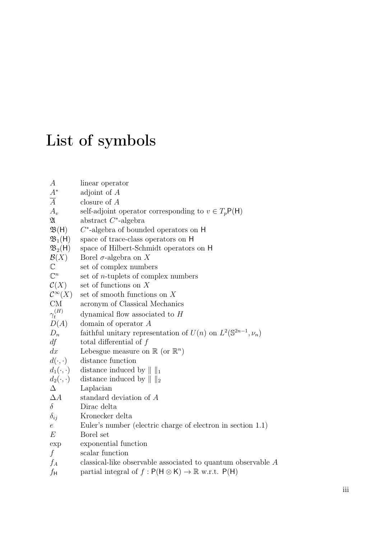# List of symbols

| $\boldsymbol{A}$           | linear operator                                                              |
|----------------------------|------------------------------------------------------------------------------|
| $A^\ast$                   | adjoint of $A$                                                               |
| $\overline{A}$             | closure of $A$                                                               |
| $A_v$                      | self-adjoint operator corresponding to $v \in T_p\mathsf{P}(\mathsf{H})$     |
| $\mathfrak A$              | abstract $C^*$ -algebra                                                      |
| $\mathfrak{B}(\mathsf{H})$ | $C^*$ -algebra of bounded operators on H                                     |
| $\mathfrak{B}_1(H)$        | space of trace-class operators on H                                          |
| $\mathfrak{B}_2(H)$        | space of Hilbert-Schmidt operators on H                                      |
| $\mathcal{B}(X)$           | Borel $\sigma$ -algebra on X                                                 |
| $\mathbb C$                | set of complex numbers                                                       |
| $\mathbb{C}^n$             | set of $n$ -tuplets of complex numbers                                       |
| $\mathcal{C}(X)$           | set of functions on X                                                        |
| $\mathcal{C}^{\infty}(X)$  | set of smooth functions on $X$                                               |
| CM                         | acronym of Classical Mechanics                                               |
| $\gamma_t^{(H)}$           | dynamical flow associated to $H$                                             |
| D(A)                       | domain of operator $A$                                                       |
| $D_n$                      | faithful unitary representation of $U(n)$ on $L^2(\mathbb{S}^{2n-1}, \nu_n)$ |
| df                         | total differential of $f$                                                    |
| dx                         | Lebesgue measure on $\mathbb{R}$ (or $\mathbb{R}^n$ )                        |
| $d(\cdot,\cdot)$           | distance function                                                            |
| $d_1(\cdot,\cdot)$         | distance induced by $\ \ _1$                                                 |
| $d_2(\cdot,\cdot)$         | distance induced by $\ \ _2$                                                 |
| $\Delta$                   | Laplacian                                                                    |
| $\Delta A$                 | standard deviation of A                                                      |
| $\delta$                   | Dirac delta                                                                  |
| $\delta_{ij}$              | Kronecker delta                                                              |
| $\boldsymbol{e}$           | Euler's number (electric charge of electron in section 1.1)                  |
| E                          | Borel set                                                                    |
| exp                        | exponential function                                                         |
| $\boldsymbol{f}$           | scalar function                                                              |
| $f_A$                      | classical-like observable associated to quantum observable $A$               |
| $f_{\mathsf{H}}$           | partial integral of $f: P(H \otimes K) \to \mathbb{R}$ w.r.t. $P(H)$         |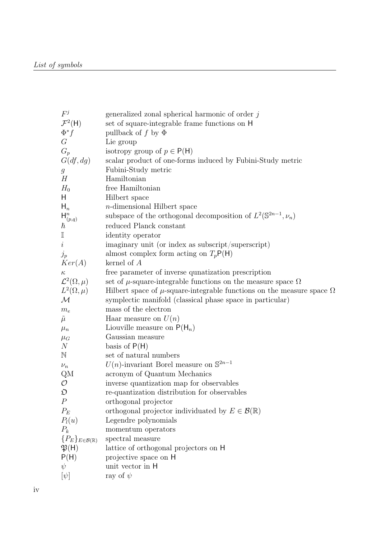| $F^j$                                 | generalized zonal spherical harmonic of order $j$                                 |
|---------------------------------------|-----------------------------------------------------------------------------------|
| $\mathcal{F}^2(H)$                    | set of square-integrable frame functions on H                                     |
| $\Phi^* f$                            | pullback of f by $\Phi$                                                           |
| G                                     | Lie group                                                                         |
| $G_p$                                 | isotropy group of $p \in P(H)$                                                    |
| G(df,dg)                              | scalar product of one-forms induced by Fubini-Study metric                        |
| $\mathfrak g$                         | Fubini-Study metric                                                               |
| H                                     | Hamiltonian                                                                       |
| $H_0$                                 | free Hamiltonian                                                                  |
| H                                     | Hilbert space                                                                     |
| $H_n$                                 | <i>n</i> -dimensional Hilbert space                                               |
| $\mathsf{H}^n_{(p,q)}$                | subspace of the orthogonal decomposition of $L^2(\mathbb{S}^{2n-1}, \nu_n)$       |
| $\hbar$                               | reduced Planck constant                                                           |
| $\mathbb I$                           | identity operator                                                                 |
| $\it i$                               | imaginary unit (or index as subscript/superscript)                                |
| $j_p$                                 | almost complex form acting on $T_pP(H)$                                           |
| Ker(A)                                | kernel of $A$                                                                     |
| $\kappa$                              | free parameter of inverse quinatization prescription                              |
| $\mathcal{L}^2(\Omega,\mu)$           | set of $\mu$ -square-integrable functions on the measure space $\Omega$           |
| $L^2(\Omega,\mu)$                     | Hilbert space of $\mu$ -square-integrable functions on the measure space $\Omega$ |
| $\mathcal M$                          | symplectic manifold (classical phase space in particular)                         |
| $m_{e}\,$                             | mass of the electron                                                              |
| $\tilde{\mu}$                         | Haar measure on $U(n)$                                                            |
| $\mu_n$                               | Liouville measure on $P(H_n)$                                                     |
| $\mu_G$                               | Gaussian measure                                                                  |
| N                                     | basis of $P(H)$                                                                   |
| $\mathbb N$                           | set of natural numbers                                                            |
| $\nu_n$                               | $U(n)$ -invariant Borel measure on $\mathbb{S}^{2n-1}$                            |
| QΜ                                    | acronym of Quantum Mechanics                                                      |
| $\mathcal{O}$                         | inverse quantization map for observables                                          |
| $\mathfrak{O}$                        | re-quantization distribution for observables                                      |
| $\boldsymbol{P}$                      | orthogonal projector                                                              |
| $P_E$                                 | orthogonal projector individuated by $E \in \mathcal{B}(\mathbb{R})$              |
| $P_l(u)$                              | Legendre polynomials                                                              |
| $P_k$                                 | momentum operators                                                                |
| ${P_E}_{E\in\mathcal{B}(\mathbb{R})}$ | spectral measure                                                                  |
| $\mathfrak{P}(\mathsf{H})$            | lattice of orthogonal projectors on H                                             |
| P(H)                                  | projective space on H                                                             |
| $\psi$                                | unit vector in H                                                                  |
| $[\psi]$                              | ray of $\psi$                                                                     |
|                                       |                                                                                   |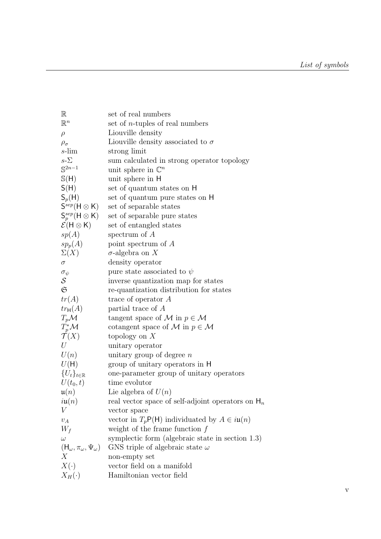| set of real numbers                                                            |
|--------------------------------------------------------------------------------|
| set of $n$ -tuples of real numbers                                             |
| Liouville density                                                              |
| Liouville density associated to $\sigma$                                       |
| strong limit                                                                   |
| sum calculated in strong operator topology                                     |
| unit sphere in $\mathbb{C}^n$                                                  |
| unit sphere in H                                                               |
| set of quantum states on H                                                     |
| set of quantum pure states on H                                                |
| set of separable states                                                        |
| set of separable pure states                                                   |
| set of entangled states                                                        |
| spectrum of $A$                                                                |
| point spectrum of $A$                                                          |
| $\sigma$ -algebra on X                                                         |
| density operator                                                               |
| pure state associated to $\psi$                                                |
| inverse quantization map for states                                            |
| re-quantization distribution for states                                        |
| trace of operator $A$                                                          |
| partial trace of A                                                             |
| tangent space of M in $p \in \mathcal{M}$                                      |
|                                                                                |
| cotangent space of M in $p \in \mathcal{M}$                                    |
| topology on $X$                                                                |
| unitary operator                                                               |
| unitary group of degree $n$                                                    |
| group of unitary operators in H                                                |
| one-parameter group of unitary operators                                       |
| time evolutor                                                                  |
| Lie algebra of $U(n)$                                                          |
| real vector space of self-adjoint operators on $H_n$                           |
| vector space                                                                   |
| vector in $T_p\mathsf{P}(\mathsf{H})$ individuated by $A \in i\mathfrak{u}(n)$ |
| weight of the frame function $f$                                               |
| symplectic form (algebraic state in section $1.3$ )                            |
| GNS triple of algebraic state $\omega$                                         |
| non-empty set                                                                  |
| vector field on a manifold                                                     |
| Hamiltonian vector field                                                       |
|                                                                                |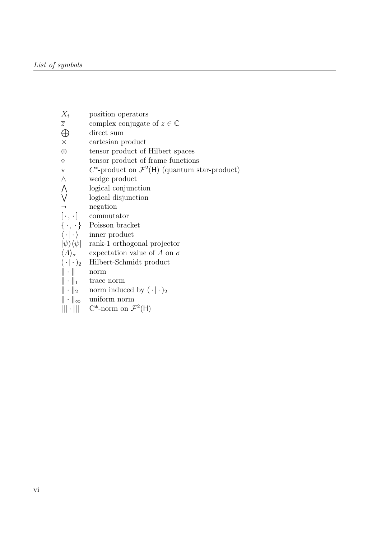| position operators                                                   |
|----------------------------------------------------------------------|
| complex conjugate of $z \in \mathbb{C}$                              |
| direct sum                                                           |
| cartesian product                                                    |
| tensor product of Hilbert spaces                                     |
| tensor product of frame functions                                    |
| $C^*$ -product on $\mathcal{F}^2(\mathsf{H})$ (quantum star-product) |
| wedge product                                                        |
| logical conjunction                                                  |
| logical disjunction                                                  |
| negation                                                             |
| commutator                                                           |
| Poisson bracket                                                      |
| inner product                                                        |
| rank-1 orthogonal projector                                          |
| expectation value of A on $\sigma$                                   |
| Hilbert-Schmidt product                                              |
| norm                                                                 |
| trace norm                                                           |
| norm induced by $(\cdot   \cdot)_2$                                  |
| $\ \cdot\ _{\infty}$<br>uniform norm                                 |
| $    \cdot    $<br>$C^*$ -norm on $\mathcal{F}^2(H)$                 |
|                                                                      |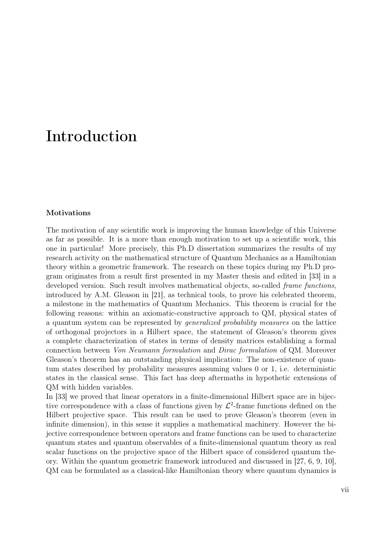### Introduction

#### Motivations

The motivation of any scientific work is improving the human knowledge of this Universe as far as possible. It is a more than enough motivation to set up a scientific work, this one in particular! More precisely, this Ph.D dissertation summarizes the results of my research activity on the mathematical structure of Quantum Mechanics as a Hamiltonian theory within a geometric framework. The research on these topics during my Ph.D program originates from a result first presented in my Master thesis and edited in [33] in a developed version. Such result involves mathematical objects, so-called *frame functions*, introduced by A.M. Gleason in [21], as technical tools, to prove his celebrated theorem, a milestone in the mathematics of Quantum Mechanics. This theorem is crucial for the following reasons: within an axiomatic-constructive approach to QM, physical states of a quantum system can be represented by generalized probability measures on the lattice of orthogonal projectors in a Hilbert space, the statement of Gleason's theorem gives a complete characterization of states in terms of density matrices establishing a formal connection between Von Neumann formulation and Dirac formulation of QM. Moreover Gleason's theorem has an outstanding physical implication: The non-existence of quantum states described by probability measures assuming values 0 or 1, i.e. deterministic states in the classical sense. This fact has deep aftermaths in hypothetic extensions of QM with hidden variables.

In [33] we proved that linear operators in a finite-dimensional Hilbert space are in bijective correspondence with a class of functions given by  $\mathcal{L}^2$ -frame functions defined on the Hilbert projective space. This result can be used to prove Gleason's theorem (even in infinite dimension), in this sense it supplies a mathematical machinery. However the bijective correspondence between operators and frame functions can be used to characterize quantum states and quantum observables of a finite-dimensional quantum theory as real scalar functions on the projective space of the Hilbert space of considered quantum theory. Within the quantum geometric framework introduced and discussed in [27, 6, 9, 10], QM can be formulated as a classical-like Hamiltonian theory where quantum dynamics is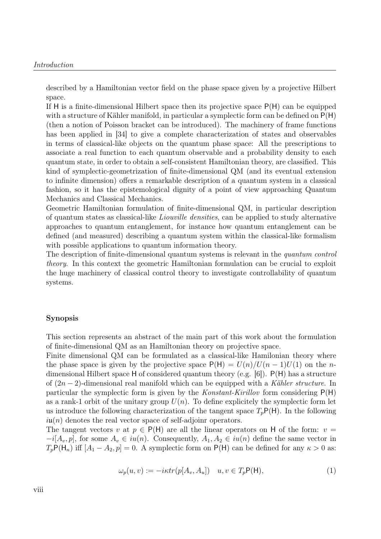described by a Hamiltonian vector field on the phase space given by a projective Hilbert space.

If H is a finite-dimensional Hilbert space then its projective space P(H) can be equipped with a structure of Kähler manifold, in particular a symplectic form can be defined on  $P(H)$ (then a notion of Poisson bracket can be introduced). The machinery of frame functions has been applied in [34] to give a complete characterization of states and observables in terms of classical-like objects on the quantum phase space: All the prescriptions to associate a real function to each quantum observable and a probability density to each quantum state, in order to obtain a self-consistent Hamiltonian theory, are classified. This kind of symplectic-geometrization of finite-dimensional QM (and its eventual extension to infinite dimension) offers a remarkable description of a quantum system in a classical fashion, so it has the epistemological dignity of a point of view approaching Quantum Mechanics and Classical Mechanics.

Geometric Hamiltonian formulation of finite-dimensional QM, in particular description of quantum states as classical-like Liouville densities, can be applied to study alternative approaches to quantum entanglement, for instance how quantum entanglement can be defined (and measured) describing a quantum system within the classical-like formalism with possible applications to quantum information theory.

The description of finite-dimensional quantum systems is relevant in the *quantum control* theory. In this context the geometric Hamiltonian formulation can be crucial to exploit the huge machinery of classical control theory to investigate controllability of quantum systems.

#### Synopsis

This section represents an abstract of the main part of this work about the formulation of finite-dimensional QM as an Hamiltonian theory on projective space.

Finite dimensional QM can be formulated as a classical-like Hamilonian theory where the phase space is given by the projective space  $P(H) = U(n)/U(n-1)U(1)$  on the ndimensional Hilbert space H of considered quantum theory (e.g. [6]). P(H) has a structure of  $(2n-2)$ -dimensional real manifold which can be equipped with a Kähler structure. In particular the symplectic form is given by the Konstant-Kirillov form considering  $P(H)$ as a rank-1 orbit of the unitary group  $U(n)$ . To define explicitely the symplectic form let us introduce the following characterization of the tangent space  $T_pP(H)$ . In the following  $i\mathfrak{u}(n)$  denotes the real vector space of self-adjoinr operators.

The tangent vectors v at  $p \in P(H)$  are all the linear operators on H of the form:  $v =$  $-i[A_v, p]$ , for some  $A_v \in iu(n)$ . Consequently,  $A_1, A_2 \in iu(n)$  define the same vector in  $T_pP(H_n)$  iff  $[A_1 - A_2, p] = 0$ . A symplectic form on P(H) can be defined for any  $\kappa > 0$  as:

$$
\omega_p(u, v) := -i\kappa \operatorname{tr}(p[A_v, A_u]) \quad u, v \in T_p \mathsf{P}(\mathsf{H}), \tag{1}
$$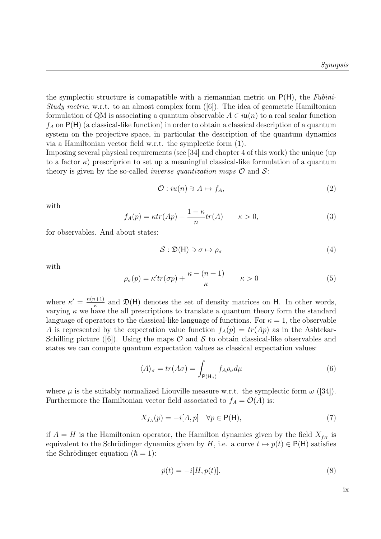the symplectic structure is comapatible with a riemannian metric on  $P(H)$ , the Fubini-Study metric, w.r.t. to an almost complex form  $([6])$ . The idea of geometric Hamiltonian formulation of QM is associating a quantum observable  $A \in i\mathfrak{u}(n)$  to a real scalar function  $f_A$  on  $P(H)$  (a classical-like function) in order to obtain a classical description of a quantum system on the projective space, in particular the description of the quantum dynamics via a Hamiltonian vector field w.r.t. the symplectic form (1).

Imposing several physical requirements (see [34] and chapter 4 of this work) the unique (up to a factor  $\kappa$ ) prescriprion to set up a meaningful classical-like formulation of a quantum theory is given by the so-called *inverse quantization maps*  $\mathcal O$  and  $\mathcal S$ :

$$
\mathcal{O}: iu(n) \ni A \mapsto f_A,\tag{2}
$$

with

$$
f_A(p) = \kappa tr(Ap) + \frac{1 - \kappa}{n} tr(A) \qquad \kappa > 0,
$$
\n(3)

for observables. And about states:

$$
S: \mathfrak{D}(\mathsf{H}) \ni \sigma \mapsto \rho_{\sigma} \tag{4}
$$

with

$$
\rho_{\sigma}(p) = \kappa' tr(\sigma p) + \frac{\kappa - (n+1)}{\kappa} \qquad \kappa > 0 \tag{5}
$$

where  $\kappa' = \frac{n(n+1)}{\kappa}$  $\frac{n+1}{\kappa}$  and  $\mathfrak{D}(\mathsf{H})$  denotes the set of density matrices on H. In other words, varying  $\kappa$  we have the all prescriptions to translate a quantum theory form the standard language of operators to the classical-like language of functions. For  $\kappa = 1$ , the observable A is represented by the expectation value function  $f_A(p) = tr(Ap)$  as in the Ashtekar-Schilling picture ([6]). Using the maps  $\mathcal O$  and  $\mathcal S$  to obtain classical-like observables and states we can compute quantum expectation values as classical expectation values:

$$
\langle A \rangle_{\sigma} = tr(A\sigma) = \int_{P(\mathsf{H}_n)} f_A \rho_{\sigma} d\mu \tag{6}
$$

where  $\mu$  is the suitably normalized Liouville measure w.r.t. the symplectic form  $\omega$  ([34]). Furthermore the Hamiltonian vector field associated to  $f_A = \mathcal{O}(A)$  is:

$$
X_{f_A}(p) = -i[A, p] \quad \forall p \in \mathsf{P}(\mathsf{H}),\tag{7}
$$

if  $A = H$  is the Hamiltonian operator, the Hamilton dynamics given by the field  $X_{f_H}$  is equivalent to the Schrödinger dynamics given by H, i.e. a curve  $t \mapsto p(t) \in P(H)$  satisfies the Schrödinger equation  $(\hbar = 1)$ :

$$
\dot{p}(t) = -i[H, p(t)],\tag{8}
$$

ix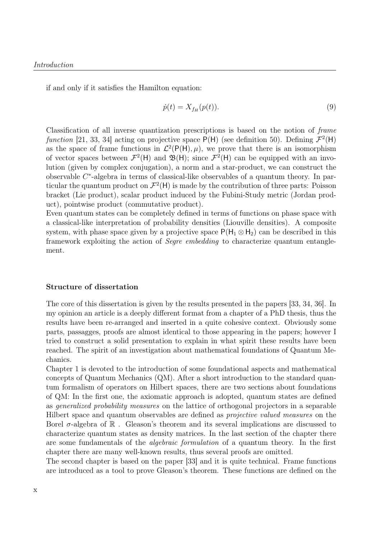if and only if it satisfies the Hamilton equation:

$$
\dot{p}(t) = X_{f_H}(p(t)).\tag{9}
$$

Classification of all inverse quantization prescriptions is based on the notion of frame function [21, 33, 34] acting on projective space  $P(H)$  (see definition 50). Defining  $\mathcal{F}^2(H)$ as the space of frame functions in  $\mathcal{L}^2(\mathsf{P}(\mathsf{H}), \mu)$ , we prove that there is an isomorphism of vector spaces between  $\mathcal{F}^2(\mathsf{H})$  and  $\mathfrak{B}(\mathsf{H})$ ; since  $\mathcal{F}^2(\mathsf{H})$  can be equipped with an involution (given by complex conjugation), a norm and a star-product, we can construct the observable C ∗ -algebra in terms of classical-like observables of a quantum theory. In particular the quantum product on  $\mathcal{F}^2(\mathsf{H})$  is made by the contribution of three parts: Poisson bracket (Lie product), scalar product induced by the Fubini-Study metric (Jordan product), pointwise product (commutative product).

Even quantum states can be completely defined in terms of functions on phase space with a classical-like interpretation of probability densities (Liouville densities). A composite system, with phase space given by a projective space  $P(H_1 \otimes H_2)$  can be described in this framework exploiting the action of Segre embedding to characterize quantum entanglement.

#### Structure of dissertation

The core of this dissertation is given by the results presented in the papers [33, 34, 36]. In my opinion an article is a deeply different format from a chapter of a PhD thesis, thus the results have been re-arranged and inserted in a quite cohesive context. Obviously some parts, passagges, proofs are almost identical to those appearing in the papers; however I tried to construct a solid presentation to explain in what spirit these results have been reached. The spirit of an investigation about mathematical foundations of Quantum Mechanics.

Chapter 1 is devoted to the introduction of some foundational aspects and mathematical concepts of Quantum Mechanics (QM). After a short introduction to the standard quantum formalism of operators on Hilbert spaces, there are two sections about foundations of QM: In the first one, the axiomatic approach is adopted, quantum states are defined as generalized probability measures on the lattice of orthogonal projectors in a separable Hilbert space and quantum observables are defined as projective valued measures on the Borel  $\sigma$ -algebra of  $\mathbb R$ . Gleason's theorem and its several implications are discussed to characterize quantum states as density matrices. In the last section of the chapter there are some fundamentals of the algebraic formulation of a quantum theory. In the first chapter there are many well-known results, thus several proofs are omitted.

The second chapter is based on the paper [33] and it is quite technical. Frame functions are introduced as a tool to prove Gleason's theorem. These functions are defined on the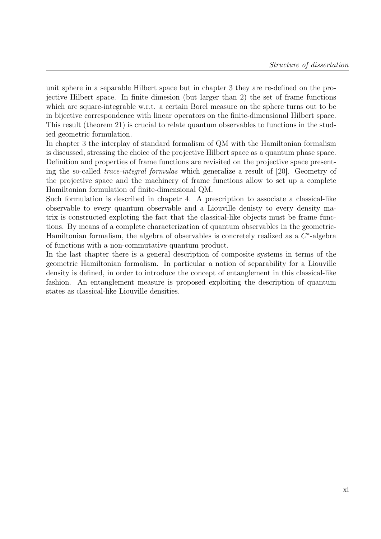unit sphere in a separable Hilbert space but in chapter 3 they are re-defined on the projective Hilbert space. In finite dimesion (but larger than 2) the set of frame functions which are square-integrable w.r.t. a certain Borel measure on the sphere turns out to be in bijective correspondence with linear operators on the finite-dimensional Hilbert space. This result (theorem 21) is crucial to relate quantum observables to functions in the studied geometric formulation.

In chapter 3 the interplay of standard formalism of QM with the Hamiltonian formalism is discussed, stressing the choice of the projective Hilbert space as a quantum phase space. Definition and properties of frame functions are revisited on the projective space presenting the so-called trace-integral formulas which generalize a result of [20]. Geometry of the projective space and the machinery of frame functions allow to set up a complete Hamiltonian formulation of finite-dimensional QM.

Such formulation is described in chapetr 4. A prescription to associate a classical-like observable to every quantum observable and a Liouville denisty to every density matrix is constructed exploting the fact that the classical-like objects must be frame functions. By means of a complete characterization of quantum observables in the geometric-Hamiltonian formalism, the algebra of observables is concretely realized as a  $C^*$ -algebra of functions with a non-commutative quantum product.

In the last chapter there is a general description of composite systems in terms of the geometric Hamiltonian formalism. In particular a notion of separability for a Liouville density is defined, in order to introduce the concept of entanglement in this classical-like fashion. An entanglement measure is proposed exploiting the description of quantum states as classical-like Liouville densities.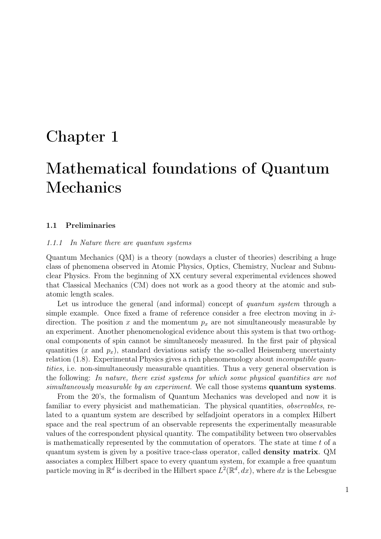### Chapter 1

## Mathematical foundations of Quantum Mechanics

#### 1.1 Preliminaries

#### 1.1.1 In Nature there are quantum systems

Quantum Mechanics (QM) is a theory (nowdays a cluster of theories) describing a huge class of phenomena observed in Atomic Physics, Optics, Chemistry, Nuclear and Subnuclear Physics. From the beginning of XX century several experimental evidences showed that Classical Mechanics (CM) does not work as a good theory at the atomic and subatomic length scales.

Let us introduce the general (and informal) concept of *quantum system* through a simple example. Once fixed a frame of reference consider a free electron moving in  $\hat{x}$ direction. The position x and the momentum  $p_x$  are not simultaneously measurable by an experiment. Another phenomenological evidence about this system is that two orthogonal components of spin cannot be simultaneosly measured. In the first pair of physical quantities  $(x \text{ and } p_x)$ , standard deviations satisfy the so-called Heisemberg uncertainty relation (1.8). Experimental Physics gives a rich phenomenology about *incompatible quan*tities, i.e. non-simultaneously measurable quantities. Thus a very general observation is the following: In nature, there exist systems for which some physical quantities are not simultaneously measurable by an experiment. We call those systems **quantum systems**.

From the 20's, the formalism of Quantum Mechanics was developed and now it is familiar to every physicist and mathematician. The physical quantities, *observables*, related to a quantum system are described by selfadjoint operators in a complex Hilbert space and the real spectrum of an observable represents the experimentally measurable values of the correspondent physical quantity. The compatibility between two observables is mathematically represented by the commutation of operators. The state at time  $t$  of a quantum system is given by a positive trace-class operator, called density matrix. QM associates a complex Hilbert space to every quantum system, for example a free quantum particle moving in  $\mathbb{R}^d$  is decribed in the Hilbert space  $L^2(\mathbb{R}^d, dx)$ , where dx is the Lebesgue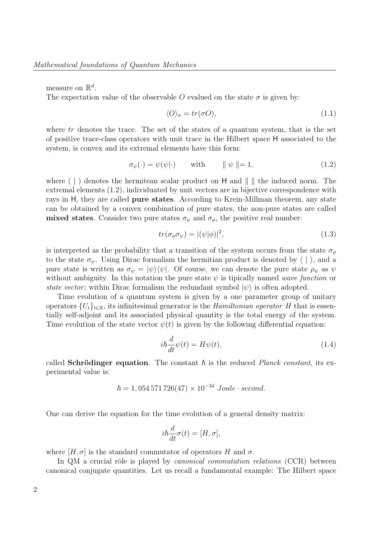measure on  $\mathbb{R}^d$ .

The expectation value of the observable O evalued on the state  $\sigma$  is given by:

$$
\langle O \rangle_{\sigma} = tr(\sigma O),\tag{1.1}
$$

where  $tr$  denotes the trace. The set of the states of a quantum system, that is the set of positive trace-class operators with unit trace in the Hilbert space H associated to the system, is convex and its extremal elements have this form:

$$
\sigma_{\psi}(\cdot) = \psi(\psi|\cdot) \quad \text{with} \quad \|\psi\| = 1,\tag{1.2}
$$

where  $( \cdot )$  denotes the hermitean scalar product on H and  $\| \cdot \|$  the induced norm. The extremal elements (1.2), individuated by unit vectors are in bijective correspondence with rays in H, they are called pure states. According to Krein-Millman theorem, any state can be obtained by a convex combination of pure states, the non-pure states are called mixed states. Consider two pure states  $\sigma_{\psi}$  and  $\sigma_{\phi}$ , the positive real number:

$$
tr(\sigma_{\phi}\sigma_{\psi}) = |(\psi|\phi)|^2, \qquad (1.3)
$$

is interpreted as the probability that a transition of the system occurs from the state  $\sigma_{\phi}$ to the state  $\sigma_{\psi}$ . Using Dirac formalism the hermitian product is denoted by  $\langle \cdot | \cdot \rangle$ , and a pure state is written as  $\sigma_{\psi} = |\psi\rangle\langle\psi|$ . Of course, we can denote the pure state  $\rho_{\psi}$  as  $\psi$ without ambiguity. In this notation the pure state  $\psi$  is tipically named wave function or state vector; within Dirac formalism the redundant symbol  $|\psi\rangle$  is often adopted.

Time evolution of a quantum system is given by a one parameter group of unitary operators  ${U_t}_{t \in \mathbb{R}}$ , its infinitesimal generator is the *Hamiltonian operator H* that is essentially self-adjoint and its associated physical quantity is the total energy of the system. Time evolution of the state vector  $\psi(t)$  is given by the following differential equation:

$$
i\hbar \frac{d}{dt}\psi(t) = H\psi(t),\tag{1.4}
$$

called **Schrödinger equation**. The constant  $\hbar$  is the reduced *Planck constant*, its experimental value is:

$$
\hbar = 1,054\,571\,726(47) \times 10^{-34} \text{ Joule} \cdot second.
$$

One can derive the equation for the time evolution of a general density matrix:

$$
i\hbar \frac{d}{dt}\sigma(t) = [H, \sigma],
$$

where  $[H, \sigma]$  is the standard commutator of operators H and  $\sigma$ .

In QM a crucial rôle is played by *canonical commutation relations* (CCR) between canonical conjugate quantities. Let us recall a fundamental example: The Hilbert space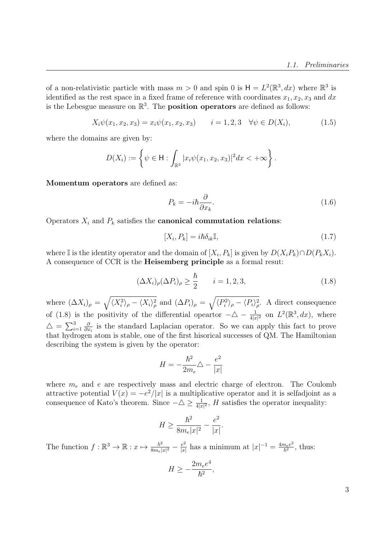of a non-relativistic particle with mass  $m > 0$  and spin 0 is  $H = L^2(\mathbb{R}^3, dx)$  where  $\mathbb{R}^3$  is identified as the rest space in a fixed frame of reference with coordinates  $x_1, x_2, x_3$  and dx is the Lebesgue measure on  $\mathbb{R}^3$ . The **position operators** are defined as follows:

$$
X_i \psi(x_1, x_2, x_3) = x_i \psi(x_1, x_2, x_3) \qquad i = 1, 2, 3 \quad \forall \psi \in D(X_i), \tag{1.5}
$$

where the domains are given by:

$$
D(X_i) := \left\{ \psi \in \mathsf{H} : \int_{\mathbb{R}^3} |x_i \psi(x_1, x_2, x_3)|^2 dx < +\infty \right\}.
$$

Momentum operators are defined as:

$$
P_k = -i\hbar \frac{\partial}{\partial x_k}.\tag{1.6}
$$

Operators  $X_i$  and  $P_k$  satisfies the **canonical commutation relations**:

$$
[X_i, P_k] = i\hbar \delta_{ik} \mathbb{I},\tag{1.7}
$$

where I is the identity operator and the domain of  $[X_i, P_k]$  is given by  $D(X_i P_k) \cap D(P_k X_i)$ . A consequence of CCR is the Heisemberg principle as a formal resut:

$$
(\Delta X_i)_{\rho} (\Delta P_i)_{\rho} \ge \frac{\hbar}{2} \qquad i = 1, 2, 3,
$$
\n(1.8)

where  $(\Delta X_i)_{\rho} = \sqrt{\langle X_i^2 \rangle_{\rho} - \langle X_i \rangle_{\rho}^2}$  and  $(\Delta P_i)_{\rho} = \sqrt{\langle P_i^2 \rangle_{\rho} - \langle P_i \rangle_{\rho}^2}$ . A direct consequence of (1.8) is the positivity of the differential opeartor  $-\Delta - \frac{1}{4|x|^2}$  on  $L^2(\mathbb{R}^3, dx)$ , where  $\triangle = \sum_{i=1}^{3}$ ∂  $\frac{\partial}{\partial x_i}$  is the standard Laplacian operator. So we can apply this fact to prove that hydrogen atom is stable, one of the first hisorical successes of QM. The Hamiltonian describing the system is given by the operator:

$$
H = -\frac{\hbar^2}{2m_e}\triangle - \frac{e^2}{|x|}
$$

where  $m_e$  and e are respectively mass and electric charge of electron. The Coulomb attractive potential  $V(x) = -e^2/|x|$  is a multiplicative operator and it is selfadjoint as a consequence of Kato's theorem. Since  $-\Delta \geq \frac{1}{4|x|^2}$ , H satisfies the operator inequality:

$$
H \ge \frac{\hbar^2}{8m_e|x|^2} - \frac{e^2}{|x|}.
$$

The function  $f : \mathbb{R}^3 \to \mathbb{R} : x \mapsto \frac{\hbar^2}{8m}$  $\frac{\hbar^2}{8m_e|x|^2} - \frac{e^2}{|x|}$  $\frac{e^2}{|x|}$  has a minimum at  $|x|^{-1} = \frac{4m_e e^2}{\hbar^2}$  $rac{n_e e^2}{\hbar^2}$ , thus:

$$
H \ge -\frac{2m_e e^4}{\hbar^2},
$$

3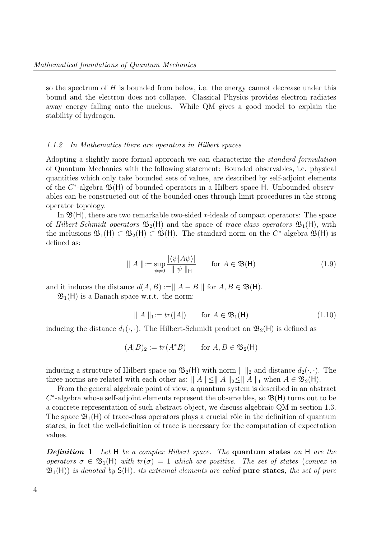so the spectrum of  $H$  is bounded from below, i.e. the energy cannot decrease under this bound and the electron does not collapse. Classical Physics provides electron radiates away energy falling onto the nucleus. While QM gives a good model to explain the stability of hydrogen.

#### 1.1.2 In Mathematics there are operators in Hilbert spaces

Adopting a slightly more formal approach we can characterize the standard formulation of Quantum Mechanics with the following statement: Bounded observables, i.e. physical quantities which only take bounded sets of values, are described by self-adjoint elements of the  $C^*$ -algebra  $\mathfrak{B}(\mathsf{H})$  of bounded operators in a Hilbert space H. Unbounded observables can be constructed out of the bounded ones through limit procedures in the strong operator topology.

In  $\mathfrak{B}(H)$ , there are two remarkable two-sided  $*$ -ideals of compact operators: The space of Hilbert-Schmidt operators  $\mathfrak{B}_2(H)$  and the space of trace-class operators  $\mathfrak{B}_1(H)$ , with the inclusions  $\mathfrak{B}_1(H) \subset \mathfrak{B}_2(H) \subset \mathfrak{B}(H)$ . The standard norm on the C<sup>\*</sup>-algebra  $\mathfrak{B}(H)$  is defined as:

$$
\| A \| := \sup_{\psi \neq 0} \frac{|\langle \psi | A \psi \rangle|}{\| \psi \|_{\mathsf{H}}} \qquad \text{for } A \in \mathfrak{B}(\mathsf{H}) \tag{1.9}
$$

and it induces the distance  $d(A, B) := || A - B ||$  for  $A, B \in \mathfrak{B}(\mathsf{H})$ .

 $\mathfrak{B}_1(H)$  is a Banach space w.r.t. the norm:

$$
\| A \|_{1} := tr(|A|) \qquad \text{for } A \in \mathfrak{B}_1(\mathsf{H}) \tag{1.10}
$$

inducing the distance  $d_1(\cdot, \cdot)$ . The Hilbert-Schmidt product on  $\mathfrak{B}_2(H)$  is defined as

$$
(A|B)_2 := tr(A^*B) \qquad \text{for } A, B \in \mathfrak{B}_2(\mathsf{H})
$$

inducing a structure of Hilbert space on  $\mathfrak{B}_2(H)$  with norm  $\| \cdot \|_2$  and distance  $d_2(\cdot, \cdot)$ . The three norms are related with each other as:  $||A|| \le ||A||_2 \le ||A||_1$  when  $A \in \mathfrak{B}_2(H)$ .

From the general algebraic point of view, a quantum system is described in an abstract  $C^*$ -algebra whose self-adjoint elements represent the observables, so  $\mathfrak{B}(\mathsf{H})$  turns out to be a concrete representation of such abstract object, we discuss algebraic QM in section 1.3. The space  $\mathfrak{B}_1(H)$  of trace-class operators plays a crucial rôle in the definition of quantum states, in fact the well-definition of trace is necessary for the computation of expectation values.

**Definition 1** Let H be a complex Hilbert space. The **quantum states** on H are the operators  $\sigma \in \mathfrak{B}_1(H)$  with  $tr(\sigma) = 1$  which are positive. The set of states (convex in  $\mathfrak{B}_1(H)$ ) is denoted by  $S(H)$ , its extremal elements are called **pure states**, the set of pure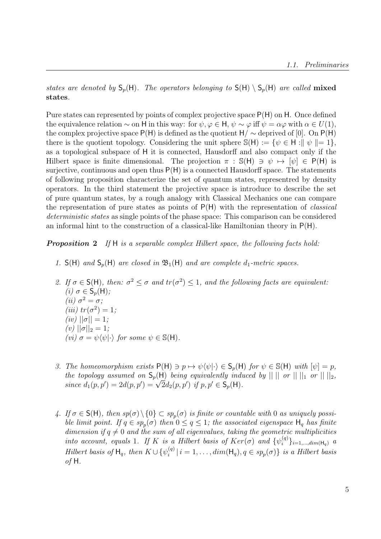states are denoted by  $S_p(H)$ . The operators belonging to  $S(H) \setminus S_p(H)$  are called mixed states.

Pure states can represented by points of complex projective space P(H) on H. Once defined the equivalence relation  $\sim$  on H in this way: for  $\psi, \varphi \in H$ ,  $\psi \sim \varphi$  iff  $\psi = \alpha \varphi$  with  $\alpha \in U(1)$ , the complex projective space  $P(H)$  is defined as the quotient  $H / \sim$  deprived of [0]. On  $P(H)$ there is the quotient topology. Considering the unit sphere  $\mathbb{S}(\mathsf{H}) := \{ \psi \in \mathsf{H} : \Vert \psi \Vert = 1 \},\$ as a topological subspace of H it is connected, Hausdorff and also compact only if the Hilbert space is finite dimensional. The projection  $\pi : S(H) \ni \psi \mapsto [\psi] \in P(H)$  is surjective, continuous and open thus  $P(H)$  is a connected Hausdorff space. The statements of following proposition characterize the set of quantum states, representred by density operators. In the third statement the projective space is introduce to describe the set of pure quantum states, by a rough analogy with Classical Mechanics one can compare the representation of pure states as points of  $P(H)$  with the representation of *classical* deterministic states as single points of the phase space: This comparison can be considered an informal hint to the construction of a classical-like Hamiltonian theory in P(H).

**Proposition 2** If H is a separable complex Hilbert space, the following facts hold:

- 1.  $S(H)$  and  $S_p(H)$  are closed in  $\mathfrak{B}_1(H)$  and are complete  $d_1$ -metric spaces.
- 2. If  $\sigma \in S(H)$ , then:  $\sigma^2 \leq \sigma$  and  $tr(\sigma^2) \leq 1$ , and the following facts are equivalent: (i)  $\sigma \in \mathsf{S}_p(\mathsf{H});$ (*ii*)  $\sigma^2 = \sigma$ ; (*iii*)  $tr(\sigma^2) = 1;$ (iv)  $||\sigma|| = 1;$ (v)  $||\sigma||_2 = 1$ ; (vi)  $\sigma = \psi \langle \psi | \cdot \rangle$  for some  $\psi \in \mathbb{S}(\mathsf{H})$ .
- 3. The homeomorphism exists  $P(H) \ni p \mapsto \psi(\psi|\cdot) \in S_p(H)$  for  $\psi \in S(H)$  with  $[\psi] = p$ , the topology assumed on  $S_p(H)$  being equivalently induced by  $|| ||$  or  $|| ||_1$  or  $|| ||_2$ , the topology assumed on  $S_p(H)$  being equivalently that<br>since  $d_1(p, p') = 2d(p, p') = \sqrt{2}d_2(p, p')$  if  $p, p' \in S_p(H)$ .
- 4. If  $\sigma \in S(H)$ , then  $sp(\sigma) \setminus \{0\} \subset sp_p(\sigma)$  is finite or countable with 0 as uniquely possible limit point. If  $q \in sp_p(\sigma)$  then  $0 \leq q \leq 1$ ; the associated eigenspace  $\mathsf{H}_q$  has finite dimension if  $q \neq 0$  and the sum of all eigenvalues, taking the geometric multiplicities into account, equals 1. If K is a Hilbert basis of  $Ker(\sigma)$  and  $\{\psi_i^{(q)}\}$  $\{q^{(q)}\}_{i=1,...,dim(\mathsf{H}_q)}$  a Hilbert basis of  $H_q$ , then  $K \cup \{\psi_i^{(q)}\}$  $\{S_i^{(q)} \mid i = 1, \ldots, dim(\mathsf{H}_q), q \in sp_p(\sigma)\}$  is a Hilbert basis of H.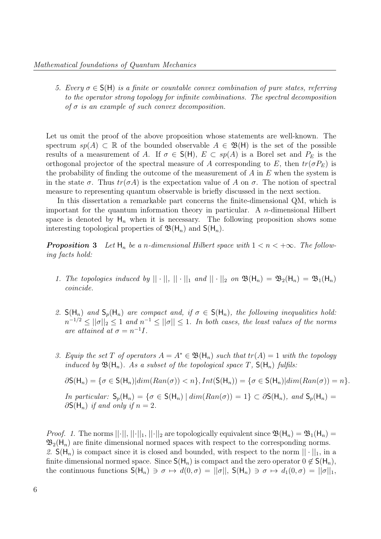5. Every  $\sigma \in S(H)$  is a finite or countable convex combination of pure states, referring to the operator strong topology for infinite combinations. The spectral decomposition of  $\sigma$  is an example of such convex decomposition.

Let us omit the proof of the above proposition whose statements are well-known. The spectrum  $sp(A) \subset \mathbb{R}$  of the bounded observable  $A \in \mathfrak{B}(\mathsf{H})$  is the set of the possible results of a measurement of A. If  $\sigma \in S(H)$ ,  $E \subset sp(A)$  is a Borel set and  $P_E$  is the orthogonal projector of the spectral measure of A corresponding to E, then  $tr(\sigma P_E)$  is the probability of finding the outcome of the measurement of  $A$  in  $E$  when the system is in the state  $\sigma$ . Thus  $tr(\sigma A)$  is the expectation value of A on  $\sigma$ . The notion of spectral measure to representing quantum observable is briefly discussed in the next section.

In this dissertation a remarkable part concerns the finite-dimensional QM, which is important for the quantum information theory in particular. A  $n$ -dimensional Hilbert space is denoted by  $H_n$  when it is necessary. The following proposition shows some interesting topological properties of  $\mathfrak{B}(\mathsf{H}_n)$  and  $\mathsf{S}(\mathsf{H}_n)$ .

**Proposition 3** Let  $H_n$  be a n-dimensional Hilbert space with  $1 < n < +\infty$ . The following facts hold:

- 1. The topologies induced by  $||\cdot||_1 ||\cdot||_1$  and  $||\cdot||_2$  on  $\mathfrak{B}(\mathsf{H}_n) = \mathfrak{B}_2(\mathsf{H}_n) = \mathfrak{B}_1(\mathsf{H}_n)$ coincide.
- 2.  $S(H_n)$  and  $S_p(H_n)$  are compact and, if  $\sigma \in S(H_n)$ , the following inequalities hold:  $n^{-1/2} \leq ||\sigma||_2 \leq 1$  and  $n^{-1} \leq ||\sigma|| \leq 1$ . In both cases, the least values of the norms are attained at  $\sigma = n^{-1}I$ .
- 3. Equip the set T of operators  $A = A^* \in \mathfrak{B}(\mathsf{H}_n)$  such that  $tr(A) = 1$  with the topology induced by  $\mathfrak{B}(\mathsf{H}_n)$ . As a subset of the topological space T,  $\mathsf{S}(\mathsf{H}_n)$  fulfils:

 $\partial S(H_n) = \{\sigma \in S(H_n)| dim(Ran(\sigma)) < n\}, Int(S(H_n)) = \{\sigma \in S(H_n)| dim(Ran(\sigma)) = n\}.$ In particular:  $S_p(H_n) = \{ \sigma \in S(H_n) \mid dim(Ran(\sigma)) = 1 \} \subset \partial S(H_n)$ , and  $S_p(H_n) =$  $\partial S(H_n)$  if and only if  $n=2$ .

*Proof.* 1. The norms  $||\cdot||$ ,  $||\cdot||_1$ ,  $||\cdot||_2$  are topologically equivalent since  $\mathfrak{B}(\mathsf{H}_n) = \mathfrak{B}_1(\mathsf{H}_n)$  $\mathfrak{B}_2(H_n)$  are finite dimensional normed spaces with respect to the corresponding norms. 2.  $S(H_n)$  is compact since it is closed and bounded, with respect to the norm  $|| \cdot ||_1$ , in a finite dimensional normed space. Since  $S(H_n)$  is compact and the zero operator  $0 \notin S(H_n)$ , the continuous functions  $S(H_n) \ni \sigma \mapsto d(0, \sigma) = ||\sigma||$ ,  $S(H_n) \ni \sigma \mapsto d_1(0, \sigma) = ||\sigma||_1$ ,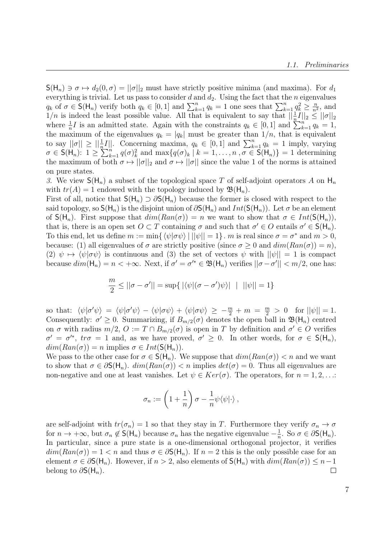$\mathsf{S}(\mathsf{H}_n) \ni \sigma \mapsto d_2(0, \sigma) = ||\sigma||_2$  must have strictly positive minima (and maxima). For  $d_1$ everything is trivial. Let us pass to consider  $d$  and  $d_2$ . Using the fact that the n eigenvalues  $q_k$  of  $\sigma \in \mathsf{S}(\mathsf{H}_n)$  verify both  $q_k \in [0,1]$  and  $\sum_{k=1}^n q_k = 1$  one sees that  $\sum_{k=1}^n q_k^2 \geq \frac{n}{n^2}$  $\frac{n}{n^2}$ , and  $1/n$  is indeed the least possible value. All that is equivalent to say that  $\left|\frac{1}{n}I\right|_{2} \leq ||\sigma||_{2}$ where  $\frac{1}{n}I$  is an admitted state. Again with the constraints  $q_k \in [0,1]$  and  $\sum_{k=1}^{n} q_k = 1$ , the maximum of the eigenvalues  $q_k = |q_k|$  must be greater than  $1/n$ , that is equivalent to say  $||\sigma|| \ge ||\frac{1}{n}I||$ . Concerning maxima,  $q_k \in [0,1]$  and  $\sum_{k=1}^n q_k = 1$  imply, varying  $\sigma \in \mathsf{S}(\mathsf{H}_n): 1 \geq \sum_{k=1}^n q(\sigma)_k^2$  and  $\max\{q(\sigma)_k \mid k=1,\ldots,n, \sigma \in \mathsf{S}(\mathsf{H}_n)\}=1$  determining the maximum of both  $\sigma \mapsto ||\sigma||_2$  and  $\sigma \mapsto ||\sigma||$  since the value 1 of the norms is attained on pure states.

3. We view  $\mathsf{S}(\mathsf{H}_n)$  a subset of the topological space T of self-adjoint operators A on  $\mathsf{H}_n$ with  $tr(A) = 1$  endowed with the topology induced by  $\mathfrak{B}(\mathsf{H}_n)$ .

First of all, notice that  $S(H_n) \supset \partial S(H_n)$  because the former is closed with respect to the said topology, so  $S(H_n)$  is the disjoint union of  $\partial S(H_n)$  and  $Int(S(H_n))$ . Let  $\sigma$  be an element of  $S(H_n)$ . First suppose that  $dim(Ran(\sigma)) = n$  we want to show that  $\sigma \in Int(S(H_n)),$ that is, there is an open set  $O \subset T$  containing  $\sigma$  and such that  $\sigma' \in O$  entails  $\sigma' \in S(H_n)$ . To this end, let us define  $m := \min\{\langle \psi | \sigma \psi \rangle | ||\psi|| = 1\}$ . m is real since  $\sigma = \sigma^*$  and  $m > 0$ , because: (1) all eigenvalues of  $\sigma$  are strictly positive (since  $\sigma \geq 0$  and  $dim(Ran(\sigma)) = n$ ), (2)  $\psi \mapsto \langle \psi | \sigma \psi \rangle$  is continuous and (3) the set of vectors  $\psi$  with  $||\psi|| = 1$  is compact because  $dim(\mathsf{H}_n) = n < +\infty$ . Next, if  $\sigma' = \sigma'^* \in \mathfrak{B}(\mathsf{H}_n)$  verifies  $||\sigma - \sigma'|| < m/2$ , one has:

$$
\frac{m}{2} \le ||\sigma - \sigma'|| = \sup\{|\langle \psi | (\sigma - \sigma')\psi \rangle| \mid ||\psi|| = 1\}
$$

so that:  $\langle \psi | \sigma' \psi \rangle = \langle \psi | \sigma' \psi \rangle - \langle \psi | \sigma \psi \rangle + \langle \psi | \sigma \psi \rangle \ge -\frac{m}{2} + m = \frac{m}{2} > 0$  for  $||\psi|| = 1$ . Consequently:  $\sigma' \geq 0$ . Summarizing, if  $B_{m/2}(\sigma)$  denotes the open ball in  $\mathfrak{B}(\mathsf{H}_n)$  centred on  $\sigma$  with radius  $m/2$ ,  $O := T \cap B_{m/2}(\sigma)$  is open in T by definition and  $\sigma' \in O$  verifies  $\sigma' = \sigma'^*$ ,  $tr\sigma = 1$  and, as we have proved,  $\sigma' \geq 0$ . In other words, for  $\sigma \in S(H_n)$ ,  $dim(Ran(\sigma)) = n$  implies  $\sigma \in Int(\mathsf{S}(\mathsf{H}_n)).$ 

We pass to the other case for  $\sigma \in S(H_n)$ . We suppose that  $dim(Ran(\sigma)) < n$  and we want to show that  $\sigma \in \partial S(H_n)$ .  $dim(Ran(\sigma)) < n$  implies  $det(\sigma) = 0$ . Thus all eigenvalues are non-negative and one at least vanishes. Let  $\psi \in Ker(\sigma)$ . The operators, for  $n = 1, 2, \ldots$ :

$$
\sigma_n := \left(1 + \frac{1}{n}\right)\sigma - \frac{1}{n}\psi\langle\psi|\cdot\rangle,
$$

are self-adjoint with  $tr(\sigma_n) = 1$  so that they stay in T. Furthermore they verify  $\sigma_n \to \sigma$ for  $n \to +\infty$ , but  $\sigma_n \notin S(H_n)$  because  $\sigma_n$  has the negative eigenvalue  $-\frac{1}{n}$  $\frac{1}{n}$ . So  $\sigma \in \partial S(H_n)$ . In particular, since a pure state is a one-dimensional orthogonal projector, it verifies  $dim(Ran(\sigma)) = 1 < n$  and thus  $\sigma \in \partial S(H_n)$ . If  $n = 2$  this is the only possible case for an element  $\sigma \in \partial S(H_n)$ . However, if  $n > 2$ , also elements of  $S(H_n)$  with  $dim(Ran(\sigma)) \leq n-1$ belong to  $\partial S(H_n)$ .  $\Box$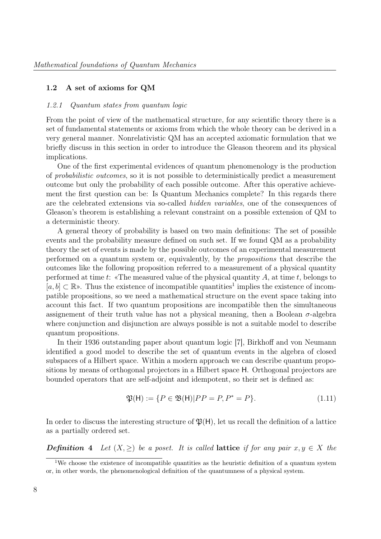#### 1.2 A set of axioms for QM

#### 1.2.1 Quantum states from quantum logic

From the point of view of the mathematical structure, for any scientific theory there is a set of fundamental statements or axioms from which the whole theory can be derived in a very general manner. Nonrelativistic QM has an accepted axiomatic formulation that we briefly discuss in this section in order to introduce the Gleason theorem and its physical implications.

One of the first experimental evidences of quantum phenomenology is the production of probabilistic outcomes, so it is not possible to deterministically predict a measurement outcome but only the probability of each possible outcome. After this operative achievement the first question can be: Is Quantum Mechanics complete? In this regards there are the celebrated extensions via so-called hidden variables, one of the consequences of Gleason's theorem is establishing a relevant constraint on a possible extension of QM to a deterministic theory.

A general theory of probability is based on two main definitions: The set of possible events and the probability measure defined on such set. If we found QM as a probability theory the set of events is made by the possible outcomes of an experimental measurement performed on a quantum system or, equivalently, by the propositions that describe the outcomes like the following proposition referred to a measurement of a physical quantity performed at time t: «The measured value of the physical quantity A, at time t, belongs to  $[a, b] \subset \mathbb{R}$ ». Thus the existence of incompatible quantities<sup>1</sup> implies the existence of incompatible propositions, so we need a mathematical structure on the event space taking into account this fact. If two quantum propositions are incompatible then the simultaneous assignement of their truth value has not a physical meaning, then a Boolean  $\sigma$ -algebra where conjunction and disjunction are always possible is not a suitable model to describe quantum propositions.

In their 1936 outstanding paper about quantum logic [7], Birkhoff and von Neumann identified a good model to describe the set of quantum events in the algebra of closed subspaces of a Hilbert space. Within a modern approach we can describe quantum propositions by means of orthogonal projectors in a Hilbert space H. Orthogonal projectors are bounded operators that are self-adjoint and idempotent, so their set is defined as:

$$
\mathfrak{P}(\mathsf{H}) := \{ P \in \mathfrak{B}(\mathsf{H}) | P P = P, P^* = P \}. \tag{1.11}
$$

In order to discuss the interesting structure of  $\mathfrak{P}(\mathsf{H})$ , let us recall the definition of a lattice as a partially ordered set.

**Definition** 4 Let  $(X, \geq)$  be a poset. It is called **lattice** if for any pair  $x, y \in X$  the

<sup>&</sup>lt;sup>1</sup>We choose the existence of incompatible quantities as the heuristic definition of a quantum system or, in other words, the phenomenological definition of the quantumness of a physical system.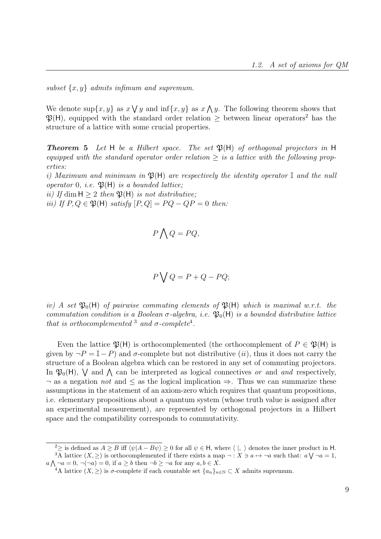subset  $\{x, y\}$  admits infimum and supremum.

We denote sup $\{x, y\}$  as  $x \vee y$  and  $\inf\{x, y\}$  as  $x \wedge y$ . The following theorem shows that  $\mathfrak{P}(H)$ , equipped with the standard order relation > between linear operators<sup>2</sup> has the structure of a lattice with some crucial properties.

**Theorem 5** Let H be a Hilbert space. The set  $\mathfrak{P}(\mathsf{H})$  of orthogonal projectors in H equipped with the standard operator order relation  $\geq$  is a lattice with the following properties:

i) Maximum and minimum in  $\mathfrak{B}(H)$  are respectively the identity operator I and the null operator 0, i.e.  $\mathfrak{P}(\mathsf{H})$  is a bounded lattice;

ii) If dim  $H > 2$  then  $\mathfrak{P}(H)$  is not distributive;

iii) If  $P, Q \in \mathfrak{P}(\mathsf{H})$  satisfy  $[P, Q] = PQ - QP = 0$  then:

$$
P \bigwedge Q = PQ,
$$

$$
P \bigvee Q = P + Q - PQ;
$$

iv) A set  $\mathfrak{P}_0(H)$  of pairwise commuting elements of  $\mathfrak{B}(H)$  which is maximal w.r.t. the commutation condition is a Boolean  $\sigma$ -algebra, i.e.  $\mathfrak{P}_0(H)$  is a bounded distributive lattice that is orthocomplemented  $3$  and  $\sigma$ -complete<sup>4</sup>.

Even the lattice  $\mathfrak{P}(H)$  is orthocomplemented (the orthocomplement of  $P \in \mathfrak{P}(H)$  is given by  $\neg P = \mathbb{I} - P$ ) and  $\sigma$ -complete but not distributive (ii), thus it does not carry the structure of a Boolean algebra which can be restored in any set of commuting projectors. In  $\mathfrak{P}_0(H)$ ,  $\vee$  and  $\wedge$  can be interpreted as logical connectives *or* and *and* respectively,  $\neg$  as a negation not and  $\leq$  as the logical implication  $\Rightarrow$ . Thus we can summarize these assumptions in the statement of an axiom-zero which requires that quantum propositions, i.e. elementary propositions about a quantum system (whose truth value is assigned after an experimental measurement), are represented by orthogonal projectors in a Hilbert space and the compatibility corresponds to commutativity.

<sup>&</sup>lt;sup>2</sup>≥ is defined as  $A \geq B$  iff  $\langle \psi | A - B \psi \rangle \geq 0$  for all  $\psi \in H$ , where  $\langle |, \rangle$  denotes the inner product in H. <sup>3</sup>A lattice  $(X, \geq)$  is orthocomplemented if there exists a map  $\neg : X \ni a \mapsto \neg a$  such that:  $a \bigvee \neg a = 1$ ,  $a \bigwedge \neg a = 0, \neg(\neg a) = 0$ , if  $a \geq b$  then  $\neg b \geq \neg a$  for any  $a, b \in X$ .

<sup>&</sup>lt;sup>4</sup>A lattice  $(X, \geq)$  is  $\sigma$ -complete if each countable set  $\{a_n\}_{n\in\mathbb{N}}\subset X$  admits supremum.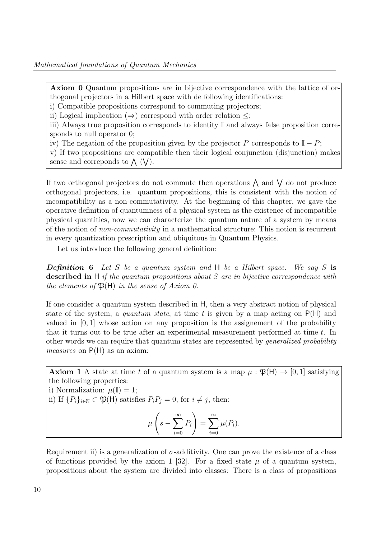Axiom 0 Quantum propositions are in bijective correspondence with the lattice of orthogonal projectors in a Hilbert space with de following identifications:

i) Compatible propositions correspond to commuting projectors;

ii) Logical implication  $(\Rightarrow)$  correspond with order relation  $\leq$ ;

iii) Always true proposition corresponds to identity I and always false proposition corresponds to null operator 0;

iv) The negation of the proposition given by the projector P corresponds to  $\mathbb{I} - P$ ;

v) If two propositions are compatible then their logical conjunction (disjunction) makes sense and correponds to  $\wedge$  (V).

If two orthogonal projectors do not commute then operations  $\Lambda$  and  $\Lambda$  do not produce orthogonal projectors, i.e. quantum propositions, this is consistent with the notion of incompatibility as a non-commutativity. At the beginning of this chapter, we gave the operative definition of quantumness of a physical system as the existence of incompatible physical quantities, now we can characterize the quantum nature of a system by means of the notion of non-commutativity in a mathematical structure: This notion is recurrent in every quantization prescription and obiquitous in Quantum Physics.

Let us introduce the following general definition:

**Definition 6** Let S be a quantum system and H be a Hilbert space. We say S is described in H if the quantum propositions about  $S$  are in bijective correspondence with the elements of  $\mathfrak{P}(\mathsf{H})$  in the sense of Axiom 0.

If one consider a quantum system described in H, then a very abstract notion of physical state of the system, a quantum state, at time t is given by a map acting on  $P(H)$  and valued in  $[0, 1]$  whose action on any proposition is the assignement of the probability that it turns out to be true after an experimental measurement performed at time t. In other words we can require that quantum states are represented by generalized probability measures on  $P(H)$  as an axiom:

Axiom 1 A state at time t of a quantum system is a map  $\mu : \mathfrak{P}(\mathsf{H}) \to [0,1]$  satisfying the following properties:

i) Normalization:  $\mu(\mathbb{I}) = 1$ ;

ii) If  $\{P_i\}_{i\in\mathbb{N}}\subset \mathfrak{P}(\mathsf{H})$  satisfies  $P_iP_j=0$ , for  $i\neq j$ , then:

$$
\mu\left(s-\sum_{i=0}^{\infty}P_i\right)=\sum_{i=0}^{\infty}\mu(P_i).
$$

Requirement ii) is a generalization of  $\sigma$ -additivity. One can prove the existence of a class of functions provided by the axiom 1 [32]. For a fixed state  $\mu$  of a quantum system, propositions about the system are divided into classes: There is a class of propositions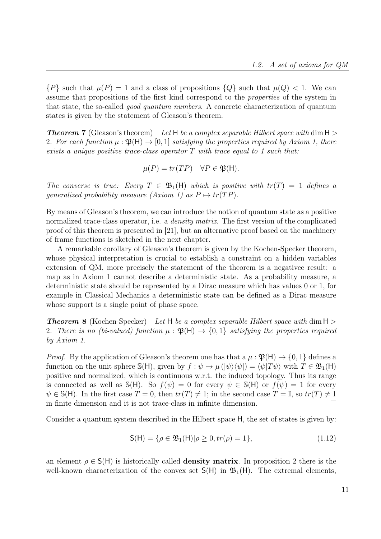${P}$  such that  $\mu(P) = 1$  and a class of propositions  ${Q}$  such that  $\mu(Q) < 1$ . We can assume that propositions of the first kind correspond to the properties of the system in that state, the so-called good quantum numbers. A concrete characterization of quantum states is given by the statement of Gleason's theorem.

**Theorem 7** (Gleason's theorem) Let H be a complex separable Hilbert space with dim  $H >$ 2. For each function  $\mu : \mathfrak{P}(\mathsf{H}) \to [0,1]$  satisfying the properties required by Axiom 1, there exists a unique positive trace-class operator  $T$  with trace equal to 1 such that:

$$
\mu(P) = tr(TP) \quad \forall P \in \mathfrak{P}(\mathsf{H}).
$$

The converse is true: Every  $T \in \mathfrak{B}_1(H)$  which is positive with  $tr(T) = 1$  defines a generalized probability measure (Axiom 1) as  $P \mapsto tr(T)P$ .

By means of Gleason's theorem, we can introduce the notion of quantum state as a positive normalized trace-class operator, i.e. a *density matrix*. The first version of the complicated proof of this theorem is presented in [21], but an alternative proof based on the machinery of frame functions is sketched in the next chapter.

A remarkable corollary of Gleason's theorem is given by the Kochen-Specker theorem, whose physical interpretation is crucial to establish a constraint on a hidden variables extension of QM, more precisely the statement of the theorem is a negativce result: a map as in Axiom 1 cannot describe a deterministic state. As a probability measure, a deterministic state should be represented by a Dirac measure which has values 0 or 1, for example in Classical Mechanics a deterministic state can be defined as a Dirac measure whose support is a single point of phase space.

**Theorem 8** (Kochen-Specker) Let H be a complex separable Hilbert space with dim  $H >$ 2. There is no (bi-valued) function  $\mu : \mathfrak{P}(\mathsf{H}) \to \{0,1\}$  satisfying the properties required by Axiom 1.

*Proof.* By the application of Gleason's theorem one has that a  $\mu : \mathfrak{P}(\mathsf{H}) \to \{0, 1\}$  defines a function on the unit sphere S(H), given by  $f : \psi \mapsto \mu(|\psi\rangle \langle \psi|) = \langle \psi | T\psi \rangle$  with  $T \in \mathfrak{B}_1(H)$ positive and normalized, which is continuous w.r.t. the induced topology. Thus its range is connected as well as  $\mathbb{S}(\mathsf{H})$ . So  $f(\psi) = 0$  for every  $\psi \in \mathbb{S}(\mathsf{H})$  or  $f(\psi) = 1$  for every  $\psi \in \mathbb{S}(\mathsf{H})$ . In the first case  $T = 0$ , then  $tr(T) \neq 1$ ; in the second case  $T = \mathbb{I}$ , so  $tr(T) \neq 1$ in finite dimension and it is not trace-class in infinite dimension.  $\Box$ 

Consider a quantum system described in the Hilbert space H, the set of states is given by:

$$
S(H) = \{ \rho \in \mathfrak{B}_1(H) | \rho \ge 0, \text{tr}(\rho) = 1 \},\tag{1.12}
$$

an element  $\rho \in S(H)$  is historically called **density matrix**. In proposition 2 there is the well-known characterization of the convex set  $S(H)$  in  $\mathfrak{B}_1(H)$ . The extremal elements,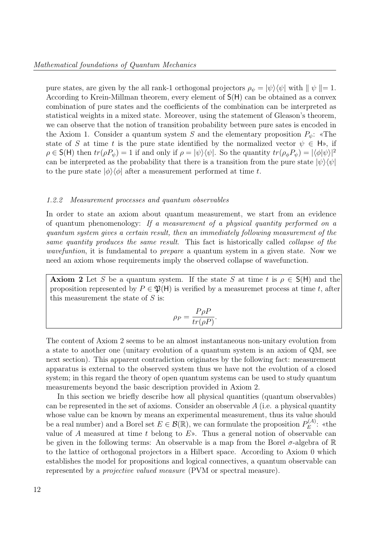pure states, are given by the all rank-1 orthogonal projectors  $\rho_{\psi} = |\psi\rangle\langle\psi|$  with  $|| \psi || = 1$ . According to Krein-Millman theorem, every element of S(H) can be obtained as a convex combination of pure states and the coefficients of the combination can be interpreted as statistical weights in a mixed state. Moreover, using the statement of Gleason's theorem, we can observe that the notion of transition probability between pure sates is encoded in the Axiom 1. Consider a quantum system S and the elementary proposition  $P_{\psi}$ : «The state of S at time t is the pure state identified by the normalized vector  $\psi \in H$ », if  $\rho \in S(H)$  then  $tr(\rho P_{\psi}) = 1$  if and only if  $\rho = |\psi\rangle \langle \psi|$ . So the quantity  $tr(\rho_{\phi}P_{\psi}) = |\langle \phi | \psi \rangle|^2$ can be interpreted as the probability that there is a transition from the pure state  $|\psi\rangle\langle\psi|$ to the pure state  $|\phi\rangle\langle\phi|$  after a measurement performed at time t.

#### 1.2.2 Measurement processes and quantum observables

In order to state an axiom about quantum measurement, we start from an evidence of quantum phenomenology: If a measurement of a physical quantity performed on a quantum system gives a certain result, then an immediately following measurement of the same quantity produces the same result. This fact is historically called collapse of the wavefuntion, it is fundamental to prepare a quantum system in a given state. Now we need an axiom whose requirements imply the observed collapse of wavefunction.

**Axiom 2** Let S be a quantum system. If the state S at time t is  $\rho \in S(H)$  and the proposition represented by  $P \in \mathfrak{P}(\mathsf{H})$  is verified by a measuremet process at time t, after this measurement the state of  $S$  is:

$$
\rho_P = \frac{P\rho P}{tr(\rho P)}.
$$

The content of Axiom 2 seems to be an almost instantaneous non-unitary evolution from a state to another one (unitary evolution of a quantum system is an axiom of QM, see next section). This apparent contradiction originates by the following fact: measurement apparatus is external to the observed system thus we have not the evolution of a closed system; in this regard the theory of open quantum systems can be used to study quantum measurements beyond the basic description provided in Axiom 2.

In this section we briefly describe how all physical quantities (quantum observables) can be represented in the set of axioms. Consider an observable A (i.e. a physical quantity whose value can be known by means an experimental measurement, thus its value should be a real number) and a Borel set  $E \in \mathcal{B}(\mathbb{R})$ , we can formulate the proposition  $P_E^{(A)}$  $E^{\left( A\right) }$ : «the value of A measured at time t belong to  $E$ ». Thus a general notion of observable can be given in the following terms: An observable is a map from the Borel  $\sigma$ -algebra of  $\mathbb R$ to the lattice of orthogonal projectors in a Hilbert space. According to Axiom 0 which establishes the model for propositions and logical connectives, a quantum observable can represented by a projective valued measure (PVM or spectral measure).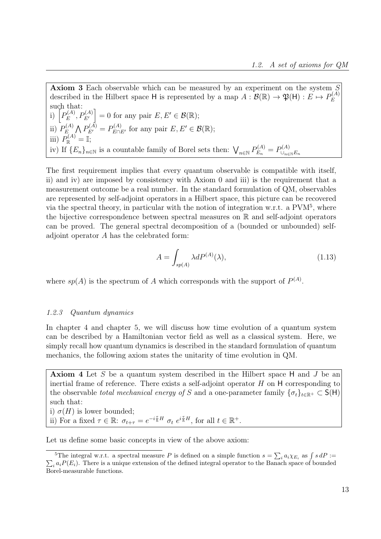Axiom 3 Each observable which can be measured by an experiment on the system S described in the Hilbert space H is represented by a map  $A: \mathcal{B}(\mathbb{R}) \to \mathfrak{P}(\mathsf{H}) : E \mapsto P_E^{(A)}$ E such that: i)  $P_E^{(A)}$  $\left[ P_E^{(A)}, P_{E'}^{(A)} \right] = 0$  for any pair  $E, E' \in \mathcal{B}(\mathbb{R});$ ii)  $P_E^{(A)}$  $P_{E}^{(A)} \bigwedge P_{E'}^{(A)} = P_{E \cap E'}^{(A)}$  for any pair  $E, E' \in \mathcal{B}(\mathbb{R});$ iii)  $P_{\mathbb{R}}^{(A)} = \mathbb{I};$ iv) If  $\{E_n\}_{n\in\mathbb{N}}$  is a countable family of Borel sets then:  $\bigvee_{n\in\mathbb{N}} P_{E_n}^{(A)} = P_{\cup_{n\in\mathbb{N}}}^{(A)}$  $\cup_{n\in\mathbb{N}}E_n$ 

The first requirement implies that every quantum observable is compatible with itself, ii) and iv) are imposed by consistency with Axiom 0 and iii) is the requirement that a measurement outcome be a real number. In the standard formulation of QM, observables are represented by self-adjoint operators in a Hilbert space, this picture can be recovered via the spectral theory, in particular with the notion of integration w.r.t. a PVM<sup>5</sup>, where the bijective correspondence between spectral measures on  $\mathbb R$  and self-adjoint operators can be proved. The general spectral decomposition of a (bounded or unbounded) selfadjoint operator A has the celebrated form:

$$
A = \int_{sp(A)} \lambda dP^{(A)}(\lambda),\tag{1.13}
$$

where  $sp(A)$  is the spectrum of A which corresponds with the support of  $P^{(A)}$ .

#### 1.2.3 Quantum dynamics

In chapter 4 and chapter 5, we will discuss how time evolution of a quantum system can be described by a Hamiltonian vector field as well as a classical system. Here, we simply recall how quantum dynamics is described in the standard formulation of quantum mechanics, the following axiom states the unitarity of time evolution in QM.

Axiom 4 Let S be a quantum system described in the Hilbert space H and J be an inertial frame of reference. There exists a self-adjoint operator  $H$  on  $H$  corresponding to the observable total mechanical energy of S and a one-parameter family  $\{\sigma_t\}_{t\in\mathbb{R}^+}\subset S(H)$ such that:

i)  $\sigma(H)$  is lower bounded;

ii) For a fixed  $\tau \in \mathbb{R}$ :  $\sigma_{t+\tau} = e^{-i\frac{\tau}{\hbar}H} \sigma_t e^{i\frac{\tau}{\hbar}H}$ , for all  $t \in \mathbb{R}^+$ .

Let us define some basic concepts in view of the above axiom:

<sup>&</sup>lt;sup>5</sup>The integral w.r.t. a spectral measure P is defined on a simple function  $s = \sum_i a_i \chi_{E_i}$  as  $\int$ P  $s dP :=$  $i_{i} a_{i} P(E_{i})$ . There is a unique extension of the defined integral operator to the Banach space of bounded Borel-measurable functions.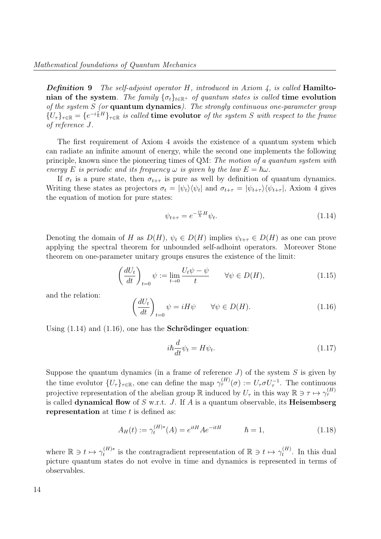**Definition 9** The self-adjoint operator H, introduced in Axiom 4, is called **Hamilto**nian of the system. The family  $\{\sigma_t\}_{t\in\mathbb{R}^+}$  of quantum states is called time evolution of the system  $S$  (or **quantum dynamics**). The strongly continuous one-parameter group  ${U_{\tau}}_{\tau\in\mathbb{R}}={e^{-i\frac{\tau}{h}H}}_{\tau\in\mathbb{R}}$  is called time evolutor of the system S with respect to the frame of reference J.

The first requirement of Axiom 4 avoids the existence of a quantum system which can radiate an infinite amount of energy, while the second one implements the following principle, known since the pioneering times of QM: The motion of a quantum system with energy E is periodic and its frequency  $\omega$  is given by the law  $E = \hbar \omega$ .

If  $\sigma_t$  is a pure state, then  $\sigma_{t+\tau}$  is pure as well by definition of quantum dynamics. Writing these states as projectors  $\sigma_t = |\psi_t\rangle\langle\psi_t|$  and  $\sigma_{t+\tau} = |\psi_{t+\tau}\rangle\langle\psi_{t+\tau}|$ , Axiom 4 gives the equation of motion for pure states:

$$
\psi_{t+\tau} = e^{-\frac{i\tau}{\hbar}H}\psi_t.
$$
\n(1.14)

Denoting the domain of H as  $D(H)$ ,  $\psi_t \in D(H)$  implies  $\psi_{t+\tau} \in D(H)$  as one can prove applying the spectral theorem for unbounded self-adhoint operators. Moreover Stone theorem on one-parameter unitary groups ensures the existence of the limit:

$$
\left(\frac{dU_t}{dt}\right)_{t=0} \psi := \lim_{t \to 0} \frac{U_t \psi - \psi}{t} \qquad \forall \psi \in D(H),\tag{1.15}
$$

and the relation:

$$
\left(\frac{dU_t}{dt}\right)_{t=0} \psi = iH\psi \qquad \forall \psi \in D(H). \tag{1.16}
$$

Using (1.14) and (1.16), one has the Schrödinger equation:

$$
i\hbar \frac{d}{dt}\psi_t = H\psi_t.
$$
\n(1.17)

Suppose the quantum dynamics (in a frame of reference  $J$ ) of the system  $S$  is given by the time evolutor  $\{U_\tau\}_{\tau \in \mathbb{R}}$ , one can define the map  $\gamma_{\tau}^{(H)}(\sigma) := U_\tau \sigma U_\tau^{-1}$ . The continuous projective representation of the abelian group  $\mathbb R$  induced by  $U_\tau$  in this way  $\mathbb R \ni \tau \mapsto \gamma_\tau^{(H)}$ is called dynamical flow of  $S$  w.r.t.  $J$ . If  $A$  is a quantum observable, its **Heisembserg** representation at time  $t$  is defined as:

$$
A_H(t) := \gamma_t^{(H)*}(A) = e^{itH} A e^{-itH} \qquad \hbar = 1,
$$
\n(1.18)

where  $\mathbb{R} \ni t \mapsto \gamma_t^{(H)*}$  $t_t^{(H)*}$  is the contragradient representation of  $\mathbb{R} \ni t \mapsto \gamma_t^{(H)}$  $t_t^{(H)}$ . In this dual picture quantum states do not evolve in time and dynamics is represented in terms of observables.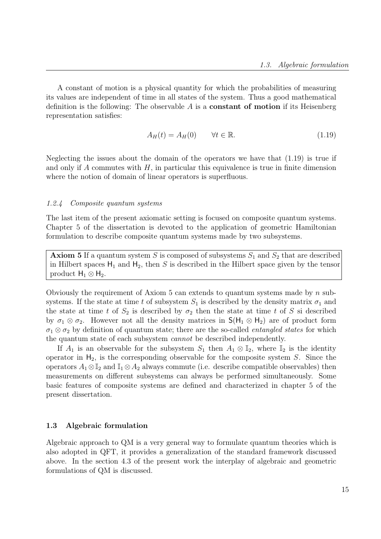A constant of motion is a physical quantity for which the probabilities of measuring its values are independent of time in all states of the system. Thus a good mathematical definition is the following: The observable  $A$  is a **constant of motion** if its Heisenberg representation satisfies:

$$
A_H(t) = A_H(0) \qquad \forall t \in \mathbb{R}.\tag{1.19}
$$

Neglecting the issues about the domain of the operators we have that (1.19) is true if and only if A commutes with  $H$ , in particular this equivalence is true in finite dimension where the notion of domain of linear operators is superfluous.

#### 1.2.4 Composite quantum systems

The last item of the present axiomatic setting is focused on composite quantum systems. Chapter 5 of the dissertation is devoted to the application of geometric Hamiltonian formulation to describe composite quantum systems made by two subsystems.

**Axiom 5** If a quantum system S is composed of subsystems  $S_1$  and  $S_2$  that are described in Hilbert spaces  $H_1$  and  $H_2$ , then S is described in the Hilbert space given by the tensor product  $H_1 \otimes H_2$ .

Obviously the requirement of Axiom 5 can extends to quantum systems made by  $n$  subsystems. If the state at time t of subsystem  $S_1$  is described by the density matrix  $\sigma_1$  and the state at time t of  $S_2$  is described by  $\sigma_2$  then the state at time t of S si described by  $\sigma_1 \otimes \sigma_2$ . However not all the density matrices in  $\mathsf{S}(\mathsf{H}_1 \otimes \mathsf{H}_2)$  are of product form  $\sigma_1 \otimes \sigma_2$  by definition of quantum state; there are the so-called *entangled states* for which the quantum state of each subsystem cannot be described independently.

If  $A_1$  is an observable for the subsystem  $S_1$  then  $A_1 \otimes \mathbb{I}_2$ , where  $\mathbb{I}_2$  is the identity operator in  $H_2$ , is the corresponding observable for the composite system S. Since the operators  $A_1 \otimes \mathbb{I}_2$  and  $\mathbb{I}_1 \otimes A_2$  always commute (i.e. describe compatible observables) then measurements on different subsystems can always be performed simultaneously. Some basic features of composite systems are defined and characterized in chapter 5 of the present dissertation.

#### 1.3 Algebraic formulation

Algebraic approach to QM is a very general way to formulate quantum theories which is also adopted in QFT, it provides a generalization of the standard framework discussed above. In the section 4.3 of the present work the interplay of algebraic and geometric formulations of QM is discussed.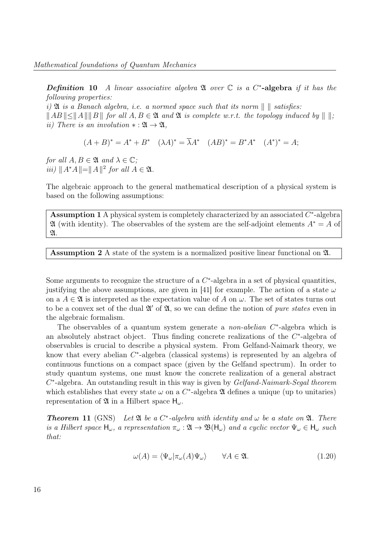Definition 10 A linear associative algebra  $\mathfrak A$  over  $\mathbb C$  is a C<sup>\*</sup>-algebra if it has the following properties:

i)  $\mathfrak A$  is a Banach algebra, i.e. a normed space such that its norm  $\Vert \Vert$  satisfies:  $||AB|| \le ||A|| ||B||$  for all  $A, B \in \mathfrak{A}$  and  $\mathfrak{A}$  is complete w.r.t. the topology induced by  $|| ||$ ; ii) There is an involution  $* : \mathfrak{A} \to \mathfrak{A}$ ,

$$
(A + B)^* = A^* + B^* \quad (\lambda A)^* = \overline{\lambda}A^* \quad (AB)^* = B^*A^* \quad (A^*)^* = A;
$$

for all  $A, B \in \mathfrak{A}$  and  $\lambda \in \mathbb{C}$ ; *iii*)  $||A^*A|| = ||A||^2$  *for all A* ∈  $\mathfrak{A}$ .

The algebraic approach to the general mathematical description of a physical system is based on the following assumptions:

Assumption 1 A physical system is completely characterized by an associated  $C^*$ -algebra  $\mathfrak A$  (with identity). The observables of the system are the self-adjoint elements  $A^* = A$  of  $\mathfrak{A}.$ 

Assumption 2 A state of the system is a normalized positive linear functional on A.

Some arguments to recognize the structure of a  $C^*$ -algebra in a set of physical quantities, justifying the above assumptions, are given in [41] for example. The action of a state  $\omega$ on a  $A \in \mathfrak{A}$  is interpreted as the expectation value of A on  $\omega$ . The set of states turns out to be a convex set of the dual  $\mathfrak{A}'$  of  $\mathfrak{A}$ , so we can define the notion of *pure states* even in the algebraic formalism.

The observables of a quantum system generate a *non-abelian*  $C^*$ -algebra which is an absolutely abstract object. Thus finding concrete realizations of the  $C^*$ -algebra of observables is crucial to describe a physical system. From Gelfand-Naimark theory, we know that every abelian  $C^*$ -algebra (classical systems) is represented by an algebra of continuous functions on a compact space (given by the Gelfand spectrum). In order to study quantum systems, one must know the concrete realization of a general abstract  $C^*$ -algebra. An outstanding result in this way is given by Gelfand-Naimark-Segal theorem which establishes that every state  $\omega$  on a  $C^*$ -algebra  $\mathfrak A$  defines a unique (up to unitaries) representation of  $\mathfrak A$  in a Hilbert space  $H_\omega$ .

**Theorem 11** (GNS) Let  $\mathfrak{A}$  be a  $C^*$ -algebra with identity and  $\omega$  be a state on  $\mathfrak{A}$ . There is a Hilbert space  $H_{\omega}$ , a representation  $\pi_{\omega}: \mathfrak{A} \to \mathfrak{B}(H_{\omega})$  and a cyclic vector  $\Psi_{\omega} \in H_{\omega}$  such that:

$$
\omega(A) = \langle \Psi_{\omega} | \pi_{\omega}(A) \Psi_{\omega} \rangle \qquad \forall A \in \mathfrak{A}.
$$
\n(1.20)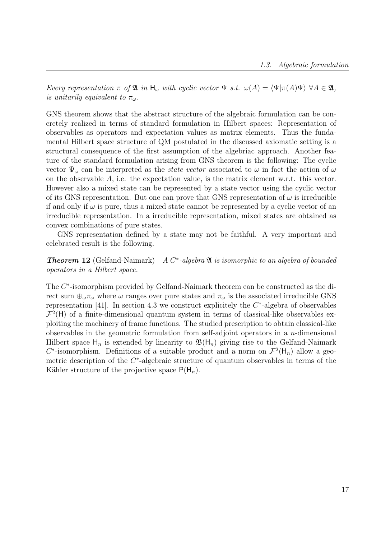Every representation  $\pi$  of  $\mathfrak{A}$  in  $H_{\omega}$  with cyclic vector  $\Psi$  s.t.  $\omega(A) = \langle \Psi | \pi(A) \Psi \rangle \ \forall A \in \mathfrak{A}$ , is unitarily equivalent to  $\pi_{\omega}$ .

GNS theorem shows that the abstract structure of the algebraic formulation can be concretely realized in terms of standard formulation in Hilbert spaces: Representation of observables as operators and expectation values as matrix elements. Thus the fundamental Hilbert space structure of QM postulated in the discussed axiomatic setting is a structural consequence of the first assumption of the algebriac approach. Another feature of the standard formulation arising from GNS theorem is the following: The cyclic vector  $\Psi_{\omega}$  can be interpreted as the *state vector* associated to  $\omega$  in fact the action of  $\omega$ on the observable A, i.e. the expectation value, is the matrix element w.r.t. this vector. However also a mixed state can be represented by a state vector using the cyclic vector of its GNS representation. But one can prove that GNS representation of  $\omega$  is irreducible if and only if  $\omega$  is pure, thus a mixed state cannot be represented by a cyclic vector of an irreducible representation. In a irreducible representation, mixed states are obtained as convex combinations of pure states.

GNS representation defined by a state may not be faithful. A very important and celebrated result is the following.

 $Theorem 12$  (Gelfand-Naimark) ∗ -algebra A is isomorphic to an algebra of bounded operators in a Hilbert space.

The  $C^*$ -isomorphism provided by Gelfand-Naimark theorem can be constructed as the direct sum  $\bigoplus_{\omega} \pi_{\omega}$  where  $\omega$  ranges over pure states and  $\pi_{\omega}$  is the associated irreducible GNS representation [41]. In section 4.3 we construct explicitely the  $C^*$ -algebra of observables  $\mathcal{F}^2(\mathsf{H})$  of a finite-dimensional quantum system in terms of classical-like observables exploiting the machinery of frame functions. The studied prescription to obtain classical-like observables in the geometric formulation from self-adjoint operators in a  $n$ -dimensional Hilbert space  $H_n$  is extended by linearity to  $\mathfrak{B}(H_n)$  giving rise to the Gelfand-Naimark  $C^*$ -isomorphism. Definitions of a suitable product and a norm on  $\mathcal{F}^2(\mathsf{H}_n)$  allow a geometric description of the  $C^*$ -algebraic structure of quantum observables in terms of the Kähler structure of the projective space  $P(H_n)$ .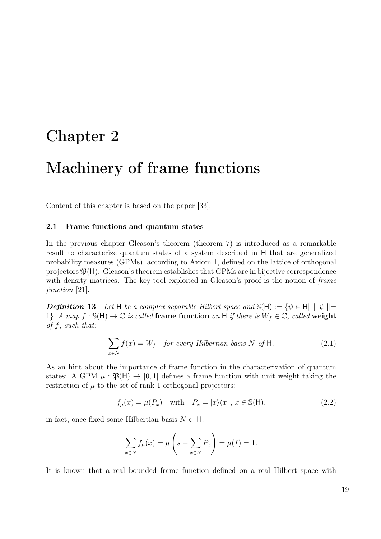### Chapter 2

### Machinery of frame functions

Content of this chapter is based on the paper [33].

#### 2.1 Frame functions and quantum states

In the previous chapter Gleason's theorem (theorem 7) is introduced as a remarkable result to characterize quantum states of a system described in H that are generalized probability measures (GPMs), according to Axiom 1, defined on the lattice of orthogonal projectors  $\mathfrak{P}(H)$ . Gleason's theorem establishes that GPMs are in bijective correspondence with density matrices. The key-tool exploited in Gleason's proof is the notion of frame function [21].

**Definition 13** Let H be a complex separable Hilbert space and  $\mathbb{S}(\mathsf{H}) := \{ \psi \in \mathsf{H} \mid \psi \mid =$ 1}. A map  $f : S(H) \to \mathbb{C}$  is called frame function on H if there is  $W_f \in \mathbb{C}$ , called weight of f, such that:

$$
\sum_{x \in N} f(x) = W_f \quad \text{for every Hilbertian basis } N \text{ of } \mathsf{H}. \tag{2.1}
$$

As an hint about the importance of frame function in the characterization of quantum states: A GPM  $\mu$ :  $\mathfrak{P}(H) \rightarrow [0,1]$  defines a frame function with unit weight taking the restriction of  $\mu$  to the set of rank-1 orthogonal projectors:

$$
f_{\mu}(x) = \mu(P_x) \quad \text{with} \quad P_x = |x\rangle\langle x|, \ x \in \mathbb{S}(\mathsf{H}), \tag{2.2}
$$

in fact, once fixed some Hilbertian basis  $N \subset H$ :

$$
\sum_{x \in N} f_{\mu}(x) = \mu \left( s - \sum_{x \in N} P_x \right) = \mu(I) = 1.
$$

It is known that a real bounded frame function defined on a real Hilbert space with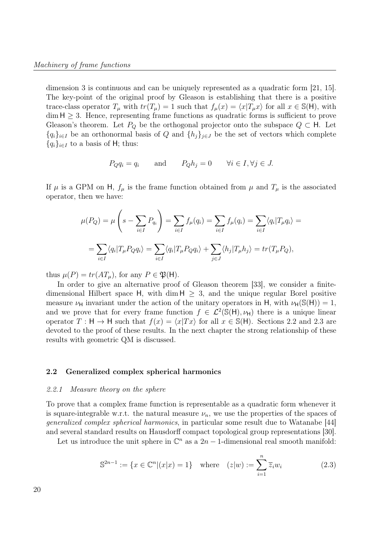dimension 3 is continuous and can be uniquely represented as a quadratic form [21, 15]. The key-point of the original proof by Gleason is establishing that there is a positive trace-class operator  $T_{\mu}$  with  $tr(T_{\mu}) = 1$  such that  $f_{\mu}(x) = \langle x|T_{\mu}x \rangle$  for all  $x \in S(H)$ , with  $\dim H \geq 3$ . Hence, representing frame functions as quadratic forms is sufficient to prove Gleason's theorem. Let  $P_Q$  be the orthogonal projector onto the subspace  $Q \subset H$ . Let  ${q_i}_{i\in I}$  be an orthonormal basis of Q and  ${h_j}_{j\in J}$  be the set of vectors which complete  ${q_i}_{i\in I}$  to a basis of H; thus:

$$
P_Q q_i = q_i
$$
 and  $P_Q h_j = 0$   $\forall i \in I, \forall j \in J.$ 

If  $\mu$  is a GPM on H,  $f_{\mu}$  is the frame function obtained from  $\mu$  and  $T_{\mu}$  is the associated operator, then we have:

$$
\mu(P_Q) = \mu \left(s - \sum_{i \in I} P_{q_i}\right) = \sum_{i \in I} f_{\mu}(q_i) = \sum_{i \in I} f_{\mu}(q_i) = \sum_{i \in I} \langle q_i | T_{\mu} q_i \rangle =
$$

$$
= \sum_{i \in I} \langle q_i | T_{\mu} P_Q q_i \rangle = \sum_{i \in I} \langle q_i | T_{\mu} P_Q q_i \rangle + \sum_{j \in J} \langle h_j | T_{\mu} h_j \rangle = tr(T_{\mu} P_Q),
$$

thus  $\mu(P) = tr(AT_{\mu})$ , for any  $P \in \mathfrak{P}(\mathsf{H})$ .

In order to give an alternative proof of Gleason theorem [33], we consider a finitedimensional Hilbert space  $H$ , with dim  $H > 3$ , and the unique regular Borel positive measure  $\nu_H$  invariant under the action of the unitary operators in H, with  $\nu_H(\mathbb{S}(\mathsf{H})) = 1$ , and we prove that for every frame function  $f \in \mathcal{L}^2(\mathbb{S}(\mathsf{H}), \nu_{\mathsf{H}})$  there is a unique linear operator  $T : H \to H$  such that  $f(x) = \langle x|Tx \rangle$  for all  $x \in S(H)$ . Sections 2.2 and 2.3 are devoted to the proof of these results. In the next chapter the strong relationship of these results with geometric QM is discussed.

#### 2.2 Generalized complex spherical harmonics

#### 2.2.1 Measure theory on the sphere

To prove that a complex frame function is representable as a quadratic form whenever it is square-integrable w.r.t. the natural measure  $\nu_n$ , we use the properties of the spaces of generalized complex spherical harmonics, in particular some result due to Watanabe [44] and several standard results on Hausdorff compact topological group representations [30].

Let us introduce the unit sphere in  $\mathbb{C}^n$  as a  $2n-1$ -dimensional real smooth manifold:

$$
\mathbb{S}^{2n-1} := \{ x \in \mathbb{C}^n | (x|x) = 1 \} \quad \text{where} \quad (z|w) := \sum_{i=1}^n \overline{z}_i w_i \tag{2.3}
$$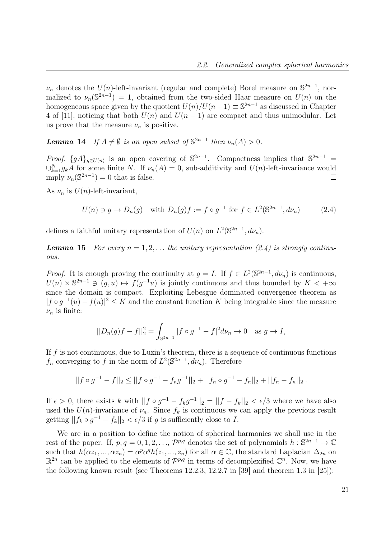$\nu_n$  denotes the U(n)-left-invariant (regular and complete) Borel measure on  $\mathbb{S}^{2n-1}$ , normalized to  $\nu_n(\mathbb{S}^{2n-1}) = 1$ , obtained from the two-sided Haar measure on  $U(n)$  on the homogeneous space given by the quotient  $U(n)/U(n-1) \equiv \mathbb{S}^{2n-1}$  as discussed in Chapter 4 of [11], noticing that both  $U(n)$  and  $U(n - 1)$  are compact and thus unimodular. Let us prove that the measure  $\nu_n$  is positive.

**Lemma 14** If  $A \neq \emptyset$  is an open subset of  $\mathbb{S}^{2n-1}$  then  $\nu_n(A) > 0$ .

*Proof.*  $\{gA\}_{g\in U(n)}$  is an open covering of  $\mathbb{S}^{2n-1}$ . Compactness implies that  $\mathbb{S}^{2n-1}$  $\bigcup_{k=1}^{N} g_k A$  for some finite N. If  $\nu_n(A) = 0$ , sub-additivity and  $U(n)$ -left-invariance would imply  $\nu_n(\mathbb{S}^{2n-1})=0$  that is false.  $\Box$ 

As  $\nu_n$  is  $U(n)$ -left-invariant,

$$
U(n) \ni g \to D_n(g) \quad \text{with } D_n(g)f := f \circ g^{-1} \text{ for } f \in L^2(\mathbb{S}^{2n-1}, d\nu_n) \tag{2.4}
$$

defines a faithful unitary representation of  $U(n)$  on  $L^2(\mathbb{S}^{2n-1}, d\nu_n)$ .

**Lemma 15** For every  $n = 1, 2, \ldots$  the unitary representation (2.4) is strongly continuous.

*Proof.* It is enough proving the continuity at  $g = I$ . If  $f \in L^2(\mathbb{S}^{2n-1}, d\nu_n)$  is continuous,  $U(n) \times \mathbb{S}^{2n-1} \ni (g, u) \mapsto f(g^{-1}u)$  is jointly continuous and thus bounded by  $K < +\infty$ since the domain is compact. Exploiting Lebesgue dominated convergence theorem as  $|f \circ g^{-1}(u) - f(u)|^2 \leq K$  and the constant function K being integrable since the measure  $\nu_n$  is finite:

$$
||D_n(g)f - f||_2^2 = \int_{\mathbb{S}^{2n-1}} |f \circ g^{-1} - f|^2 d\nu_n \to 0 \quad \text{as } g \to I,
$$

If  $f$  is not continuous, due to Luzin's theorem, there is a sequence of continuous functions  $f_n$  converging to f in the norm of  $L^2(\mathbb{S}^{2n-1}, d\nu_n)$ . Therefore

$$
||f \circ g^{-1} - f||_2 \le ||f \circ g^{-1} - f_n g^{-1}||_2 + ||f_n \circ g^{-1} - f_n||_2 + ||f_n - f_n||_2.
$$

If  $\epsilon > 0$ , there exists k with  $||f \circ g^{-1} - f_k g^{-1}||_2 = ||f - f_k||_2 < \epsilon/3$  where we have also used the  $U(n)$ -invariance of  $\nu_n$ . Since  $f_k$  is continuous we can apply the previous result getting  $||f_k \circ g^{-1} - f_k||_2 < \epsilon/3$  if g is sufficiently close to I.  $\Box$ 

We are in a position to define the notion of spherical harmonics we shall use in the rest of the paper. If,  $p, q = 0, 1, 2, ..., \mathcal{P}^{p,q}$  denotes the set of polynomials  $h: \mathbb{S}^{2n-1} \to \mathbb{C}$ such that  $h(\alpha z_1, ..., \alpha z_n) = \alpha^p \overline{\alpha}^q h(z_1, ..., z_n)$  for all  $\alpha \in \mathbb{C}$ , the standard Laplacian  $\Delta_{2n}$  on  $\mathbb{R}^{2n}$  can be applied to the elements of  $\mathcal{P}^{p,q}$  in terms of decomplexified  $\mathbb{C}^n$ . Now, we have the following known result (see Theorems 12.2.3, 12.2.7 in [39] and theorem 1.3 in [25]):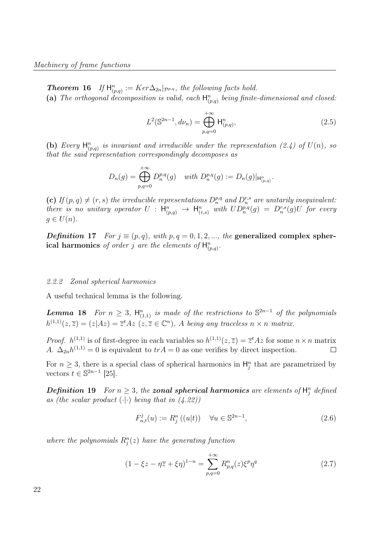**Theorem 16** If  $H_{(p,q)}^n := Ker \Delta_{2n}|_{\mathcal{P}^{p,q}}$ , the following facts hold. (a) The orthogonal decomposition is valid, each  $\mathsf{H}^n_{(p,q)}$  being finite-dimensional and closed:

$$
L^{2}(\mathbb{S}^{2n-1}, d\nu_{n}) = \bigoplus_{p,q=0}^{+\infty} \mathsf{H}_{(p,q)}^{n},
$$
\n(2.5)

(b) Every  $\mathsf{H}_{(p,q)}^n$  is invariant and irreducible under the representation (2.4) of  $U(n)$ , so that the said representation correspondingly decomposes as

$$
D_n(g) = \bigoplus_{p,q=0}^{+\infty} D_n^{p,q}(g) \quad \text{with } D_n^{p,q}(g) := D_n(g)|_{\mathsf{H}_{(p,q)}^n}.
$$

(c) If  $(p, q) \neq (r, s)$  the irreducible representations  $D_n^{p,q}$  and  $D_n^{r,s}$  are unitarily inequivalent: there is no unitary operator  $U : \mathsf{H}_{(p,q)}^n \to \mathsf{H}_{(r,s)}^n$  with  $UD_n^{p,q}(g) = D_n^{r,s}(g)U$  for every  $g \in U(n)$ .

Definition 17 For  $j \equiv (p, q)$ , with  $p, q = 0, 1, 2, \dots$ , the generalized complex spherical harmonics of order j are the elements of  $H_{(p,q)}^n$ .

#### 2.2.2 Zonal spherical harmonics

A useful technical lemma is the following.

**Lemma 18** For  $n \geq 3$ ,  $\mathsf{H}_{(1,1)}^n$  is made of the restrictions to  $\mathbb{S}^{2n-1}$  of the polynomials  $h^{(1,1)}(z,\overline{z}) = (z|Az) = \overline{z}^tAz \ (z,\overline{z} \in \mathbb{C}^n), A \text{ being any traceless } n \times n \text{ matrix}.$ 

*Proof.*  $h^{(1,1)}$  is of first-degree in each variables so  $h^{(1,1)}(z,\overline{z}) = \overline{z}^tAz$  for some  $n \times n$  matrix A.  $\Delta_{2n}h^{(1,1)}=0$  is equivalent to  $tr A=0$  as one verifies by direct inspection.  $\Box$ 

For  $n \geq 3$ , there is a special class of spherical harmonics in  $H_j^n$  that are parametrized by vectors  $t \in \mathbb{S}^{2n-1}$  [25].

**Definition 19** For  $n \geq 3$ , the **zonal spherical harmonics** are elements of  $\mathsf{H}_{j}^{n}$  defined as (the scalar product  $(\cdot | \cdot)$  being that in  $(4.22)$ )

$$
F_{n,t}^{j}(u) := R_{j}^{n}((u|t)) \quad \forall u \in \mathbb{S}^{2n-1},
$$
\n(2.6)

where the polynomials  $R_j^n(z)$  have the generating function

$$
(1 - \xi z - \eta \overline{z} + \xi \eta)^{1-n} = \sum_{p,q=0}^{+\infty} R_{p,q}^n(z) \xi^p \eta^q
$$
 (2.7)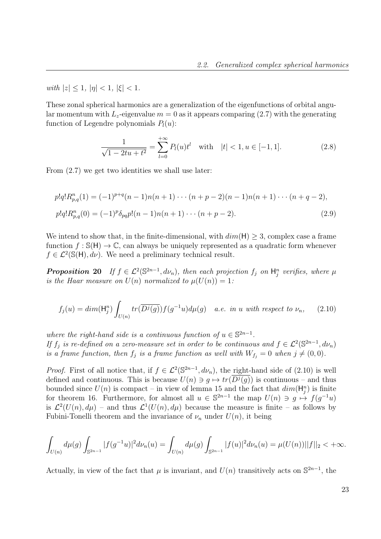with  $|z| < 1$ ,  $|\eta| < 1$ ,  $|\xi| < 1$ .

These zonal spherical harmonics are a generalization of the eigenfunctions of orbital angular momentum with  $L_z$ -eigenvalue  $m = 0$  as it appears comparing (2.7) with the generating function of Legendre polynomials  $P_l(u)$ :

$$
\frac{1}{\sqrt{1 - 2tu + t^2}} = \sum_{l=0}^{+\infty} P_l(u)t^l \quad \text{with} \quad |t| < 1, u \in [-1, 1]. \tag{2.8}
$$

From (2.7) we get two identities we shall use later:

$$
p!q!R_{p,q}^n(1) = (-1)^{p+q}(n-1)n(n+1)\cdots(n+p-2)(n-1)n(n+1)\cdots(n+q-2),
$$
  
\n
$$
p!q!R_{p,q}^n(0) = (-1)^p\delta_{pq}p!(n-1)n(n+1)\cdots(n+p-2).
$$
\n(2.9)

We intend to show that, in the finite-dimensional, with  $dim(H) \geq 3$ , complex case a frame function  $f : \mathbb{S}(\mathsf{H}) \to \mathbb{C}$ , can always be uniquely represented as a quadratic form whenever  $f \in \mathcal{L}^2(\mathbb{S}(\mathsf{H}), d\nu)$ . We need a preliminary technical result.

**Proposition 20** If  $f \in \mathcal{L}^2(\mathbb{S}^{2n-1}, d\nu_n)$ , then each projection  $f_j$  on  $H_j^n$  verifies, where  $\mu$ is the Haar measure on  $U(n)$  normalized to  $\mu(U(n)) = 1$ :

$$
f_j(u) = dim(\mathsf{H}_j^n) \int_{U(n)} tr(\overline{D^j(g)}) f(g^{-1}u) d\mu(g) \quad a.e. \text{ in } u \text{ with respect to } \nu_n,
$$
 (2.10)

where the right-hand side is a continuous function of  $u \in \mathbb{S}^{2n-1}$ . If  $f_j$  is re-defined on a zero-measure set in order to be continuous and  $f \in \mathcal{L}^2(\mathbb{S}^{2n-1}, d\nu_n)$ is a frame function, then  $f_j$  is a frame function as well with  $W_{f_j} = 0$  when  $j \neq (0, 0)$ .

*Proof.* First of all notice that, if  $f \in \mathcal{L}^2(\mathbb{S}^{2n-1}, d\nu_n)$ , the right-hand side of (2.10) is well defined and continuous. This is because  $U(n) \ni g \mapsto tr(D^j(g))$  is continuous – and thus bounded since  $U(n)$  is compact – in view of lemma 15 and the fact that  $dim(\mathsf{H}_{j}^{n})$  is finite for theorem 16. Furthermore, for almost all  $u \in \mathbb{S}^{2n-1}$  the map  $U(n) \ni g \mapsto f(g^{-1}u)$ is  $\mathcal{L}^2(U(n), d\mu)$  – and thus  $\mathcal{L}^1(U(n), d\mu)$  because the measure is finite – as follows by Fubini-Tonelli theorem and the invariance of  $\nu_n$  under  $U(n)$ , it being

$$
\int_{U(n)} d\mu(g) \int_{\mathbb{S}^{2n-1}} |f(g^{-1}u)|^2 d\nu_n(u) = \int_{U(n)} d\mu(g) \int_{\mathbb{S}^{2n-1}} |f(u)|^2 d\nu_n(u) = \mu(U(n))||f||_2 < +\infty.
$$

Actually, in view of the fact that  $\mu$  is invariant, and  $U(n)$  transitively acts on  $\mathbb{S}^{2n-1}$ , the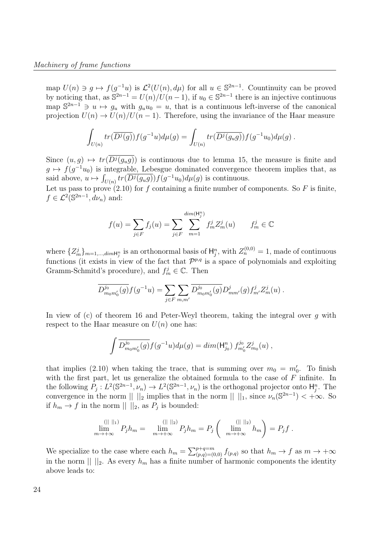map  $U(n) \ni g \mapsto f(g^{-1}u)$  is  $\mathcal{L}^2(U(n), d\mu)$  for all  $u \in \mathbb{S}^{2n-1}$ . Countinuity can be proved by noticing that, as  $\mathbb{S}^{2n-1} = U(n)/U(n-1)$ , if  $u_0 \in \mathbb{S}^{2n-1}$  there is an injective continuous map  $\mathbb{S}^{2n-1} \ni u \mapsto g_u$  with  $g_u u_0 = u$ , that is a continuous left-inverse of the canonical projection  $U(n) \to U(n)/U(n-1)$ . Therefore, using the invariance of the Haar measure

$$
\int_{U(n)} tr(\overline{D^j(g)}) f(g^{-1}u) d\mu(g) = \int_{U(n)} tr(\overline{D^j(g_u g)}) f(g^{-1}u_0) d\mu(g) .
$$

Since  $(u, g) \mapsto tr(D^j(g_u g))$  is continuous due to lemma 15, the measure is finite and  $g \mapsto f(g^{-1}u_0)$  is integrable, Lebesgue dominated convergence theorem implies that, as said above,  $u \mapsto \int_{U(n)} tr(\overline{D^j(g_u g)}) f(g^{-1}u_0) d\mu(g)$  is continuous.

Let us pass to prove  $(2.10)$  for f containing a finite number of components. So F is finite,  $f \in \mathcal{L}^2(\mathbb{S}^{2n-1}, d\nu_n)$  and:

$$
f(u) = \sum_{j \in F} f_j(u) = \sum_{j \in F} \sum_{m=1}^{\dim(\mathsf{H}_j^n)} f_m^j Z_m^j(u) \qquad f_m^j \in \mathbb{C}
$$

where  $\{Z_m^j\}_{m=1,\dots,dim\mathbb{H}_j^n}$  is an orthonormal basis of  $\mathbb{H}_j^n$ , with  $Z_n^{(0,0)}=1$ , made of continuous functions (it exists in view of the fact that  $\mathcal{P}^{p,q}$  is a space of polynomials and exploiting Gramm-Schmitd's procedure), and  $f_m^j \in \mathbb{C}$ . Then

$$
\overline{D^{j_0}_{m_0m'_0}(g)}f(g^{-1}u) = \sum_{j \in F} \sum_{m,m'} \overline{D^{j_0}_{m_0m'_0}(g)}D^{j}_{mm'}(g)f^{j}_{m'}Z^{j}_{m}(u) .
$$

In view of (c) of theorem 16 and Peter-Weyl theorem, taking the integral over  $q$  with respect to the Haar measure on  $U(n)$  one has:

$$
\int \overline{D_{m_0m'_0}^{j_0}(g)} f(g^{-1}u) d\mu(g) = \dim(\mathsf{H}_{j_0}^n) f_{m'_0}^{j_0} Z_{m_0}^j(u) ,
$$

that implies (2.10) when taking the trace, that is summing over  $m_0 = m'_0$ . To finish with the first part, let us generalize the obtained formula to the case of F infinite. In the following  $P_j: L^2(\mathbb{S}^{2n-1}, \nu_n) \to L^2(\mathbb{S}^{2n-1}, \nu_n)$  is the orthogonal projector onto  $\mathsf{H}_j^n$ . The convergence in the norm  $|| \cdot ||_2$  implies that in the norm  $|| \cdot ||_1$ , since  $\nu_n(\mathbb{S}^{2n-1}) < +\infty$ . So if  $h_m \to f$  in the norm  $|| \cdot ||_2$ , as  $P_j$  is bounded:

$$
\lim_{m \to +\infty}^{(||\,||_1)} P_j h_m = \lim_{m \to +\infty}^{(||\,||_2)} P_j h_m = P_j \left( \lim_{m \to +\infty}^{(||\,||_2)} h_m \right) = P_j f.
$$

We specialize to the case where each  $h_m = \sum_{(p,q)=(0,0)}^{p+q=m} f_{(p,q)}$  so that  $h_m \to f$  as  $m \to +\infty$ in the norm  $|| \ ||_2$ . As every  $h_m$  has a finite number of harmonic components the identity above leads to: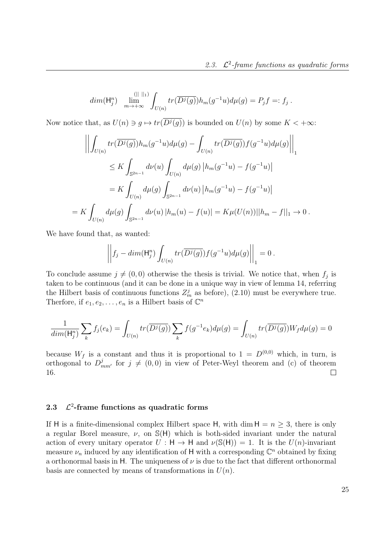$$
dim(\mathsf{H}_{j}^{n}) \quad \lim_{m \to +\infty} \int_{U(n)} tr(\overline{D^{j}(g)}) h_{m}(g^{-1}u) d\mu(g) = P_{j} f =: f_{j} .
$$

Now notice that, as  $U(n) \ni g \mapsto tr(D^j(g))$  is bounded on  $U(n)$  by some  $K < +\infty$ :

$$
\left\| \int_{U(n)} tr(\overline{D^{j}(g)}) h_{m}(g^{-1}u) d\mu(g) - \int_{U(n)} tr(\overline{D^{j}(g)}) f(g^{-1}u) d\mu(g) \right\|_{1}
$$
  
\n
$$
\leq K \int_{\mathbb{S}^{2n-1}} d\nu(u) \int_{U(n)} d\mu(g) \left| h_{m}(g^{-1}u) - f(g^{-1}u) \right|
$$
  
\n
$$
= K \int_{U(n)} d\mu(g) \int_{\mathbb{S}^{2n-1}} d\nu(u) \left| h_{m}(g^{-1}u) - f(g^{-1}u) \right|
$$
  
\n
$$
= K \int_{U(n)} d\mu(g) \int_{\mathbb{S}^{2n-1}} d\nu(u) \left| h_{m}(u) - f(u) \right| = K \mu(U(n)) ||h_{m} - f||_{1} \to 0.
$$

We have found that, as wanted:

$$
\left\|f_j - \dim(\mathsf{H}_j^n) \int_{U(n)} tr(\overline{D^j(g)}) f(g^{-1}u) d\mu(g)\right\|_1 = 0.
$$

To conclude assume  $j \neq (0, 0)$  otherwise the thesis is trivial. We notice that, when  $f_j$  is taken to be continuous (and it can be done in a unique way in view of lemma 14, referring the Hilbert basis of continuous functions  $Z_m^j$  as before), (2.10) must be everywhere true. Therfore, if  $e_1, e_2, \ldots, e_n$  is a Hilbert basis of  $\mathbb{C}^n$ 

$$
\frac{1}{\dim(\mathsf{H}_{j}^{n})}\sum_{k}f_{j}(e_{k}) = \int_{U(n)}tr(\overline{D^{j}(g)})\sum_{k}f(g^{-1}e_{k})d\mu(g) = \int_{U(n)}tr(\overline{D^{j}(g)})W_{f}d\mu(g) = 0
$$

because  $W_f$  is a constant and thus it is proportional to  $1 = D^{(0,0)}$  which, in turn, is orthogonal to  $D_{mm'}^j$  for  $j \neq (0,0)$  in view of Peter-Weyl theorem and (c) of theorem 16.  $\Box$ 

#### **2.3**  $2$ -frame functions as quadratic forms

If H is a finite-dimensional complex Hilbert space H, with dim  $H = n > 3$ , there is only a regular Borel measure,  $\nu$ , on  $\mathbb{S}(\mathsf{H})$  which is both-sided invariant under the natural action of every unitary operator  $U : H \to H$  and  $\nu(S(H)) = 1$ . It is the  $U(n)$ -invariant measure  $\nu_n$  induced by any identification of H with a corresponding  $\mathbb{C}^n$  obtained by fixing a orthonormal basis in H. The uniqueness of  $\nu$  is due to the fact that different orthonormal basis are connected by means of transformations in  $U(n)$ .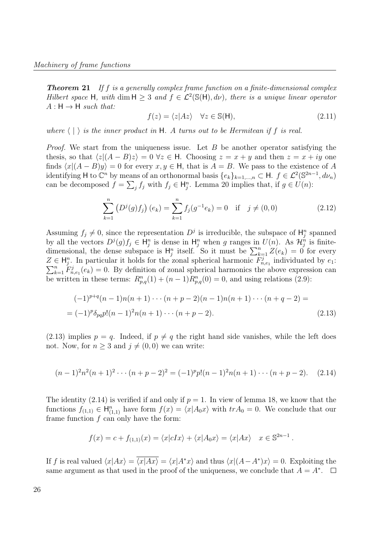**Theorem 21** If f is a generally complex frame function on a finite-dimensional complex Hilbert space H, with dim  $H \geq 3$  and  $f \in \mathcal{L}^2(\mathbb{S}(\mathsf{H}), d\nu)$ , there is a unique linear operator  $A : H \rightarrow H$  such that:

$$
f(z) = \langle z | Az \rangle \quad \forall z \in \mathbb{S}(\mathsf{H}), \tag{2.11}
$$

where  $\langle \cdot | \cdot \rangle$  is the inner product in H. A turns out to be Hermitean if f is real.

*Proof.* We start from the uniqueness issue. Let  $B$  be another operator satisfying the thesis, so that  $\langle z|(A - B)z \rangle = 0$   $\forall z \in \mathsf{H}$ . Choosing  $z = x + y$  and then  $z = x + iy$  one finds  $\langle x|(A - B)y \rangle = 0$  for every  $x, y \in H$ , that is  $A = B$ . We pass to the existence of A identifying H to  $\mathbb{C}^n$  by means of an orthonormal basis  $\{e_k\}_{k=1,\dots,n} \subset H$ .  $f \in \mathcal{L}^2(\mathbb{S}^{2n-1}, d\nu_n)$ can be decomposed  $f = \sum_j f_j$  with  $f_j \in \mathsf{H}_j^n$ . Lemma 20 implies that, if  $g \in U(n)$ :

$$
\sum_{k=1}^{n} \left( D^{j}(g) f_{j} \right) (e_{k}) = \sum_{k=1}^{n} f_{j}(g^{-1} e_{k}) = 0 \quad \text{if} \quad j \neq (0,0)
$$
 (2.12)

Assuming  $f_j \neq 0$ , since the representation  $D^j$  is irreducible, the subspace of  $\mathsf{H}_j^n$  spanned by all the vectors  $D^j(g)f_j \in H_j^n$  is dense in  $H_j^n$  when g ranges in  $U(n)$ . As  $\mathcal{H}_j^n$  is finitedimensional, the dense subspace is  $H_j^n$  itself. So it must be  $\sum_{k=1}^n Z(e_k) = 0$  for every  $Z \in \mathsf{H}_{j}^{n}$ . In particular it holds for the zonal spherical harmonic  $F_{n,e_1}^{j}$  individuated by  $e_1$ :  $\Sigma \in \Pi_j$ . In particular it holds for the zonal spherical harmonics the above expression can  $\sum_{k=1}^n F_{n,e_1}^j(e_k) = 0$ . By definition of zonal spherical harmonics the above expression can be written in these terms:  $R_{p,q}^n(1) + (n-1)R_{p,q}^n(0) = 0$ , and using relations (2.9):

$$
(-1)^{p+q}(n-1)n(n+1)\cdots(n+p-2)(n-1)n(n+1)\cdots(n+q-2) =
$$
  
=  $(-1)^p \delta_{pq} p!(n-1)^2 n(n+1)\cdots(n+p-2).$  (2.13)

 $(2.13)$  implies  $p = q$ . Indeed, if  $p \neq q$  the right hand side vanishes, while the left does not. Now, for  $n \geq 3$  and  $j \neq (0, 0)$  we can write:

$$
(n-1)^{2}n^{2}(n+1)^{2}\cdots(n+p-2)^{2} = (-1)^{p}p!(n-1)^{2}n(n+1)\cdots(n+p-2).
$$
 (2.14)

The identity (2.14) is verified if and only if  $p = 1$ . In view of lemma 18, we know that the functions  $f_{(1,1)} \in \mathsf{H}_{(1,1)}^n$  have form  $f(x) = \langle x | A_0 x \rangle$  with  $tr A_0 = 0$ . We conclude that our frame function  $f$  can only have the form:

$$
f(x) = c + f_{(1,1)}(x) = \langle x | cIx \rangle + \langle x | A_0 x \rangle = \langle x | Ax \rangle \quad x \in \mathbb{S}^{2n-1}.
$$

If f is real valued  $\langle x|Ax\rangle = \overline{\langle x|Ax\rangle} = \langle x|A^*x\rangle$  and thus  $\langle x|(A-A^*)x\rangle = 0$ . Exploiting the same argument as that used in the proof of the uniqueness, we conclude that  $A = A^*$ .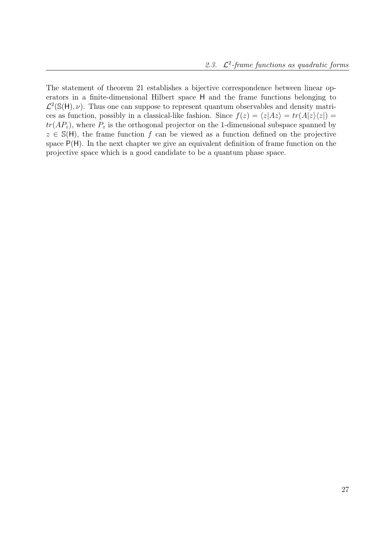The statement of theorem 21 establishes a bijective correspondence between linear operators in a finite-dimensional Hilbert space H and the frame functions belonging to  $\mathcal{L}^2(\mathbb{S}(\mathsf{H}), \nu)$ . Thus one can suppose to represent quantum observables and density matrices as function, possibly in a classical-like fashion. Since  $f(z) = \langle z|Az \rangle = tr(A|z)\langle z|$  =  $tr(AP_z)$ , where  $P_z$  is the orthogonal projector on the 1-dimensional subspace spanned by  $z \in \mathbb{S}(\mathsf{H})$ , the frame function f can be viewed as a function defined on the projective space  $P(H)$ . In the next chapter we give an equivalent definition of frame function on the projective space which is a good candidate to be a quantum phase space.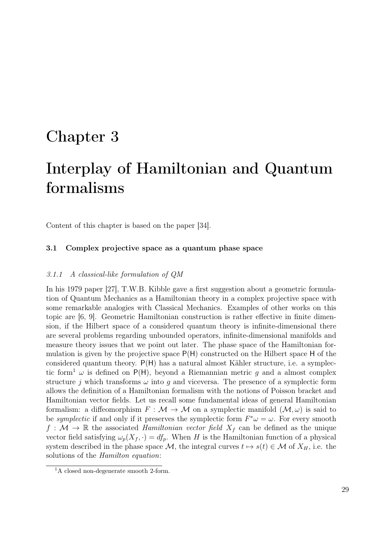## Chapter 3

# Interplay of Hamiltonian and Quantum formalisms

Content of this chapter is based on the paper [34].

### 3.1 Complex projective space as a quantum phase space

#### 3.1.1 A classical-like formulation of QM

In his 1979 paper [27], T.W.B. Kibble gave a first suggestion about a geometric formulation of Quantum Mechanics as a Hamiltonian theory in a complex projective space with some remarkable analogies with Classical Mechanics. Examples of other works on this topic are [6, 9]. Geometric Hamiltonian construction is rather effective in finite dimension, if the Hilbert space of a considered quantum theory is infinite-dimensional there are several problems regarding unbounded operators, infinite-dimensional manifolds and measure theory issues that we point out later. The phase space of the Hamiltonian formulation is given by the projective space P(H) constructed on the Hilbert space H of the considered quantum theory.  $P(H)$  has a natural almost Kähler structure, i.e. a symplectic form<sup>1</sup>  $\omega$  is defined on P(H), beyond a Riemannian metric q and a almost complex structure j which transforms  $\omega$  into q and viceversa. The presence of a symplectic form allows the definition of a Hamiltonian formalism with the notions of Poisson bracket and Hamiltonian vector fields. Let us recall some fundamental ideas of general Hamiltonian formalism: a diffeomorphism  $F : \mathcal{M} \to \mathcal{M}$  on a symplectic manifold  $(\mathcal{M}, \omega)$  is said to be *symplectic* if and only if it preserves the symplectic form  $F^*\omega = \omega$ . For every smooth  $f : \mathcal{M} \to \mathbb{R}$  the associated *Hamiltonian vector field*  $X_f$  can be defined as the unique vector field satisfying  $\omega_p(X_f, \cdot) = df_p$ . When H is the Hamiltonian function of a physical system described in the phase space M, the integral curves  $t \mapsto s(t) \in \mathcal{M}$  of  $X_H$ , i.e. the solutions of the Hamilton equation:

<sup>&</sup>lt;sup>1</sup>A closed non-degenerate smooth  $2$ -form.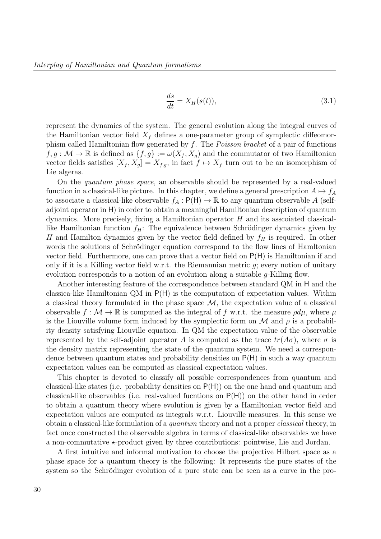$$
\frac{ds}{dt} = X_H(s(t)),\tag{3.1}
$$

represent the dynamics of the system. The general evolution along the integral curves of the Hamiltonian vector field  $X_f$  defines a one-parameter group of symplectic diffeomorphism called Hamiltonian flow generated by f. The Poisson bracket of a pair of functions  $f, g: \mathcal{M} \to \mathbb{R}$  is defined as  $\{f, g\} := \omega(X_f, X_g)$  and the commutator of two Hamiltonian vector fields satisfies  $[X_f, X_g] = X_{f,g}$ , in fact  $f \mapsto X_f$  turn out to be an isomorphism of Lie algeras.

On the quantum phase space, an observable should be represented by a real-valued function in a classical-like picture. In this chapter, we define a general prescription  $A \mapsto f_A$ to associate a classical-like observable  $f_A : P(H) \to \mathbb{R}$  to any quantum observable A (selfadjoint operator in H) in order to obtain a meaningful Hamiltonian description of quantum dynamics. More precisely, fixing a Hamiltonian operator  $H$  and its associated classicallike Hamiltonian function  $f_H$ : The equivalence between Schrödinger dynamics given by H and Hamilton dynamics given by the vector field defined by  $f_H$  is required. In other words the solutions of Schrödinger equation correspond to the flow lines of Hamltonian vector field. Furthermore, one can prove that a vector field on P(H) is Hamiltonian if and only if it is a Killing vector field w.r.t. the Riemannian metric  $g$ ; every notion of unitary evolution corresponds to a notion of an evolution along a suitable g-Killing flow.

Another interesting feature of the correspondence between standard QM in H and the classica-like Hamiltonian QM in P(H) is the computation of expectation values. Within a classical theory formulated in the phase space  $\mathcal{M}$ , the expectation value of a classical observable  $f : \mathcal{M} \to \mathbb{R}$  is computed as the integral of f w.r.t. the measure  $\rho d\mu$ , where  $\mu$ is the Liouville volume form induced by the symplectic form on  $\mathcal M$  and  $\rho$  is a probability density satisfying Liouville equation. In QM the expectation value of the observable represented by the self-adjoint operator A is computed as the trace  $tr(A\sigma)$ , where  $\sigma$  is the density matrix representing the state of the quantum system. We need a correspondence between quantum states and probability densities on P(H) in such a way quantum expectation values can be computed as classical expectation values.

This chapter is devoted to classify all possible correspondences from quantum and classical-like states (i.e. probability densities on P(H)) on the one hand and quantum and classical-like observables (i.e. real-valued fucntions on P(H)) on the other hand in order to obtain a quantum theory where evolution is given by a Hamiltonian vector field and expectation values are computed as integrals w.r.t. Liouville measures. In this sense we obtain a classical-like formulation of a quantum theory and not a proper classical theory, in fact once constructed the observable algebra in terms of classical-like observables we have a non-commutative  $\star$ -product given by three contributions: pointwise, Lie and Jordan.

A first intuitive and informal motivation to choose the projective Hilbert space as a phase space for a quantum theory is the following: It represents the pure states of the system so the Schrödinger evolution of a pure state can be seen as a curve in the pro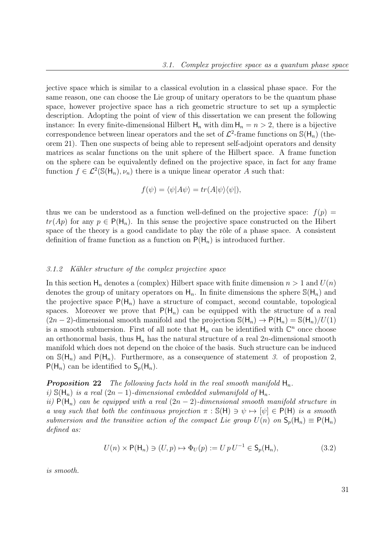jective space which is similar to a classical evolution in a classical phase space. For the same reason, one can choose the Lie group of unitary operators to be the quantum phase space, however projective space has a rich geometric structure to set up a symplectic description. Adopting the point of view of this dissertation we can present the following instance: In every finite-dimensional Hilbert  $H_n$  with dim  $H_n = n > 2$ , there is a bijective correspondence between linear operators and the set of  $\mathcal{L}^2$ -frame functions on  $\mathbb{S}(\mathsf{H}_n)$  (theorem 21). Then one suspects of being able to represent self-adjoint operators and density matrices as scalar functions on the unit sphere of the Hilbert space. A frame function on the sphere can be equivalently defined on the projective space, in fact for any frame function  $f \in \mathcal{L}^2(\mathbb{S}(\mathsf{H}_n), \nu_n)$  there is a unique linear operator A such that:

$$
f(\psi) = \langle \psi | A\psi \rangle = tr(A|\psi\rangle \langle \psi|),
$$

thus we can be understood as a function well-defined on the projective space:  $f(p)$  =  $tr(Ap)$  for any  $p \in P(H_n)$ . In this sense the projective space constructed on the Hibert space of the theory is a good candidate to play the rôle of a phase space. A consistent definition of frame function as a function on  $P(H_n)$  is introduced further.

#### 3.1.2 Kähler structure of the complex projective space

In this section  $\mathsf{H}_n$  denotes a (complex) Hilbert space with finite dimension  $n > 1$  and  $U(n)$ denotes the group of unitary operators on  $H_n$ . In finite dimensions the sphere  $\mathbb{S}(H_n)$  and the projective space  $P(H_n)$  have a structure of compact, second countable, topological spaces. Moreover we prove that  $P(H_n)$  can be equipped with the structure of a real  $(2n-2)$ -dimensional smooth manifold and the projection  $\mathbb{S}(\mathsf{H}_n) \to \mathsf{P}(\mathsf{H}_n) = \mathbb{S}(\mathsf{H}_n)/U(1)$ is a smooth submersion. First of all note that  $H_n$  can be identified with  $\mathbb{C}^n$  once choose an orthonormal basis, thus  $H_n$  has the natural structure of a real 2n-dimensional smooth manifold which does not depend on the choice of the basis. Such structure can be induced on  $\mathcal{S}(\mathsf{H}_n)$  and  $\mathsf{P}(\mathsf{H}_n)$ . Furthermore, as a consequence of statement 3. of propostion 2,  $P(H_n)$  can be identified to  $S_p(H_n)$ .

## **Proposition 22** The following facts hold in the real smooth manifold  $H_n$ .

i)  $\mathbb{S}(\mathsf{H}_n)$  is a real  $(2n-1)$ -dimensional embedded submanifold of  $\mathsf{H}_n$ .

ii)  $P(H_n)$  can be equipped with a real  $(2n-2)$ -dimensional smooth manifold structure in a way such that both the continuous projection  $\pi : \mathbb{S}(\mathsf{H}) \ni \psi \mapsto [\psi] \in \mathsf{P}(\mathsf{H})$  is a smooth submersion and the transitive action of the compact Lie group  $U(n)$  on  $S_n(H_n) \equiv P(H_n)$ defined as:

$$
U(n) \times \mathsf{P}(\mathsf{H}_n) \ni (U, p) \mapsto \Phi_U(p) := U p U^{-1} \in \mathsf{S}_p(\mathsf{H}_n),\tag{3.2}
$$

is smooth.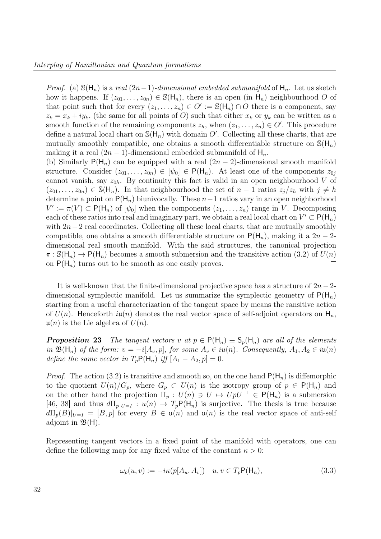on  $P(H_n)$  turns out to be smooth as one easily proves.

*Proof.* (a)  $\mathcal{S}(\mathsf{H}_n)$  is a real  $(2n-1)$ -dimensional embedded submanifold of  $\mathsf{H}_n$ . Let us sketch how it happens. If  $(z_{01},...,z_{0n}) \in \mathbb{S}(\mathsf{H}_n)$ , there is an open (in  $\mathsf{H}_n$ ) neighbourhood O of that point such that for every  $(z_1, \ldots, z_n) \in O' := \mathbb{S}(\mathsf{H}_n) \cap O$  there is a component, say  $z_k = x_k + iy_k$ , (the same for all points of O) such that either  $x_k$  or  $y_k$  can be written as a smooth function of the remaining components  $z_h$ , when  $(z_1, \ldots, z_n) \in O'$ . This procedure define a natural local chart on  $\mathbb{S}(\mathsf{H}_n)$  with domain O'. Collecting all these charts, that are mutually smoothly compatible, one obtains a smooth differentiable structure on  $\mathbb{S}(\mathsf{H}_n)$ making it a real  $(2n - 1)$ -dimensional embedded submanifold of  $H_n$ . (b) Similarly  $P(H_n)$  can be equipped with a real  $(2n-2)$ -dimensional smooth manifold structure. Consider  $(z_{01},...,z_{0n}) \in [\psi_0] \in P(H_n)$ . At least one of the components  $z_{0i}$ cannot vanish, say  $z_{0h}$ . By continuity this fact is valid in an open neighbourhood V of  $(z_{01},..., z_{0n}) \in \mathbb{S}(\mathsf{H}_n)$ . In that neighbourhood the set of  $n-1$  ratios  $z_j/z_h$  with  $j \neq h$ determine a point on  $P(H_n)$  biunivocally. These  $n-1$  ratios vary in an open neighborhood  $V' := \pi(V) \subset P(H_n)$  of  $[\psi_0]$  when the components  $(z_1, \ldots, z_n)$  range in V. Decomposing each of these ratios into real and imaginary part, we obtain a real local chart on  $V' \subset P(H_n)$ with  $2n-2$  real coordinates. Collecting all these local charts, that are mutually smoothly compatible, one obtains a smooth differentiable structure on  $P(H_n)$ , making it a  $2n-2$ dimensional real smooth manifold. With the said structures, the canonical projection  $\pi : \mathcal{S}(\mathsf{H}_n) \to \mathsf{P}(\mathsf{H}_n)$  becomes a smooth submersion and the transitive action (3.2) of  $U(n)$ 

It is well-known that the finite-dimensional projective space has a structure of  $2n-2$ dimensional symplectic manifold. Let us summarize the symplectic geometry of  $P(H_n)$ starting from a useful characterization of the tangent space by means the ransitive action of  $U(n)$ . Henceforth  $i\mathfrak{u}(n)$  denotes the real vector space of self-adjoint operators on  $\mathsf{H}_n$ ,  $u(n)$  is the Lie algebra of  $U(n)$ .

**Proposition 23** The tangent vectors v at  $p \in P(H_n) \equiv S_n(H_n)$  are all of the elements in  $\mathfrak{B}(\mathsf{H}_n)$  of the form:  $v = -i[A_v, p]$ , for some  $A_v \in iu(n)$ . Consequently,  $A_1, A_2 \in iu(n)$ define the same vector in  $T_pP(H_n)$  iff  $[A_1 - A_2, p] = 0$ .

*Proof.* The action (3.2) is transitive and smooth so, on the one hand  $P(H_n)$  is diffemorphic to the quotient  $U(n)/G_p$ , where  $G_p \subset U(n)$  is the isotropy group of  $p \in P(H_n)$  and on the other hand the projection  $\Pi_p : U(n) \ni U \mapsto UpU^{-1} \in P(H_n)$  is a submersion [46, 38] and thus  $d\Pi_p|_{U=I} : u(n) \to T_pP(H_n)$  is surjective. The thesis is true because  $d\Pi_p(B)|_{U=I} = [B, p]$  for every  $B \in \mathfrak{u}(n)$  and  $\mathfrak{u}(n)$  is the real vector space of anti-self adjoint in  $\mathfrak{B}(\mathsf{H})$ .  $\Box$ 

Representing tangent vectors in a fixed point of the manifold with operators, one can define the following map for any fixed value of the constant  $\kappa > 0$ :

$$
\omega_p(u, v) := -i\kappa(p[A_u, A_v]) \quad u, v \in T_p \mathsf{P}(\mathsf{H}_n), \tag{3.3}
$$

 $\Box$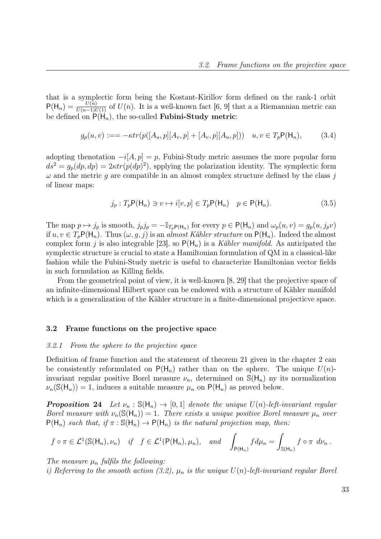that is a symplectic form being the Kostant-Kirillov form defined on the rank-1 orbit  $P(H_n) = \frac{U(n)}{U(n-1)U(1)}$  of  $U(n)$ . It is a well-known fact [6, 9] that a a Riemannian metric can be defined on  $P(H_n)$ , the so-called **Fubini-Study metric:** 

$$
g_p(u, v) := -\kappa tr(p([A_u, p][A_v, p] + [A_v, p][A_u, p])) \quad u, v \in T_p \mathsf{P}(\mathsf{H}_n), \tag{3.4}
$$

adopting thenotation  $-i[A, p] = p$ , Fubini-Study metric assumes the more popular form  $ds^2 = g_p(dp, dp) = 2\kappa tr(p(dp)^2)$ , spplying the polarization identity. The symplectic form  $\omega$  and the metric g are compatible in an almost complex structure defined by the class j of linear maps:

$$
j_p: T_p \mathsf{P}(\mathsf{H}_n) \ni v \mapsto i[v, p] \in T_p \mathsf{P}(\mathsf{H}_n) \quad p \in \mathsf{P}(\mathsf{H}_n). \tag{3.5}
$$

The map  $p \mapsto j_p$  is smooth,  $j_p j_p = -\mathbb{I}_{T_p P(H_n)}$  for every  $p \in P(H_n)$  and  $\omega_p(u, v) = g_p(u, j_p v)$ if  $u, v \in T_pP(H_n)$ . Thus  $(\omega, q, j)$  is an almost Kähler structure on  $P(H_n)$ . Indeed the almost complex form j is also integrable [23], so  $P(H_n)$  is a Kähler manifold. As anticipated the symplectic structure is crucial to state a Hamiltonian formulation of QM in a classical-like fashion while the Fubini-Study metric is useful to characterize Hamiltonian vector fields in such formulation as Killing fields.

From the geometrical point of view, it is well-known [8, 29] that the projective space of an infinite-dimensional Hilbert space can be endowed with a structure of Kähler manifold which is a generalization of the Kähler structure in a finite-dimensional projecticve space.

#### 3.2 Frame functions on the projective space

#### 3.2.1 From the sphere to the projective space

Definition of frame function and the statement of theorem 21 given in the chapter 2 can be consistently reformulated on  $P(H_n)$  rather than on the sphere. The unique  $U(n)$ invariant regular positive Borel measure  $\nu_n$ , determined on  $\mathbb{S}(\mathsf{H}_n)$  ny its normalization  $\nu_n(\mathbb{S}(\mathsf{H}_n)) = 1$ , induces a suitable measure  $\mu_n$  on  $\mathsf{P}(\mathsf{H}_n)$  as proved below.

**Proposition 24** Let  $\nu_n : \mathcal{S}(\mathcal{H}_n) \to [0,1]$  denote the unique  $U(n)$ -left-invariant regular Borel measure with  $\nu_n(\mathbb{S}(\mathsf{H}_n)) = 1$ . There exists a unique positive Borel measure  $\mu_n$  over  $P(H_n)$  such that, if  $\pi : S(H_n) \to P(H_n)$  is the natural projection map, then:

$$
f \circ \pi \in \mathcal{L}^1(\mathbb{S}(\mathsf{H}_n), \nu_n)
$$
 if  $f \in \mathcal{L}^1(\mathsf{P}(\mathsf{H}_n), \mu_n)$ , and  $\int_{\mathsf{P}(\mathsf{H}_n)} f d\mu_n = \int_{\mathbb{S}(\mathsf{H}_n)} f \circ \pi d\nu_n$ .

The measure  $\mu_n$  fulfils the following:

i) Referring to the smooth action (3.2),  $\mu_n$  is the unique  $U(n)$ -left-invariant regular Borel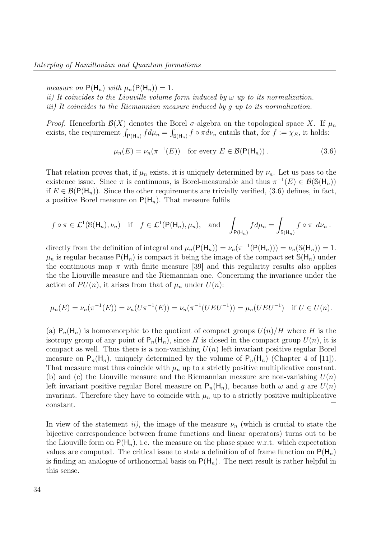measure on  $P(H_n)$  with  $\mu_n(P(H_n)) = 1$ .

ii) It coincides to the Liouville volume form induced by  $\omega$  up to its normalization. iii) It coincides to the Riemannian measure induced by g up to its normalization.

*Proof.* Henceforth  $\mathcal{B}(X)$  denotes the Borel  $\sigma$ -algebra on the topological space X. If  $\mu_n$ exists, the requirement  $\int_{P(H_n)} f d\mu_n = \int_{S(H_n)} f \circ \pi d\nu_n$  entails that, for  $f := \chi_E$ , it holds:

$$
\mu_n(E) = \nu_n(\pi^{-1}(E)) \quad \text{for every } E \in \mathcal{B}(\mathsf{P}(\mathsf{H}_n)) \,. \tag{3.6}
$$

That relation proves that, if  $\mu_n$  exists, it is uniquely determined by  $\nu_n$ . Let us pass to the existence issue. Since  $\pi$  is continuous, is Borel-measurable and thus  $\pi^{-1}(E) \in \mathcal{B}(\mathbb{S}(\mathsf{H}_n))$ if  $E \in \mathcal{B}(\mathsf{P}(\mathsf{H}_n))$ . Since the other requirements are trivially verified, (3.6) defines, in fact, a positive Borel measure on  $P(H_n)$ . That measure fulfils

$$
f \circ \pi \in \mathcal{L}^1(\mathbb{S}(\mathsf{H}_n), \nu_n)
$$
 if  $f \in \mathcal{L}^1(\mathsf{P}(\mathsf{H}_n), \mu_n)$ , and  $\int_{\mathsf{P}(\mathsf{H}_n)} f d\mu_n = \int_{\mathbb{S}(\mathsf{H}_n)} f \circ \pi d\nu_n$ .

directly from the definition of integral and  $\mu_n(\mathsf{P}(\mathsf{H}_n)) = \nu_n(\pi^{-1}(\mathsf{P}(\mathsf{H}_n))) = \nu_n(\mathbb{S}(\mathsf{H}_n)) = 1$ .  $\mu_n$  is regular because  $P(H_n)$  is compact it being the image of the compact set  $\mathcal{S}(H_n)$  under the continuous map  $\pi$  with finite measure [39] and this regularity results also applies the the Liouville measure and the Riemannian one. Concerning the invariance under the action of  $PU(n)$ , it arises from that of  $\mu_n$  under  $U(n)$ :

$$
\mu_n(E) = \nu_n(\pi^{-1}(E)) = \nu_n(U\pi^{-1}(E)) = \nu_n(\pi^{-1}(UEU^{-1})) = \mu_n(UEU^{-1}) \text{ if } U \in U(n).
$$

(a)  $P_n(H_n)$  is homeomorphic to the quotient of compact groups  $U(n)/H$  where H is the isotropy group of any point of  $P_n(H_n)$ , since H is closed in the compact group  $U(n)$ , it is compact as well. Thus there is a non-vanishing  $U(n)$  left invariant positive regular Borel measure on  $P_n(H_n)$ , uniquely determined by the volume of  $P_n(H_n)$  (Chapter 4 of [11]). That measure must thus coincide with  $\mu_n$  up to a strictly positive multiplicative constant. (b) and (c) the Liouville measure and the Riemannian measure are non-vanishing  $U(n)$ left invariant positive regular Borel measure on  $P_n(H_n)$ , because both  $\omega$  and g are  $U(n)$ invariant. Therefore they have to coincide with  $\mu_n$  up to a strictly positive multiplicative constant.  $\Box$ 

In view of the statement ii), the image of the measure  $\nu_n$  (which is crucial to state the bijective correspondence between frame functions and linear operators) turns out to be the Liouville form on  $P(H_n)$ , i.e. the measure on the phase space w.r.t. which expectation values are computed. The critical issue to state a definition of of frame function on  $P(H_n)$ is finding an analogue of orthonormal basis on  $P(H_n)$ . The next result is rather helpful in this sense.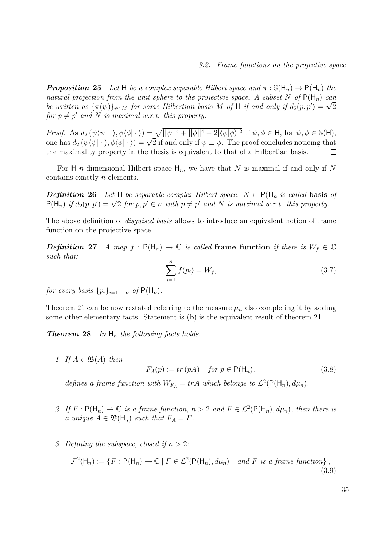**Proposition 25** Let H be a complex separable Hilbert space and  $\pi : \mathbb{S}(\mathsf{H}_n) \to \mathsf{P}(\mathsf{H}_n)$  the natural projection from the unit sphere to the projective space. A subset N of  $P(H_n)$  can *be written as*  ${\{\pi(\psi)\}}_{\psi \in M}$  for some Hilbertian basis M of H if and only if  $d_2(p, p') = \sqrt{2}$ for  $p \neq p'$  and N is maximal w.r.t. this property.

Proof. As  $d_2(\psi \langle \psi | \cdot \rangle, \phi \langle \phi | \cdot \rangle) = \sqrt{||\psi||^4 + ||\phi||^4 - 2|\langle \psi | \phi \rangle|^2}$  if  $\psi, \phi \in \mathsf{H}$ , for  $\psi, \phi \in \mathbb{S}(\mathsf{H})$ , one has  $d_2(\psi(\psi|\cdot), \phi(\phi|\cdot)) = \sqrt{2}$  if and only if  $\psi \perp \phi$ . The proof concludes noticing that  $d_2(\psi(\psi|\cdot), \phi(\phi|\cdot)) = \sqrt{2}$  if and only if  $\psi \perp \phi$ . The proof concludes noticing that the maximality property in the thesis is equivalent to that of a Hilbertian basis.  $\Box$ 

For H *n*-dimensional Hilbert space  $H_n$ , we have that N is maximal if and only if N contains exactly n elements.

**Definition 26** Let H be separable complex Hilbert space.  $N \subset P(H_n$  is called basis of **Definition 26** Let  $\mathbf{H}$  be separable complex Hilbert space.  $N \subset \mathbf{P}(\mathbf{H}_n)$  is called **Dasis**  $\mathbf{P}(\mathbf{H}_n)$  if  $d_2(p, p') = \sqrt{2}$  for  $p, p' \in n$  with  $p \neq p'$  and N is maximal w.r.t. this property.

The above definition of *disquised basis* allows to introduce an equivalent notion of frame function on the projective space.

**Definition 27** A map  $f : P(H_n) \to \mathbb{C}$  is called frame function if there is  $W_f \in \mathbb{C}$ such that:

$$
\sum_{i=1}^{n} f(p_i) = W_f,
$$
\n(3.7)

for every basis  $\{p_i\}_{i=1,\dots,n}$  of  $P(H_n)$ .

Theorem 21 can be now restated referring to the measure  $\mu_n$  also completing it by adding some other elementary facts. Statement is (b) is the equivalent result of theorem 21.

**Theorem 28** In  $H_n$  the following facts holds.

1. If  $A \in \mathfrak{B}(A)$  then

$$
F_A(p) := tr(pA) \quad \text{for } p \in \mathsf{P}(\mathsf{H}_n). \tag{3.8}
$$

defines a frame function with  $W_{FA} = trA$  which belongs to  $\mathcal{L}^2(\mathsf{P}(\mathsf{H}_n), d\mu_n)$ .

- 2. If  $F: P(H_n) \to \mathbb{C}$  is a frame function,  $n > 2$  and  $F \in \mathcal{L}^2(P(H_n), d\mu_n)$ , then there is a unique  $A \in \mathfrak{B}(\mathsf{H}_n)$  such that  $F_A = F$ .
- 3. Defining the subspace, closed if  $n > 2$ :

$$
\mathcal{F}^2(\mathsf{H}_n) := \{ F : \mathsf{P}(\mathsf{H}_n) \to \mathbb{C} \mid F \in \mathcal{L}^2(\mathsf{P}(\mathsf{H}_n), d\mu_n) \quad \text{and } F \text{ is a frame function} \},
$$
\n(3.9)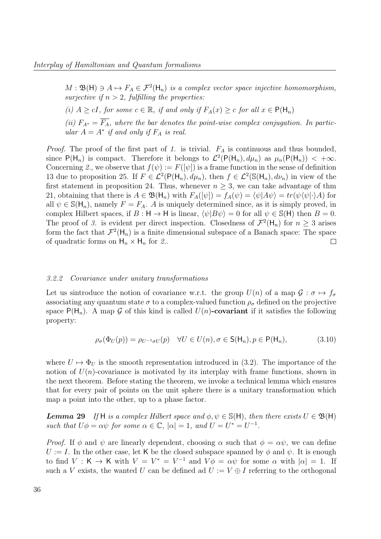$M : \mathfrak{B}(\mathsf{H}) \ni A \mapsto F_A \in \mathcal{F}^2(\mathsf{H}_n)$  is a complex vector space injective homomorphism, surjective if  $n > 2$ , fulfilling the properties:

(i)  $A \ge cI$ , for some  $c \in \mathbb{R}$ , if and only if  $F_A(x) \ge c$  for all  $x \in \mathsf{P}(\mathsf{H}_n)$ 

(ii)  $F_{A^*} = \overline{F_A}$ , where the bar denotes the point-wise complex conjugation. In particular  $A = A^*$  if and only if  $F_A$  is real.

*Proof.* The proof of the first part of 1. is trivial.  $F_A$  is continuous and thus bounded, since  $P(H_n)$  is compact. Therefore it belongs to  $\mathcal{L}^2(P(H_n), d\mu_n)$  as  $\mu_n(P(H_n)) < +\infty$ . Concerning 2., we observe that  $f(\psi) := F([\psi])$  is a frame function in the sense of definition 13 due to proposition 25. If  $F \in \mathcal{L}^2(\mathsf{P}(\mathsf{H}_n), d\mu_n)$ , then  $f \in \mathcal{L}^2(\mathbb{S}(\mathsf{H}_n), d\nu_n)$  in view of the first statement in proposition 24. Thus, whenever  $n \geq 3$ , we can take advantage of thm 21, obtaining that there is  $A \in \mathfrak{B}(\mathsf{H}_n)$  with  $F_A([\psi]) = f_A(\psi) = \langle \psi | A\psi \rangle = tr(\psi \langle \psi | \cdot \rangle A)$  for all  $\psi \in \mathbb{S}(\mathsf{H}_n)$ , namely  $F = F_A$ . A is uniquely determined since, as it is simply proved, in complex Hilbert spaces, if  $B : H \to H$  is linear,  $\langle \psi | B \psi \rangle = 0$  for all  $\psi \in \mathcal{S}(H)$  then  $B = 0$ . The proof of 3. is evident per direct inspection. Closedness of  $\mathcal{F}^2(\mathsf{H}_n)$  for  $n \geq 3$  arises form the fact that  $\mathcal{F}^2(\mathsf{H}_n)$  is a finite dimensional subspace of a Banach space: The space of quadratic forms on  $H_n \times H_n$  for 2..  $\Box$ 

#### 3.2.2 Covariance under unitary transformations

Let us sintroduce the notion of covariance w.r.t. the group  $U(n)$  of a map  $\mathcal{G}: \sigma \mapsto f_{\sigma}$ associating any quantum state  $\sigma$  to a complex-valued function  $\rho_{\sigma}$  defined on the projective space  $P(H_n)$ . A map G of this kind is called  $U(n)$ -covariant if it satisfies the following property:

$$
\rho_{\sigma}(\Phi_U(p)) = \rho_{U^{-1}\sigma U}(p) \quad \forall U \in U(n), \sigma \in \mathsf{S}(\mathsf{H}_n), p \in \mathsf{P}(\mathsf{H}_n), \tag{3.10}
$$

where  $U \mapsto \Phi_U$  is the smooth representation introduced in (3.2). The importance of the notion of  $U(n)$ -covariance is motivated by its interplay with frame functions, shown in the next theorem. Before stating the theorem, we invoke a technical lemma which ensures that for every pair of points on the unit sphere there is a unitary transformation which map a point into the other, up to a phase factor.

**Lemma 29** If H is a complex Hilbert space and  $\phi, \psi \in \mathbb{S}(\mathsf{H})$ , then there exists  $U \in \mathfrak{B}(\mathsf{H})$ such that  $U\phi = \alpha\psi$  for some  $\alpha \in \mathbb{C}$ ,  $|\alpha| = 1$ , and  $U = U^* = U^{-1}$ .

*Proof.* If  $\phi$  and  $\psi$  are linearly dependent, choosing  $\alpha$  such that  $\phi = \alpha \psi$ , we can define  $U := I$ . In the other case, let K be the closed subspace spanned by  $\phi$  and  $\psi$ . It is enough to find  $V: K \to K$  with  $V = V^* = V^{-1}$  and  $V\phi = \alpha\psi$  for some  $\alpha$  with  $|\alpha| = 1$ . If such a V exists, the wanted U can be defined ad  $U := V \oplus I$  referring to the orthogonal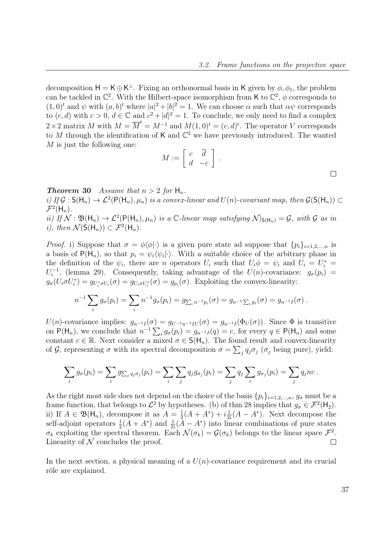decomposition  $H = K \oplus K^{\perp}$ . Fixing an orthonormal basis in K given by  $\phi, \phi_1$ , the problem can be tackled in  $\mathbb{C}^2$ . With the Hilbert-space isomorphism from K to  $\mathbb{C}^2$ ,  $\phi$  corresponds to  $(1,0)^t$  and  $\psi$  with  $(a,b)^t$  where  $|a|^2+|b|^2=1$ . We can choose  $\alpha$  such that  $\alpha\psi$  corresponds to  $(c, d)$  with  $c > 0$ ,  $d \in \mathbb{C}$  and  $c^2 + |d|^2 = 1$ . To conclude, we only need to find a complex  $2 \times 2$  matrix M with  $M = \overline{M}^t = M^{-1}$  and  $M(1,0)^t = (c,d)^t$ . The operator V corresponds to M through the identification of K and  $\mathbb{C}^2$  we have previously introduced. The wanted  $M$  is just the following one:

$$
M := \left[ \begin{array}{cc} c & \overline{d} \\ d & -c \end{array} \right] .
$$

 $\Box$ 

**Theorem 30** Assume that  $n > 2$  for  $H_n$ .

i) If  $\mathcal{G}: \mathsf{S}(\mathsf{H}_n) \to \mathcal{L}^2(\mathsf{P}(\mathsf{H}_n), \mu_n)$  is a convex-linear and  $U(n)$ -covariant map, then  $\mathcal{G}(\mathsf{S}(\mathsf{H}_n)) \subset$  $\mathcal{F}^2(\mathsf{H}_n)$ . ii) If  $\mathcal{N} : \mathfrak{B}(\mathsf{H}_n) \to \mathcal{L}^2(\mathsf{P}(\mathsf{H}_n), \mu_n)$  is a C-linear map satisfying  $\mathcal{N}|_{\mathsf{S}(\mathsf{H}_n)} = \mathcal{G}$ , with  $\mathcal G$  as in *i*), then  $\mathcal{N}(\mathsf{S}(\mathsf{H}_n)) \subset \mathcal{F}^2(\mathsf{H}_n)$ .

*Proof.* i) Suppose that  $\sigma = \phi\langle\phi|\cdot\rangle$  is a given pure state ad suppose that  $\{p_i\}_{i=1,2,...,n}$  is a basis of  $P(H_n)$ , so that  $p_i = \psi_i \langle \psi_i | \cdot \rangle$ . With a suitable choice of the arbitrary phase in the definition of the  $\psi_i$ , there are n operators  $U_i$  such that  $U_i \phi = \psi_i$  and  $U_i = U_i^*$  $U_i^{-1}$ <sup>-1</sup>, (lemma 29). Consequently, taking advantage of the  $U(n)$ -covariance:  $g_{\sigma}(p_i)$  =  $g_{\sigma}(U_i \sigma U_i^*) = g_{U_i^* \sigma U_i}(\sigma) = g_{U_i \sigma U_i^*}(\sigma) = g_{p_i}(\sigma)$ . Exploiting the convex-linearity:

$$
n^{-1} \sum_i g_{\sigma}(p_i) = \sum_i n^{-1} g_{\sigma}(p_i) = g_{\sum_i n^{-1} p_i}(\sigma) = g_{n^{-1} \sum_i p_i}(\sigma) = g_{n^{-1} I}(\sigma).
$$

U(n)-covariance implies:  $g_{n^{-1}I}(\sigma) = g_{U^{-1}n^{-1}IU}(\sigma) = g_{n^{-1}I}(\Phi_U(\sigma))$ . Since  $\Phi$  is transitive on  $P(H_n)$ , we conclude that  $n^{-1}\sum_i g_{\sigma}(p_i) = g_{n^{-1}I}(q) = c$ , for every  $q \in P(H_n)$  and some constant  $c \in \mathbb{R}$ . Next consider a mixed  $\sigma \in S(H_n)$ . The found result and convex-linearity of G, representing  $\sigma$  with its spectral decomposition  $\sigma = \sum_j q_j \sigma_j$  ( $\sigma_j$  being pure), yield:

$$
\sum_i g_{\sigma}(p_i) = \sum_i g_{\sum_j q_j \sigma_j}(p_i) = \sum_i \sum_j q_j g_{\sigma_j}(p_i) = \sum_j q_j \sum_i g_{\sigma_j}(p_i) = \sum_j q_j n c.
$$

As the right most side does not depend on the choice of the basis  $\{p_i\}_{i=1,2,\dots,n}$ ,  $g_{\sigma}$  must be a frame function, that belongs to  $\mathcal{L}^2$  by hypotheses. (b) of thm 28 implies that  $g_{\sigma} \in \mathcal{F}^2(\mathsf{H}_2)$ . ii) If  $A \in \mathfrak{B}(\mathsf{H}_n)$ , decompose it as  $A = \frac{1}{2}$  $\frac{1}{2}(A+A^*)+i\frac{1}{2}$  $\frac{1}{2i}(A - A^*)$ . Next decompose the self-adjoint operators  $\frac{1}{2}(A + A^*)$  and  $\frac{1}{2i}(\overline{A} - A^*)$  into linear combinations of pure states  $\sigma_k$  exploiting the spectral theorem. Each  $\mathcal{N}(\sigma_k) = \mathcal{G}(\sigma_k)$  belongs to the linear space  $\mathcal{F}^2$ . Linearity of  $N$  concludes the proof.  $\Box$ 

In the next section, a physical meaning of a  $U(n)$ -covariance requirement and its crucial rôle are explained.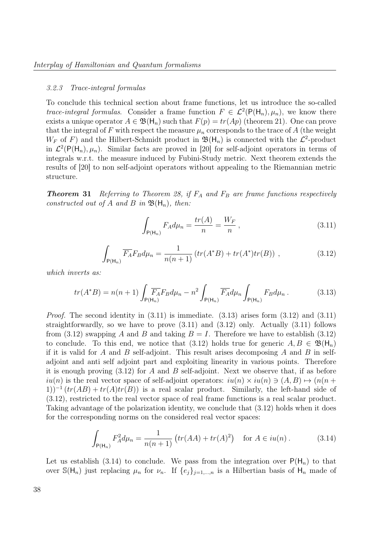#### 3.2.3 Trace-integral formulas

To conclude this technical section about frame functions, let us introduce the so-called trace-integral formulas. Consider a frame function  $F \in \mathcal{L}^2(\mathsf{P}(\mathsf{H}_n), \mu_n)$ , we know there exists a unique operator  $A \in \mathfrak{B}(\mathsf{H}_n)$  such that  $F(p) = tr(Ap)$  (theorem 21). One can prove that the integral of F with respect the measure  $\mu_n$  corresponds to the trace of A (the weight  $W_F$  of F) and the Hilbert-Schmidt product in  $\mathfrak{B}(\mathsf{H}_n)$  is connected with the  $\mathcal{L}^2$ -product in  $\mathcal{L}^2(\mathsf{P}(\mathsf{H}_n), \mu_n)$ . Similar facts are proved in [20] for self-adjoint operators in terms of integrals w.r.t. the measure induced by Fubini-Study metric. Next theorem extends the results of [20] to non self-adjoint operators without appealing to the Riemannian metric structure.

**Theorem 31** Referring to Theorem 28, if  $F_A$  and  $F_B$  are frame functions respectively constructed out of A and B in  $\mathfrak{B}(\mathsf{H}_n)$ , then:

$$
\int_{P(H_n)} F_A d\mu_n = \frac{tr(A)}{n} = \frac{W_F}{n},
$$
\n(3.11)

$$
\int_{P(H_n)} \overline{F_A} F_B d\mu_n = \frac{1}{n(n+1)} \left( tr(A^*B) + tr(A^*) tr(B) \right) ,\qquad (3.12)
$$

which inverts as:

$$
tr(A^*B) = n(n+1) \int_{\mathsf{P}(\mathsf{H}_n)} \overline{F_A} F_B d\mu_n - n^2 \int_{\mathsf{P}(\mathsf{H}_n)} \overline{F_A} d\mu_n \int_{\mathsf{P}(\mathsf{H}_n)} F_B d\mu_n.
$$
 (3.13)

*Proof.* The second identity in  $(3.11)$  is immediate.  $(3.13)$  arises form  $(3.12)$  and  $(3.11)$ straightforwardly, so we have to prove  $(3.11)$  and  $(3.12)$  only. Actually  $(3.11)$  follows from (3.12) swapping A and B and taking  $B = I$ . Therefore we have to establish (3.12) to conclude. To this end, we notice that (3.12) holds true for generic  $A, B \in \mathfrak{B}(\mathsf{H}_n)$ if it is valid for A and B self-adjoint. This result arises decomposing A and B in selfadjoint and anti self adjoint part and exploiting linearity in various points. Therefore it is enough proving  $(3.12)$  for A and B self-adjoint. Next we observe that, if as before  $iu(n)$  is the real vector space of self-adjoint operators:  $iu(n) \times iu(n) \ni (A, B) \mapsto (n(n +$ 1))<sup>-1</sup>  $(tr(AB) + tr(A)tr(B))$  is a real scalar product. Similarly, the left-hand side of (3.12), restricted to the real vector space of real frame functions is a real scalar product. Taking advantage of the polarization identity, we conclude that (3.12) holds when it does for the corresponding norms on the considered real vector spaces:

$$
\int_{P(H_n)} F_A^2 d\mu_n = \frac{1}{n(n+1)} \left( tr(AA) + tr(A)^2 \right) \quad \text{for } A \in i\mathfrak{u}(n) \,.
$$
 (3.14)

Let us establish (3.14) to conclude. We pass from the integration over  $P(H_n)$  to that over  $\mathbb{S}(\mathsf{H}_n)$  just replacing  $\mu_n$  for  $\nu_n$ . If  $\{e_j\}_{j=1,\dots,n}$  is a Hilbertian basis of  $\mathsf{H}_n$  made of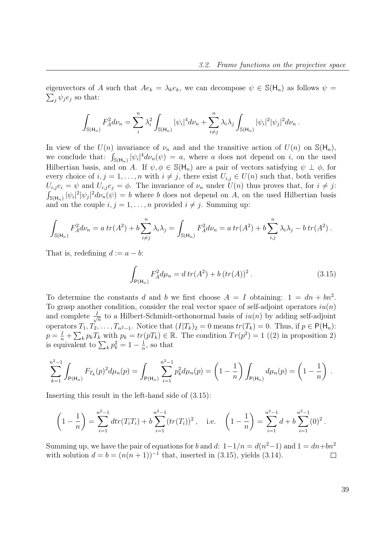$\sum_j \psi_j e_j$  so that: eigenvectors of A such that  $Ae_k = \lambda_k e_k$ , we can decompose  $\psi \in \mathbb{S}(\mathsf{H}_n)$  as follows  $\psi =$ 

$$
\int_{\mathbb{S}(\mathsf{H}_n)} F_A^2 d\nu_n = \sum_i^n \lambda_i^2 \int_{\mathbb{S}(\mathsf{H}_n)} |\psi_i|^4 d\nu_n + \sum_{i \neq j}^n \lambda_i \lambda_j \int_{\mathbb{S}(\mathsf{H}_n)} |\psi_i|^2 |\psi_j|^2 d\nu_n.
$$

In view of the  $U(n)$  invariance of  $\nu_n$  and and the transitive action of  $U(n)$  on  $\mathbb{S}(\mathsf{H}_n)$ , we conclude that:  $\int_{S(H_n)} |\psi_i|^4 d\nu_n(\psi) = a$ , where a does not depend on i, on the used Hilbertian basis, and on A. If  $\psi, \phi \in \mathbb{S}(\mathsf{H}_n)$  are a pair of vectors satisfying  $\psi \perp \phi$ , for every choice of  $i, j = 1, \ldots, n$  with  $i \neq j$ , there exist  $U_{i,j} \in U(n)$  such that, both verifies  $U_{i,j}e_i = \psi$  and  $U_{i,j}e_j = \phi$ . The invariance of  $\nu_n$  under  $U(n)$  thus proves that, for  $i \neq j$ :  $\int_{\mathbb{S}(\mathsf{H}_n)} |\psi_i|^2 |\psi_j|^2 d\nu_n(\psi) = b$  where b does not depend on A, on the used Hilbertian basis and on the couple  $i, j = 1, ..., n$  provided  $i \neq j$ . Summing up:

$$
\int_{\mathbb{S}(\mathsf{H}_n)} F_A^2 d\nu_n = a \operatorname{tr}(A^2) + b \sum_{i \neq j}^n \lambda_i \lambda_j = \int_{\mathbb{S}(\mathsf{H}_n)} F_A^2 d\nu_n = a \operatorname{tr}(A^2) + b \sum_{i,j}^n \lambda_i \lambda_j - b \operatorname{tr}(A^2).
$$

That is, redefining  $d := a - b$ :

$$
\int_{P(H_n)} F_A^2 d\mu_n = d \operatorname{tr}(A^2) + b \left( \operatorname{tr}(A) \right)^2. \tag{3.15}
$$

To determine the constants d and b we first choose  $A = I$  obtaining:  $1 = dn + bn^2$ . To grasp another condition, consider the real vector space of self-adjoint operators  $iu(n)$ and complete  $\frac{1}{\sqrt{2}}$  $\frac{1}{n}$  to a Hilbert-Schmidt-orthonormal basis of  $iu(n)$  by adding self-adjoint operators  $T_1, T_2, \ldots, T_{n^2-1}$ . Notice that  $(I|T_k)_2 = 0$  means  $tr(T_k) = 0$ . Thus, if  $p \in P(H_n)$ :  $p = \frac{I}{n} + \sum_{k} p_k T_k$  with  $p_k = tr(pT_k) \in \mathbb{R}$ . The condition  $Tr(p^2) = 1$  ((2) in proposition 2) is equivalent to  $\sum_k p_k^2 = 1 - \frac{1}{n}$  $\frac{1}{n}$ , so that

$$
\sum_{k=1}^{n^2-1} \int_{P(H_n)} F_{T_k}(p)^2 d\mu_n(p) = \int_{P(H_n)} \sum_{i=1}^{n^2-1} p_k^2 d\mu_n(p) = \left(1 - \frac{1}{n}\right) \int_{P(H_n)} d\mu_n(p) = \left(1 - \frac{1}{n}\right).
$$

Inserting this result in the left-hand side of (3.15):

$$
\left(1-\frac{1}{n}\right) = \sum_{i=1}^{n^2-1} \frac{d}{dt} \left(T_i T_i\right) + b \sum_{i=1}^{n^2-1} \left(t r(T_i)\right)^2, \quad \text{i.e.} \quad \left(1-\frac{1}{n}\right) = \sum_{i=1}^{n^2-1} \frac{d}{dt} + b \sum_{i=1}^{n^2-1} (0)^2.
$$

Summing up, we have the pair of equations for b and d:  $1-1/n = d(n^2-1)$  and  $1 = dn + bn^2$ with solution  $d = b = (n(n + 1))^{-1}$  that, inserted in (3.15), yields (3.14).  $\Box$ 

39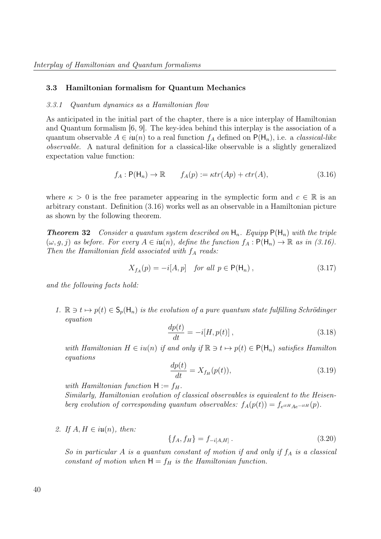#### 3.3 Hamiltonian formalism for Quantum Mechanics

#### 3.3.1 Quantum dynamics as a Hamiltonian flow

As anticipated in the initial part of the chapter, there is a nice interplay of Hamiltonian and Quantum formalism [6, 9]. The key-idea behind this interplay is the association of a quantum observable  $A \in i\mathfrak{u}(n)$  to a real function  $f_A$  defined on  $P(H_n)$ , i.e. a *classical-like* observable. A natural definition for a classical-like observable is a slightly generalized expectation value function:

$$
f_A: \mathsf{P}(\mathsf{H}_n) \to \mathbb{R} \qquad f_A(p) := \kappa tr(Ap) + \operatorname{ctr}(A), \tag{3.16}
$$

where  $\kappa > 0$  is the free parameter appearing in the symplectic form and  $c \in \mathbb{R}$  is an arbitrary constant. Definition (3.16) works well as an observable in a Hamiltonian picture as shown by the following theorem.

**Theorem 32** Consider a quantum system described on  $H_n$ . Equipp  $P(H_n)$  with the triple  $(\omega, g, j)$  as before. For every  $A \in i\mathfrak{u}(n)$ , define the function  $f_A : \mathsf{P}(\mathsf{H}_n) \to \mathbb{R}$  as in (3.16). Then the Hamiltonian field associated with  $f_A$  reads:

$$
X_{f_A}(p) = -i[A, p] \quad \text{for all } p \in \mathsf{P}(\mathsf{H}_n) \,, \tag{3.17}
$$

and the following facts hold:

1.  $\mathbb{R} \ni t \mapsto p(t) \in \mathsf{S}_p(\mathsf{H}_n)$  is the evolution of a pure quantum state fulfilling Schrödinger equation

$$
\frac{dp(t)}{dt} = -i[H, p(t)],
$$
\n(3.18)

with Hamiltonian  $H \in iu(n)$  if and only if  $\mathbb{R} \ni t \mapsto p(t) \in P(H_n)$  satisfies Hamilton equations

$$
\frac{dp(t)}{dt} = X_{f_H}(p(t)),\tag{3.19}
$$

with Hamiltonian function  $H := f_H$ .

Similarly, Hamiltonian evolution of classical observables is equivalent to the Heisenberg evolution of corresponding quantum observables:  $f_A(p(t)) = f_{e^{itH}Ae^{-itH}}(p)$ .

2. If  $A, H \in i\mathfrak{u}(n)$ , then:

$$
\{f_A, f_H\} = f_{-i[A, H]} \,. \tag{3.20}
$$

So in particular A is a quantum constant of motion if and only if  $f_A$  is a classical constant of motion when  $H = f_H$  is the Hamiltonian function.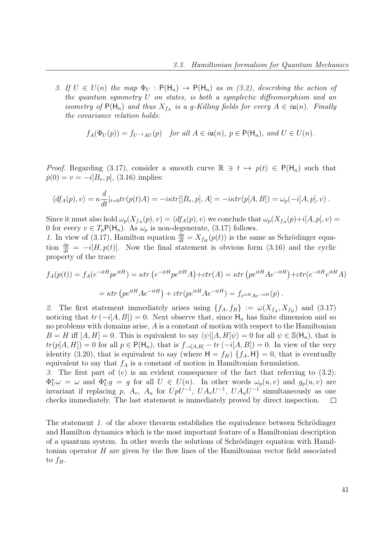3. If  $U \in U(n)$  the map  $\Phi_U : P(H_n) \to P(H_n)$  as in (3.2), describing the action of the quantum symmetry U on states, is both a symplectic diffeomorphism and an isometry of  $P(H_n)$  and thus  $X_{f_A}$  is a g-Killing fields for every  $A \in i\mathfrak{u}(n)$ . Finally the covariance relation holds:

$$
f_A(\Phi_U(p)) = f_{U^{-1}AU}(p) \quad \text{for all } A \in i\mathfrak{u}(n), \ p \in \mathsf{P}(\mathsf{H}_n), \text{ and } U \in U(n).
$$

*Proof.* Regarding (3.17), consider a smooth curve  $\mathbb{R} \ni t \mapsto p(t) \in P(H_n)$  such that  $\dot{p}(0) = v = -i[B_v, p], (3.16)$  implies:

$$
\langle df_A(p), v \rangle = \kappa \frac{d}{dt}|_{t=0} tr(p(t)A) = -i\kappa tr[[B_v, p], A] = -i\kappa tr(p[A, B]) = \omega_p(-i[A, p], v) .
$$

Since it must also hold  $\omega_p(X_{f_A}(p), v) = \langle df_A(p), v \rangle$  we conclude that  $\omega_p(X_{f_A}(p)+i[A, p], v) =$ 0 for every  $v \in T_p\mathsf{P}(\mathsf{H}_n)$ . As  $\omega_p$  is non-degenerate, (3.17) follows.

1. In view of (3.17), Hamilton equation  $\frac{dp}{dt} = X_{f_H}(p(t))$  is the same as Schrödinger equation  $\frac{dp}{dt} = -i[H, p(t)]$ . Now the final statement is obvious form (3.16) and the cyclic property of the trace:

$$
f_A(p(t)) = f_A(e^{-itH}pe^{itH}) = \kappa tr \left(e^{-itH}pe^{itH}A\right) + \operatorname{ctr}(A) = \kappa tr \left( pe^{itH}Ae^{-itH}\right) + \operatorname{ctr}(e^{-itH}e^{itH}A)
$$

$$
= \kappa tr \left( pe^{itH}Ae^{-itH}\right) + \operatorname{ctr}(pe^{itH}Ae^{-itH}) = f_{e^{itH}Ae^{-itH}}(p).
$$

2. The first statement immediately arises using  $\{f_A, f_B\} := \omega(X_{f_A}, X_{f_B})$  and  $(3.17)$ noticing that  $tr(-i[A, B]) = 0$ . Next observe that, since  $H_n$  has finite dimension and so no problems with domains arise, A is a constant of motion with respect to the Hamiltonian  $B = H$  iff  $[A, H] = 0$ . This is equivalent to say  $\langle \psi | [A, H] \psi \rangle = 0$  for all  $\psi \in \mathbb{S}(\mathsf{H}_n)$ , that is  $tr(p[A, H]) = 0$  for all  $p \in P(H_n)$ , that is  $f_{-i[A, B]} - tr(-i[A, B]) = 0$ . In view of the very identity (3.20), that is equivalent to say (where  $H = f_H$ )  $\{f_A, H\} = 0$ , that is eventually equivalent to say that  $f_A$  is a constant of motion in Hamiltonian formulation.

3. The first part of (c) is an evident consequence of the fact that referring to (3.2):  $\Phi_U^{\star}\omega = \omega$  and  $\Phi_U^{\star}g = g$  for all  $U \in U(n)$ . In other words  $\omega_p(u, v)$  and  $g_p(u, v)$  are invariant if replacing p,  $A_v$ ,  $A_u$  for  $UpU^{-1}$ ,  $UA_vU^{-1}$ ,  $UA_uU^{-1}$  simultaneously as one checks immediately. The last statement is immediately proved by direct inspection.  $\Box$ 

The statement 1. of the above theorem establishes the equivalence between Schrödinger and Hamilton dynamics which is the most important feature of a Hamiltonian description of a quantum system. In other words the solutions of Schrödinger equation with Hamiltonian operator  $H$  are given by the flow lines of the Hamiltonian vector field associated to  $f_H$ .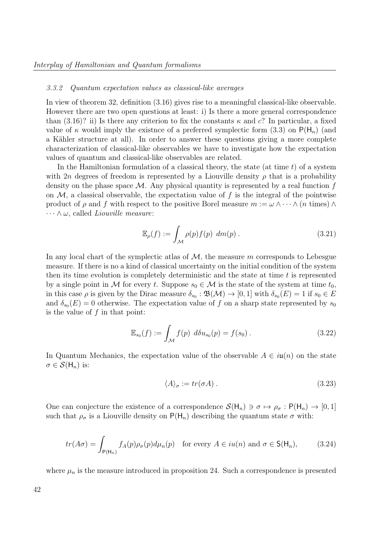#### 3.3.2 Quantum expectation values as classical-like averages

In view of theorem 32, definition (3.16) gives rise to a meaningful classical-like observable. However there are two open questions at least: i) Is there a more general correspondence than (3.16)? ii) Is there any criterion to fix the constants  $\kappa$  and c? In particular, a fixed value of  $\kappa$  would imply the existnce of a preferred symplectic form (3.3) on  $P(H_n)$  (and a Kähler structure at all). In order to answer these questions giving a more complete characterization of classical-like observables we have to investigate how the expectation values of quantum and classical-like observables are related.

In the Hamiltonian formulation of a classical theory, the state (at time  $t$ ) of a system with 2n degrees of freedom is represented by a Liouville density  $\rho$  that is a probability density on the phase space  $\mathcal M$ . Any physical quantity is represented by a real function f on  $M$ , a classical observable, the expectation value of f is the integral of the pointwise product of  $\rho$  and f with respect to the positive Borel measure  $m := \omega \wedge \cdots \wedge (n \text{ times}) \wedge$  $\cdots \wedge \omega$ , called *Liouville measure*:

$$
\mathbb{E}_{\rho}(f) := \int_{\mathcal{M}} \rho(p)f(p) \ dm(p) . \tag{3.21}
$$

In any local chart of the symplectic atlas of  $\mathcal{M}$ , the measure m corresponds to Lebesgue measure. If there is no a kind of classical uncertainty on the initial condition of the system then its time evolution is completely deterministic and the state at time  $t$  is represented by a single point in M for every t. Suppose  $s_0 \in M$  is the state of the system at time  $t_0$ , in this case  $\rho$  is given by the Dirac measure  $\delta_{s_0} : \mathfrak{B}(\mathcal{M}) \to [0,1]$  with  $\delta_{s_0}(E) = 1$  if  $s_0 \in E$ and  $\delta_{s_0}(E) = 0$  otherwise. The expectation value of f on a sharp state represented by  $s_0$ is the value of  $f$  in that point:

$$
\mathbb{E}_{s_0}(f) := \int_{\mathcal{M}} f(p) \ d\delta u_{s_0}(p) = f(s_0) \ . \tag{3.22}
$$

In Quantum Mechanics, the expectation value of the observable  $A \in i\mathfrak{u}(n)$  on the state  $\sigma \in \mathcal{S}(\mathsf{H}_n)$  is:

$$
\langle A \rangle_{\sigma} := tr(\sigma A). \tag{3.23}
$$

One can conjecture the existence of a correspondence  $\mathcal{S}(\mathsf{H}_n) \ni \sigma \mapsto \rho_{\sigma} : \mathsf{P}(\mathsf{H}_n) \to [0,1]$ such that  $\rho_{\sigma}$  is a Liouville density on P(H<sub>n</sub>) describing the quantum state  $\sigma$  with:

$$
tr(A\sigma) = \int_{P(\mathsf{H}_n)} f_A(p)\rho_\sigma(p)d\mu_n(p) \quad \text{for every } A \in i\mathcal{U}(n) \text{ and } \sigma \in \mathsf{S}(\mathsf{H}_n), \tag{3.24}
$$

where  $\mu_n$  is the measure introduced in proposition 24. Such a correspondence is presented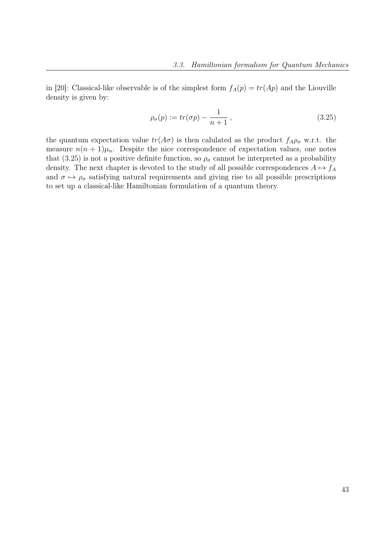in [20]: Classical-like observable is of the simplest form  $f_A(p) = tr(Ap)$  and the Liouville density is given by:

$$
\rho_{\sigma}(p) := tr(\sigma p) - \frac{1}{n+1},\tag{3.25}
$$

the quantum expectation value  $tr(A\sigma)$  is then calulated as the product  $f_A\rho_\sigma$  w.r.t. the measure  $n(n + 1)\mu_n$ . Despite the nice correspondence of expectation values, one notes that (3.25) is not a positive definite function, so  $\rho_{\sigma}$  cannot be interpreted as a probability density. The next chapter is devoted to the study of all possible correspondences  $A \mapsto f_A$ and  $\sigma \mapsto \rho_{\sigma}$  satisfying natural requirements and giving rise to all possible prescriptions to set up a classical-like Hamiltonian formulation of a quantum theory.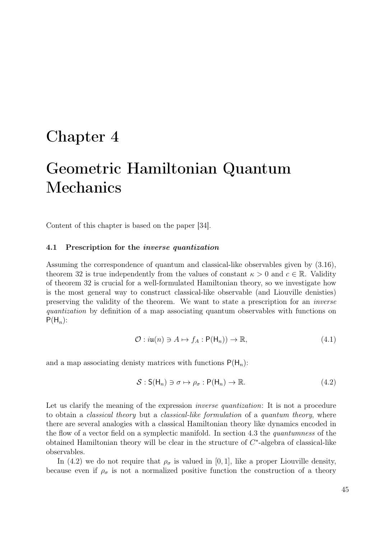## Chapter 4

# Geometric Hamiltonian Quantum Mechanics

Content of this chapter is based on the paper [34].

#### 4.1 Prescription for the inverse quantization

Assuming the correspondence of quantum and classical-like observables given by (3.16), theorem 32 is true independently from the values of constant  $\kappa > 0$  and  $c \in \mathbb{R}$ . Validity of theorem 32 is crucial for a well-formulated Hamiltonian theory, so we investigate how is the most general way to construct classical-like observable (and Liouville denisties) preserving the validity of the theorem. We want to state a prescription for an inverse quantization by definition of a map associating quantum observables with functions on  $P(H_n)$ :

$$
\mathcal{O}: i\mathfrak{u}(n) \ni A \mapsto f_A: \mathsf{P}(\mathsf{H}_n)) \to \mathbb{R},\tag{4.1}
$$

and a map associating denisty matrices with functions  $P(H_n)$ :

$$
S: S(H_n) \ni \sigma \mapsto \rho_{\sigma}: P(H_n) \to \mathbb{R}.
$$
\n(4.2)

Let us clarify the meaning of the expression *inverse quantization*: It is not a procedure to obtain a classical theory but a classical-like formulation of a quantum theory, where there are several analogies with a classical Hamiltonian theory like dynamics encoded in the flow of a vector field on a symplectic manifold. In section 4.3 the quantumness of the obtained Hamiltonian theory will be clear in the structure of  $C^*$ -algebra of classical-like observables.

In (4.2) we do not require that  $\rho_{\sigma}$  is valued in [0, 1], like a proper Liouville density, because even if  $\rho_{\sigma}$  is not a normalized positive function the construction of a theory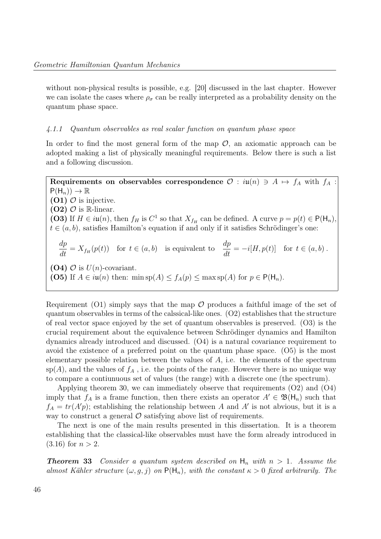without non-physical results is possible, e.g. [20] discussed in the last chapter. However we can isolate the cases where  $\rho_{\sigma}$  can be really interpreted as a probability density on the quantum phase space.

#### 4.1.1 Quantum observables as real scalar function on quantum phase space

In order to find the most general form of the map  $\mathcal{O}$ , an axiomatic approach can be adopted making a list of physically meaningful requirements. Below there is such a list and a following discussion.

Requirements on observables correspondence  $\mathcal{O}: i\mathfrak{u}(n) \ni A \mapsto f_A$  with  $f_A$ :  $P(H_n)) \to \mathbb{R}$ (O1)  $\mathcal{O}$  is injective.  $(O2)$   $O$  is R-linear. (O3) If  $H \in i\mathfrak{u}(n)$ , then  $f_H$  is  $C^1$  so that  $X_{f_H}$  can be defined. A curve  $p = p(t) \in \mathsf{P}(\mathsf{H}_n)$ ,  $t \in (a, b)$ , satisfies Hamilton's equation if and only if it satisfies Schrödinger's one: dp  $\frac{dP}{dt} = X_{f_H}$  $(p(t))$  for  $t \in (a, b)$  is equivalent to  $\frac{dp}{dt} = -i[H, p(t)]$  for  $t \in (a, b)$ . (O4)  $\mathcal{O}$  is  $U(n)$ -covariant. (O5) If  $A \in i\mathfrak{u}(n)$  then: min sp $(A) \leq f_A(p) \leq \max$  sp $(A)$  for  $p \in \mathsf{P}(\mathsf{H}_n)$ .

Requirement (O1) simply says that the map  $\mathcal O$  produces a faithful image of the set of quantum observables in terms of the calssical-like ones. (O2) establishes that the structure of real vector space enjoyed by the set of quantum observables is preserved. (O3) is the crucial requirement about the equivalence between Schrödinger dynamics and Hamilton dynamics already introduced and discussed. (O4) is a natural covariance requirement to avoid the existence of a preferred point on the quantum phase space. (O5) is the most elementary possible relation between the values of  $A$ , i.e. the elements of the spectrum  $\text{sp}(A)$ , and the values of  $f_A$ , i.e. the points of the range. However there is no unique way to compare a contiunuous set of values (the range) with a discrete one (the spectrum).

Applying theorem 30, we can immediately observe that requirements (O2) and (O4) imply that  $f_A$  is a frame function, then there exists an operator  $A' \in \mathfrak{B}(\mathsf{H}_n)$  such that  $f_A = tr(A'p)$ ; establishing the relationship between A and A' is not abvious, but it is a way to construct a general  $\mathcal O$  satisfying above list of requirements.

The next is one of the main results presented in this dissertation. It is a theorem establishing that the classical-like observables must have the form already introduced in  $(3.16)$  for  $n > 2$ .

**Theorem 33** Consider a quantum system described on  $H_n$  with  $n > 1$ . Assume the almost Kähler structure  $(\omega, g, j)$  on  $P(H_n)$ , with the constant  $\kappa > 0$  fixed arbitrarily. The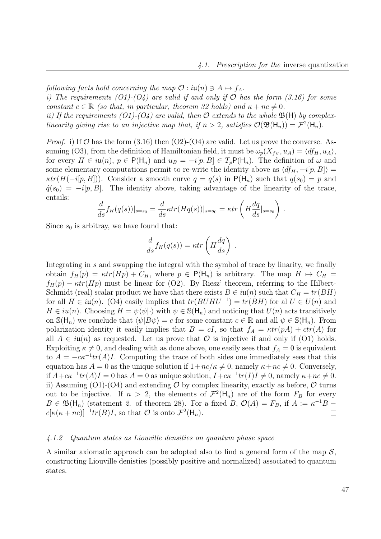following facts hold concerning the map  $\mathcal{O}: i\mathfrak{u}(n) \ni A \mapsto f_A$ .

i) The requirements (O1)-(O4) are valid if and only if  $\mathcal O$  has the form (3.16) for some constant  $c \in \mathbb{R}$  (so that, in particular, theorem 32 holds) and  $\kappa + nc \neq 0$ .

ii) If the requirements (O1)-(O4) are valid, then  $\mathcal O$  extends to the whole  $\mathfrak{B}(\mathsf{H})$  by complexlinearity giving rise to an injective map that, if  $n > 2$ , satisfies  $\mathcal{O}(\mathfrak{B}(\mathsf{H}_n)) = \mathcal{F}^2(\mathsf{H}_n)$ .

*Proof.* i) If O has the form  $(3.16)$  then  $(O2)-(O4)$  are valid. Let us prove the converse. Assuming (O3), from the definition of Hamiltonian field, it must be  $\omega_p(X_{f_H}, u_A) = \langle df_H, u_A \rangle$ , for every  $H \in i\mathfrak{u}(n)$ ,  $p \in \mathsf{P}(\mathsf{H}_n)$  and  $u_B = -i[p, B] \in T_p\mathsf{P}(\mathsf{H}_n)$ . The definition of  $\omega$  and some elementary computations permit to re-write the identity above as  $\langle df_H, -i[p, B] \rangle =$  $\kappa tr(H(-i[p, B]))$ . Consider a smooth curve  $q = q(s)$  in  $P(H_n)$  such that  $q(s_0) = p$  and  $\dot{q}(s_0) = -i[p, B]$ . The identity above, taking advantage of the linearity of the trace, entails:

$$
\frac{d}{ds} f_H(q(s))|_{s=s_0} = \frac{d}{ds} \kappa tr(Hq(s))|_{s=s_0} = \kappa tr\left(H\frac{dq}{ds}|_{s=s_0}\right).
$$

Since  $s_0$  is arbitray, we have found that:

$$
\frac{d}{ds}f_H(q(s)) = \kappa tr\left(H\frac{dq}{ds}\right)
$$

.

Integrating in s and swapping the integral with the symbol of trace by linarity, we finally obtain  $f_H(p) = \kappa tr(Hp) + C_H$ , where  $p \in P(H_n)$  is arbitrary. The map  $H \mapsto C_H =$  $f_H(p) - \kappa tr(Hp)$  must be linear for (O2). By Riesz' theorem, referring to the Hilbert-Schmidt (real) scalar product we have that there exists  $B \in i\mathfrak{u}(n)$  such that  $C_H = tr(BH)$ for all  $H \in i\mathfrak{u}(n)$ . (O4) easily implies that  $tr(BUHU^{-1}) = tr(BH)$  for al  $U \in U(n)$  and  $H \in iu(n)$ . Choosing  $H = \psi\langle\psi|\cdot\rangle$  with  $\psi \in \mathbb{S}(\mathsf{H}_n)$  and noticing that  $U(n)$  acts transitively on  $\mathbb{S}(\mathsf{H}_n)$  we conclude that  $\langle \psi | B \psi \rangle = c$  for some constant  $c \in \mathbb{R}$  and all  $\psi \in \mathbb{S}(\mathsf{H}_n)$ . From polarization identity it easily implies that  $B = cI$ , so that  $f_A = \kappa tr(pA) + cr(A)$  for all  $A \in i\mathfrak{u}(n)$  as requested. Let us prove that  $\mathcal O$  is injective if and only if (O1) holds. Exploiting  $\kappa \neq 0$ , and dealing with as done above, one easily sees that  $f_A = 0$  is equivalent to  $A = -c\kappa^{-1}tr(A)I$ . Computing the trace of both sides one immediately sees that this equation has  $A = 0$  as the unique solution if  $1 + nc/\kappa \neq 0$ , namely  $\kappa + nc \neq 0$ . Conversely, if  $A + c\kappa^{-1}tr(A)I = 0$  has  $A = 0$  as unique solution,  $I + c\kappa^{-1}tr(I)I \neq 0$ , namely  $\kappa + nc \neq 0$ . ii) Assuming (O1)-(O4) and extending  $\mathcal O$  by complex linearity, exactly as before,  $\mathcal O$  turns out to be injective. If  $n > 2$ , the elements of  $\mathcal{F}^2(\mathsf{H}_n)$  are of the form  $F_B$  for every  $B \in \mathfrak{B}(\mathsf{H}_n)$  (statement 2. of theorem 28). For a fixed  $B, \mathcal{O}(A) = F_B$ , if  $A := \kappa^{-1}B$  $c[\kappa(\kappa + nc)]^{-1} tr(B)I$ , so that  $\mathcal O$  is onto  $\mathcal F^2(\mathsf H_n)$ .  $\Box$ 

#### 4.1.2 Quantum states as Liouville densities on quantum phase space

A similar axiomatic approach can be adopted also to find a general form of the map  $\mathcal{S}$ , constructing Liouville denisties (possibly positive and normalized) associated to quantum states.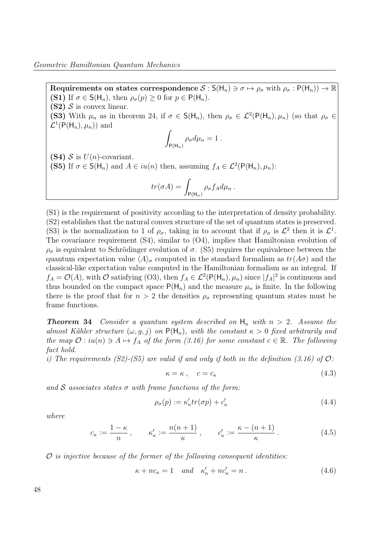Requirements on states correspondence  $S : S(H_n) \ni \sigma \mapsto \rho_{\sigma}$  with  $\rho_{\sigma} : P(H_n) \to \mathbb{R}$ (S1) If  $\sigma \in S(H_n)$ , then  $\rho_{\sigma}(p) \geq 0$  for  $p \in P(H_n)$ .  $(S2)$  S is convex linear. (S3) With  $\mu_n$  as in theorem 24, if  $\sigma \in S(H_n)$ , then  $\rho_\sigma \in \mathcal{L}^2(\mathsf{P}(\mathsf{H}_n), \mu_n)$  (so that  $\rho_\sigma \in$  $\mathcal{L}^1(\mathsf{P}(\mathsf{H}_n),\mu_n))$  and Z  $P(H_n)$  $\rho_{\sigma}d\mu_n=1$ . (S4)  $S$  is  $U(n)$ -covariant. (S5) If  $\sigma \in S(H_n)$  and  $A \in i\mathfrak{u}(n)$  then, assuming  $f_A \in \mathcal{L}^2(\mathsf{P}(\mathsf{H}_n), \mu_n)$ :

$$
tr(\sigma A) = \int_{P(H_n)} \rho_{\sigma} f_A d\mu_n.
$$

(S1) is the requirement of positivity according to the interpretation of density probability. (S2) establishes that the natural convex structure of the set of quantum states is preserved. (S3) is the normalization to 1 of  $\rho_{\sigma}$ , taking in to account that if  $\rho_{\sigma}$  is  $\mathcal{L}^2$  then it is  $\mathcal{L}^1$ . The covariance requirement (S4), similar to (O4), implies that Hamiltonian evolution of  $\rho_{\sigma}$  is equivalent to Schrödinger evolution of  $\sigma$ . (S5) requires the equivalence between the quantum expectation value  $\langle A \rangle_{\sigma}$  computed in the standard formalism as  $tr(A\sigma)$  and the classical-like expectation value computed in the Hamiltonian formalism as an integral. If  $f_A = \mathcal{O}(A)$ , with  $\mathcal O$  satisfying (O3), then  $f_A \in \mathcal L^2(\mathsf P(\mathsf H_n), \mu_n)$  since  $|f_A|^2$  is continuous and thus bounded on the compact space  $P(H_n)$  and the measure  $\mu_n$  is finite. In the following there is the proof that for  $n > 2$  the densities  $\rho_{\sigma}$  representing quantum states must be frame functions.

**Theorem 34** Consider a quantum system described on  $H_n$  with  $n > 2$ . Assume the almost Kähler structure  $(\omega, g, j)$  on  $P(H_n)$ , with the constant  $\kappa > 0$  fixed arbitrarily and the map  $\mathcal{O}: iu(n) \ni A \mapsto f_A$  of the form (3.16) for some constant  $c \in \mathbb{R}$ . The following fact hold.

i) The requirements (S2)-(S5) are valid if and only if both in the definition (3.16) of  $\mathcal{O}$ :

$$
\kappa = \kappa \,, \quad c = c_{\kappa} \tag{4.3}
$$

and S associates states  $\sigma$  with frame functions of the form:

$$
\rho_{\sigma}(p) := \kappa_{\kappa}' tr(\sigma p) + c_{\kappa}' \tag{4.4}
$$

where

$$
c_{\kappa} := \frac{1-\kappa}{n}, \qquad \kappa_{\kappa}' := \frac{n(n+1)}{\kappa}, \qquad c_{\kappa}' := \frac{\kappa - (n+1)}{\kappa}.
$$
 (4.5)

 $\mathcal O$  is injective because of the former of the following consequent identities:

$$
\kappa + nc_{\kappa} = 1 \quad and \quad \kappa_{\kappa}' + nc_{\kappa}' = n . \tag{4.6}
$$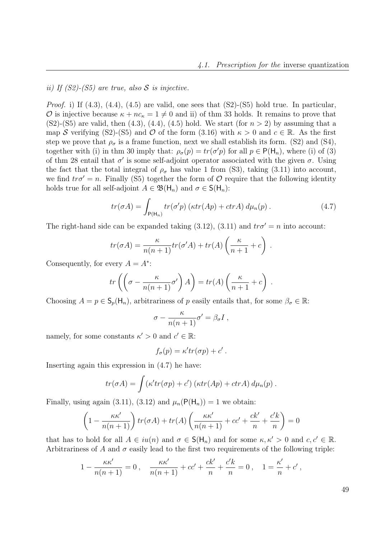## ii) If  $(S2)$ - $(S5)$  are true, also S is injective.

*Proof.* i) If  $(4.3)$ ,  $(4.4)$ ,  $(4.5)$  are valid, one sees that  $(S2)-(S5)$  hold true. In particular, O is injective because  $\kappa + nc_{\kappa} = 1 \neq 0$  and ii) of thm 33 holds. It remains to prove that  $(S2)-(S5)$  are valid, then  $(4.3)$ ,  $(4.4)$ ,  $(4.5)$  hold. We start (for  $n > 2$ ) by assuming that a map S verifying (S2)-(S5) and O of the form (3.16) with  $\kappa > 0$  and  $c \in \mathbb{R}$ . As the first step we prove that  $\rho_{\sigma}$  is a frame function, next we shall establish its form. (S2) and (S4), together with (i) in thm 30 imply that:  $\rho_{\sigma}(p) = tr(\sigma' p)$  for all  $p \in P(H_n)$ , where (i) of (3) of thm 28 entail that  $\sigma'$  is some self-adjoint operator associated with the given  $\sigma$ . Using the fact that the total integral of  $\rho_{\sigma}$  has value 1 from (S3), taking (3.11) into account, we find  $tr\sigma' = n$ . Finally (S5) together the form of O require that the following identity holds true for all self-adjoint  $A \in \mathfrak{B}(\mathsf{H}_n)$  and  $\sigma \in \mathsf{S}(\mathsf{H}_n)$ :

$$
tr(\sigma A) = \int_{P(H_n)} tr(\sigma' p) \left(\kappa tr(Ap) + c tr A\right) d\mu_n(p).
$$
 (4.7)

The right-hand side can be expanded taking (3.12), (3.11) and  $tr\sigma' = n$  into account:

$$
tr(\sigma A) = \frac{\kappa}{n(n+1)} tr(\sigma' A) + tr(A) \left( \frac{\kappa}{n+1} + c \right).
$$

Consequently, for every  $A = A^*$ :

$$
tr\left(\left(\sigma - \frac{\kappa}{n(n+1)}\sigma'\right)A\right) = tr(A)\left(\frac{\kappa}{n+1} + c\right).
$$

Choosing  $A = p \in \mathsf{S}_p(\mathsf{H}_n)$ , arbitrariness of p easily entails that, for some  $\beta_{\sigma} \in \mathbb{R}$ :

$$
\sigma - \frac{\kappa}{n(n+1)} \sigma' = \beta_{\sigma} I ,
$$

namely, for some constants  $\kappa' > 0$  and  $c' \in \mathbb{R}$ :

$$
f_{\sigma}(p) = \kappa' tr(\sigma p) + c'.
$$

Inserting again this expression in (4.7) he have:

$$
tr(\sigma A) = \int (\kappa' tr(\sigma p) + c') (\kappa tr(Ap) + c tr A) d\mu_n(p).
$$

Finally, using again (3.11), (3.12) and  $\mu_n(\mathsf{P}(\mathsf{H}_n)) = 1$  we obtain:

$$
\left(1 - \frac{\kappa \kappa'}{n(n+1)}\right) tr(\sigma A) + tr(A) \left(\frac{\kappa \kappa'}{n(n+1)} + cc' + \frac{ck'}{n} + \frac{c'k}{n}\right) = 0
$$

that has to hold for all  $A \in iu(n)$  and  $\sigma \in S(H_n)$  and for some  $\kappa, \kappa' > 0$  and  $c, c' \in \mathbb{R}$ . Arbitrariness of A and  $\sigma$  easily lead to the first two requirements of the following triple:

$$
1 - \frac{\kappa \kappa'}{n(n+1)} = 0 \,, \quad \frac{\kappa \kappa'}{n(n+1)} + cc' + \frac{ck'}{n} + \frac{c'k}{n} = 0 \,, \quad 1 = \frac{\kappa'}{n} + c' \,,
$$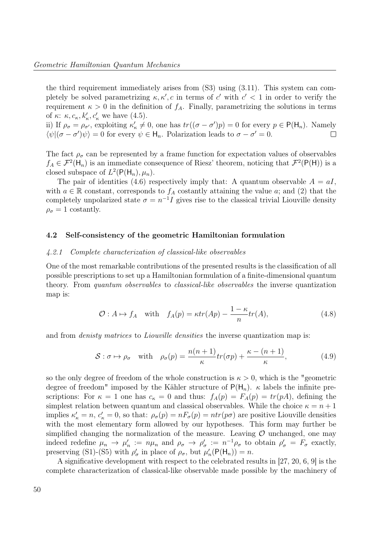the third requirement immediately arises from (S3) using (3.11). This system can completely be solved parametrizing  $\kappa, \kappa', c$  in terms of c' with  $c' < 1$  in order to verify the requirement  $\kappa > 0$  in the definition of  $f_A$ . Finally, parametrizing the solutions in terms of  $\kappa$ :  $\kappa$ ,  $c_{\kappa}$ ,  $k'_{\kappa}$ ,  $c'_{\kappa}$  we have (4.5).

ii) If  $\rho_{\sigma} = \rho_{\sigma'}$ , exploiting  $\kappa'_{\kappa} \neq 0$ , one has  $tr((\sigma - \sigma')p) = 0$  for every  $p \in P(H_n)$ . Namely  $\langle \psi | (\sigma - \sigma') \psi \rangle = 0$  for every  $\psi \in H_n$ . Polarization leads to  $\sigma - \sigma' = 0$ .  $\Box$ 

The fact  $\rho_{\sigma}$  can be represented by a frame function for expectation values of observables  $f_A \in \mathcal{F}^2(\mathsf{H}_n)$  is an immediate consequence of Riesz' theorem, noticing that  $\mathcal{F}^2(\mathsf{P}(\mathsf{H}))$  is a closed subspace of  $L^2(\mathsf{P}(\mathsf{H}_n), \mu_n)$ .

The pair of identities (4.6) respectively imply that: A quantum observable  $A = aI$ , with  $a \in \mathbb{R}$  constant, corresponds to  $f_A$  costantly attaining the value a; and (2) that the completely unpolarized state  $\sigma = n^{-1}I$  gives rise to the classical trivial Liouville density  $\rho_{\sigma} = 1$  costantly.

#### 4.2 Self-consistency of the geometric Hamiltonian formulation

#### 4.2.1 Complete characterization of classical-like observables

One of the most remarkable contributions of the presented results is the classification of all possible prescriptions to set up a Hamiltonian formulation of a finite-dimensional quantum theory. From quantum observables to classical-like observables the inverse quantization map is:

$$
\mathcal{O}: A \mapsto f_A \quad \text{with} \quad f_A(p) = \kappa tr(Ap) - \frac{1 - \kappa}{n} tr(A), \tag{4.8}
$$

and from *denisty matrices* to *Liouville densities* the inverse quantization map is:

$$
S: \sigma \mapsto \rho_{\sigma} \quad \text{with} \quad \rho_{\sigma}(p) = \frac{n(n+1)}{\kappa} \text{tr}(\sigma p) + \frac{\kappa - (n+1)}{\kappa}, \tag{4.9}
$$

so the only degree of freedom of the whole construction is  $\kappa > 0$ , which is the "geometric degree of freedom" imposed by the Kähler structure of  $P(H_n)$ .  $\kappa$  labels the infinite prescriptions: For  $\kappa = 1$  one has  $c_{\kappa} = 0$  and thus:  $f_A(p) = F_A(p) = tr(pA)$ , defining the simplest relation between quantum and classical observables. While the choice  $\kappa = n + 1$ implies  $\kappa'_\kappa = n, c'_\kappa = 0$ , so that:  $\rho_\sigma(p) = nF_\sigma(p) = ntr(p\sigma)$  are positive Liouville densities with the most elementary form allowed by our hypotheses. This form may further be simplified changing the normalization of the measure. Leaving  $\mathcal O$  unchanged, one may indeed redefine  $\mu_n \to \mu'_n := n\mu_n$  and  $\rho_\sigma \to \rho'_\sigma := n^{-1}\rho_\sigma$  to obtain  $\rho'_\sigma = F_\sigma$  exactly, preserving (S1)-(S5) with  $\rho'_{\sigma}$  in place of  $\rho_{\sigma}$ , but  $\mu'_{n}(\mathsf{P}(\mathsf{H}_{n})) = n$ .

A significative development with respect to the celebrated results in [27, 20, 6, 9] is the complete characterization of classical-like observable made possible by the machinery of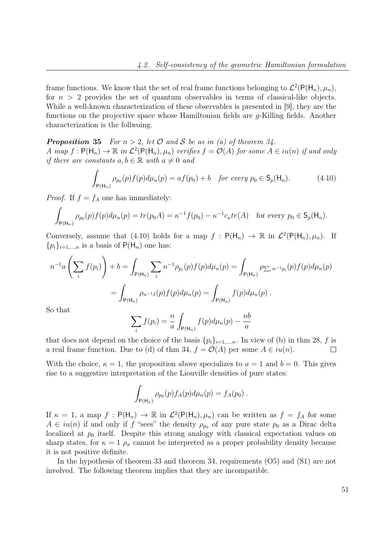frame functions. We know that the set of real frame functions belonging to  $\mathcal{L}^2(\mathsf{P}(\mathsf{H}_n), \mu_n)$ , for  $n > 2$  provides the set of quantum observables in terms of classical-like objects. While a well-known characterization of these observables is presented in [9], they are the functions on the projective space whose Hamiltonian fields are  $q$ -Killing fields. Another characterization is the follwoing.

**Proposition 35** For  $n > 2$ , let O and S be as in (a) of theorem 34. A map  $f: \mathsf{P}(\mathsf{H}_n) \to \mathbb{R}$  in  $\mathcal{L}^2(\mathsf{P}(\mathsf{H}_n), \mu_n)$  verifies  $f = \mathcal{O}(A)$  for some  $A \in i\mathfrak{u}(n)$  if and only if there are constants  $a, b \in \mathbb{R}$  with  $a \neq 0$  and

$$
\int_{\mathsf{P}(\mathsf{H}_n)} \rho_{p_0}(p) f(p) d\mu_n(p) = a f(p_0) + b \quad \text{for every } p_0 \in \mathsf{S}_p(\mathsf{H}_n). \tag{4.10}
$$

*Proof.* If  $f = f_A$  one has immediately:

$$
\int_{\mathsf{P}(\mathsf{H}_n)} \rho_{p_0}(p) f(p) d\mu_n(p) = tr(p_0 A) = \kappa^{-1} f(p_0) - \kappa^{-1} c_{\kappa} tr(A) \quad \text{for every } p_0 \in \mathsf{S}_p(\mathsf{H}_n).
$$

Conversely, assume that (4.10) holds for a map  $f : P(H_n) \to \mathbb{R}$  in  $\mathcal{L}^2(P(H_n), \mu_n)$ . If  ${p_i}_{i=1,...,n}$  is a basis of  $P(H_n)$  one has:

$$
n^{-1}a\left(\sum_{i} f(p_{i})\right) + b = \int_{P(\mathsf{H}_{n})} \sum_{i} n^{-1} \rho_{p_{i}}(p) f(p) d\mu_{n}(p) = \int_{P(\mathsf{H}_{n})} \rho_{\sum_{i} n^{-1} p_{i}}(p) f(p) d\mu_{n}(p)
$$

$$
= \int_{P(\mathsf{H}_{n})} \rho_{n^{-1} I}(p) f(p) d\mu_{n}(p) = \int_{P(\mathsf{H}_{n})} f(p) d\mu_{n}(p).
$$

So that

$$
\sum_{i} f(p_i) = \frac{n}{a} \int_{P(H_n)} f(p) d\mu_n(p) - \frac{nb}{a}
$$

that does not depend on the choice of the basis  $\{p_i\}_{i=1,\dots,n}$ . In view of (b) in thm 28, f is a real frame function. Due to (d) of thm 34,  $f = \mathcal{O}(A)$  per some  $A \in iu(n)$ .  $\Box$ 

With the choice,  $\kappa = 1$ , the proposition above specializes to  $a = 1$  and  $b = 0$ . This gives rise to a suggestive interpretation of the Liouville densities of pure states:

$$
\int_{P(H_n)} \rho_{p_0}(p) f_A(p) d\mu_n(p) = f_A(p_0) .
$$

If  $\kappa = 1$ , a map  $f : P(H_n) \to \mathbb{R}$  in  $\mathcal{L}^2(P(H_n), \mu_n)$  can be written as  $f = f_A$  for some  $A \in i\mathfrak{u}(n)$  if and only if f "sees" the density  $\rho_{p_0}$  of any pure state  $p_0$  as a Dirac delta localized at  $p_0$  itself. Despite this strong analogy with classical expectation values on sharp states, for  $\kappa = 1 \rho_{\sigma}$  cannot be interpreted as a proper probability density because it is not positive definite.

In the hypothesis of theorem 33 and theorem 34, requirements (O5) and (S1) are not involved. The following theorem implies that they are incompatible.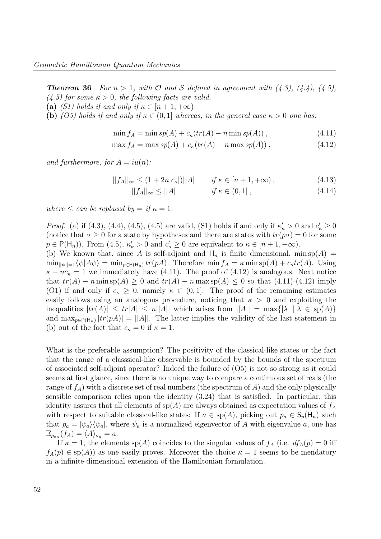**Theorem 36** For  $n > 1$ , with  $\mathcal{O}$  and  $\mathcal{S}$  defined in agreement with  $(4.3)$ ,  $(4.4)$ ,  $(4.5)$ ,  $(4.5)$  for some  $\kappa > 0$ , the following facts are valid.

- (a) (S1) holds if and only if  $\kappa \in [n+1, +\infty)$ .
- (b) (O5) holds if and only if  $\kappa \in (0,1]$  whereas, in the general case  $\kappa > 0$  one has:

$$
\min f_A = \min s p(A) + c_{\kappa}(tr(A) - n \min s p(A)), \qquad (4.11)
$$

 $\max f_A = \max sp(A) + c_{\kappa}(tr(A) - n \max sp(A)).$  (4.12)

and furthermore, for  $A = iu(n)$ :

$$
||f_A||_{\infty} \le (1 + 2n|c_{\kappa}|)||A|| \quad \text{if } \kappa \in [n+1, +\infty), \tag{4.13}
$$

$$
||f_A||_{\infty} \le ||A|| \qquad \qquad if \ \kappa \in (0,1], \tag{4.14}
$$

where  $\leq$  can be replaced by  $=$  if  $\kappa = 1$ .

*Proof.* (a) if (4.3), (4.4), (4.5), (4.5) are valid, (S1) holds if and only if  $\kappa_{\kappa} > 0$  and  $c_{\kappa} \ge 0$ (notice that  $\sigma \geq 0$  for a state by hypotheses and there are states with  $tr(p\sigma) = 0$  for some  $p \in \mathsf{P}(\mathsf{H}_n)$ ). From (4.5),  $\kappa_{\kappa} > 0$  and  $c_{\kappa} \geq 0$  are equivalent to  $\kappa \in [n+1, +\infty)$ .

(b) We known that, since A is self-adjoint and  $H_n$  is finite dimensional, min sp(A) =  $\min_{\|\psi\|=1}\langle\psi|A\psi\rangle = \min_{p\in\mathsf{P}(\mathsf{H}_n)}tr(pA)$ . Therefore  $\min f_A = \kappa \min \mathrm{sp}(A) + c_\kappa tr(A)$ . Using  $\kappa + nc_{\kappa} = 1$  we immediately have (4.11). The proof of (4.12) is analogous. Next notice that  $tr(A) - n \min \mathrm{sp}(A) \geq 0$  and  $tr(A) - n \max \mathrm{sp}(A) \leq 0$  so that  $(4.11)-(4.12)$  imply (O1) if and only if  $c_{\kappa} \geq 0$ , namely  $\kappa \in (0,1]$ . The proof of the remaining estimates easily follows using an analogous procedure, noticing that  $\kappa > 0$  and exploiting the inequalities  $|tr(A)| \leq tr|A| \leq n||A||$  which arises from  $||A|| = \max\{|\lambda| \mid \lambda \in sp(A)\}\$ and  $\max_{p \in \mathsf{P}(\mathsf{H}_n)} |tr(pA)| = ||A||$ . The latter implies the validity of the last statement in  $\Box$ (b) out of the fact that  $c_{\kappa} = 0$  if  $\kappa = 1$ .

What is the preferable assumption? The positivity of the classical-like states or the fact that the range of a classsical-like observable is bounded by the bounds of the spectrum of associated self-adjoint operator? Indeed the failure of (O5) is not so strong as it could seems at first glance, since there is no unique way to compare a continuous set of reals (the range of  $f_A$ ) with a discrete set of real numbers (the spectrum of A) and the only physically sensible comparison relies upon the identity (3.24) that is satisfied. In particular, this identity assures that all elements of  $sp(A)$  are always obtained as expectation values of  $f_A$ with respect to suitable classical-like states: If  $a \in sp(A)$ , picking out  $p_a \in S_p(H_n)$  such that  $p_a = |\psi_a\rangle \langle \psi_a|$ , where  $\psi_a$  is a normalized eigenvector of A with eigenvalue a, one has  $\mathbb{E}_{\rho_{\sigma_a}}(f_A) = \langle A \rangle_{\sigma_a} = a.$ 

If  $\kappa = 1$ , the elements sp(A) coincides to the singular values of  $f_A$  (i.e.  $df_A(p) = 0$  iff  $f_A(p) \in sp(A)$  as one easily proves. Moreover the choice  $\kappa = 1$  seems to be mendatory in a infinite-dimensional extension of the Hamiltonian formulation.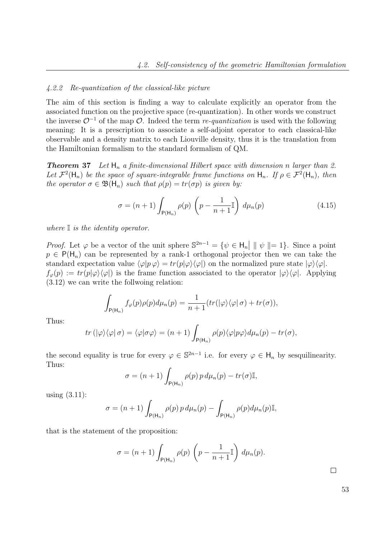#### 4.2.2 Re-quantization of the classical-like picture

The aim of this section is finding a way to calculate explicitly an operator from the associated function on the projective space (re-quantization). In other words we construct the inverse  $\mathcal{O}^{-1}$  of the map  $\mathcal{O}$ . Indeed the term re-quantization is used with the following meaning: It is a prescription to associate a self-adjoint operator to each classical-like observable and a density matrix to each Liouville density, thus it is the translation from the Hamiltonian formalism to the standard formalism of QM.

**Theorem 37** Let  $H_n$  a finite-dimensional Hilbert space with dimension n larger than 2. Let  $\mathcal{F}^2(\mathsf{H}_n)$  be the space of square-integrable frame functions on  $\mathsf{H}_n$ . If  $\rho \in \mathcal{F}^2(\mathsf{H}_n)$ , then the operator  $\sigma \in \mathfrak{B}(\mathsf{H}_n)$  such that  $\rho(p) = tr(\sigma p)$  is given by:

$$
\sigma = (n+1) \int_{P(\mathsf{H}_n)} \rho(p) \left( p - \frac{1}{n+1} \mathbb{I} \right) d\mu_n(p) \tag{4.15}
$$

where  $\mathbb I$  is the identity operator.

*Proof.* Let  $\varphi$  be a vector of the unit sphere  $\mathbb{S}^{2n-1} = {\varphi \in \mathsf{H}_n \mid \Vert \psi \Vert = 1}$ . Since a point  $p \in P(H_n)$  can be represented by a rank-1 orthogonal projector then we can take the standard expectation value  $\langle \varphi | p \varphi \rangle = tr(p|\varphi\rangle \langle \varphi|)$  on the normalized pure state  $|\varphi\rangle \langle \varphi|$ .  $f_{\varphi}(p) := tr(p|\varphi\rangle\langle\varphi|)$  is the frame function associated to the operator  $|\varphi\rangle\langle\varphi|$ . Applying (3.12) we can write the follwoing relation:

$$
\int_{P(H_n)} f_{\varphi}(p)\rho(p)d\mu_n(p) = \frac{1}{n+1}(tr(|\varphi\rangle\langle\varphi|\sigma) + tr(\sigma)),
$$

Thus:

$$
tr\left(|\varphi\rangle\langle\varphi|\,\sigma\right)=\langle\varphi|\sigma\varphi\rangle=(n+1)\int_{P(\mathsf{H}_n)}\rho(p)\langle\varphi|p\varphi\rangle d\mu_n(p)-tr(\sigma),
$$

the second equality is true for every  $\varphi \in \mathbb{S}^{2n-1}$  i.e. for every  $\varphi \in H_n$  by sesquilinearity. Thus:

$$
\sigma = (n+1) \int_{P(H_n)} \rho(p) \, p \, d\mu_n(p) - tr(\sigma) \mathbb{I},
$$

using (3.11):

$$
\sigma = (n+1) \int_{P(\mathsf{H}_n)} \rho(p) p d\mu_n(p) - \int_{P(\mathsf{H}_n)} \rho(p) d\mu_n(p) \mathbb{I},
$$

that is the statement of the proposition:

$$
\sigma = (n+1) \int_{P(H_n)} \rho(p) \left( p - \frac{1}{n+1} \mathbb{I} \right) d\mu_n(p).
$$

 $\Box$ 

| ۹<br>٠                       | ٠            |
|------------------------------|--------------|
| ٠<br>I<br>v<br>۰.<br>I<br>۰, | I<br>۰,<br>× |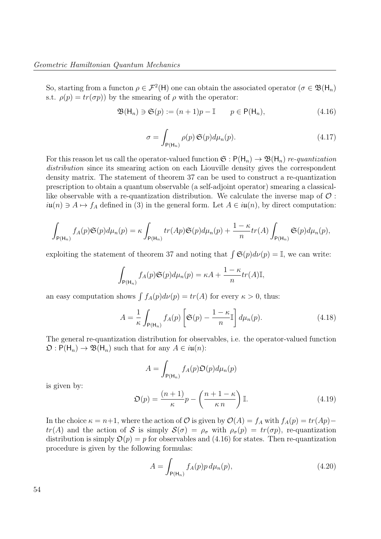So, starting from a functon  $\rho \in \mathcal{F}^2(\mathsf{H})$  one can obtain the associated operator  $(\sigma \in \mathfrak{B}(\mathsf{H}_n))$ s.t.  $\rho(p) = tr(\sigma p)$  by the smearing of  $\rho$  with the operator:

$$
\mathfrak{B}(\mathsf{H}_n) \ni \mathfrak{S}(p) := (n+1)p - \mathbb{I} \qquad p \in \mathsf{P}(\mathsf{H}_n), \tag{4.16}
$$

$$
\sigma = \int_{P(H_n)} \rho(p) \mathfrak{S}(p) d\mu_n(p).
$$
 (4.17)

For this reason let us call the operator-valued function  $\mathfrak{S}: \mathsf{P}(\mathsf{H}_n) \to \mathfrak{B}(\mathsf{H}_n)$  re-quantization distribution since its smearing action on each Liouville density gives the correspondent density matrix. The statement of theorem 37 can be used to construct a re-quantization prescription to obtain a quantum observable (a self-adjoint operator) smearing a classicallike observable with a re-quantization distribution. We calculate the inverse map of  $\mathcal{O}$ :  $i\mathfrak{u}(n) \ni A \mapsto f_A$  defined in (3) in the general form. Let  $A \in i\mathfrak{u}(n)$ , by direct computation:

$$
\int_{\mathsf{P}(\mathsf{H}_n)} f_A(p) \mathfrak{S}(p) d\mu_n(p) = \kappa \int_{\mathsf{P}(\mathsf{H}_n)} tr(Ap) \mathfrak{S}(p) d\mu_n(p) + \frac{1-\kappa}{n} tr(A) \int_{\mathsf{P}(\mathsf{H}_n)} \mathfrak{S}(p) d\mu_n(p),
$$

exploiting the statement of theorem 37 and noting that  $\int \mathfrak{S}(p) d\nu(p) = \mathbb{I}$ , we can write:

$$
\int_{P(\mathsf{H}_n)} f_A(p) \mathfrak{S}(p) d\mu_n(p) = \kappa A + \frac{1 - \kappa}{n} tr(A) \mathbb{I},
$$

an easy computation shows  $\int f_A(p) d\nu(p) = tr(A)$  for every  $\kappa > 0$ , thus:

$$
A = \frac{1}{\kappa} \int_{\mathsf{P}(\mathsf{H}_n)} f_A(p) \left[ \mathfrak{S}(p) - \frac{1 - \kappa}{n} \mathbb{I} \right] d\mu_n(p). \tag{4.18}
$$

The general re-quantization distribution for observables, i.e. the operator-valued function  $\mathfrak{O}: \mathsf{P}(\mathsf{H}_n) \to \mathfrak{B}(\mathsf{H}_n)$  such that for any  $A \in i\mathfrak{u}(n)$ :

$$
A = \int_{P(\mathsf{H}_n)} f_A(p) \mathfrak{O}(p) d\mu_n(p)
$$

is given by:

$$
\mathfrak{O}(p) = \frac{(n+1)}{\kappa}p - \left(\frac{n+1-\kappa}{\kappa n}\right)\mathbb{I}.\tag{4.19}
$$

In the choice  $\kappa = n+1$ , where the action of  $\mathcal O$  is given by  $\mathcal O(A) = f_A$  with  $f_A(p) = tr(Ap)$  $tr(A)$  and the action of S is simply  $S(\sigma) = \rho_{\sigma}$  with  $\rho_{\sigma}(p) = tr(\sigma p)$ , re-quantization distribution is simply  $\mathfrak{O}(p) = p$  for observables and (4.16) for states. Then re-quantization procedure is given by the following formulas:

$$
A = \int_{P(\mathsf{H}_n)} f_A(p) p \, d\mu_n(p), \tag{4.20}
$$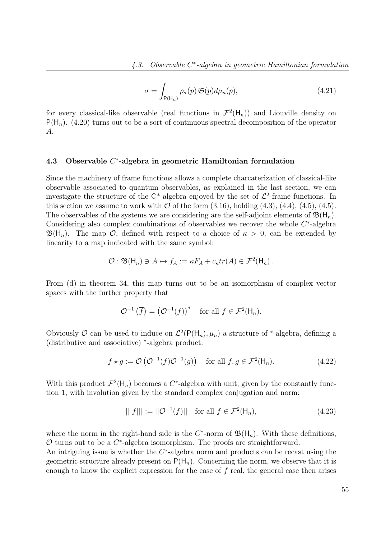$$
\sigma = \int_{P(H_n)} \rho_{\sigma}(p) \mathfrak{S}(p) d\mu_n(p), \qquad (4.21)
$$

for every classical-like observable (real functions in  $\mathcal{F}^2(\mathsf{H}_n)$ ) and Liouville density on  $P(H_n)$ . (4.20) turns out to be a sort of continuous spectral decomposition of the operator A.

## 4.3 Observable  $C^*$ -algebra in geometric Hamiltonian formulation

Since the machinery of frame functions allows a complete charcaterization of classical-like observable associated to quantum observables, as explained in the last section, we can investigate the structure of the C<sup>\*</sup>-algebra enjoyed by the set of  $\mathcal{L}^2$ -frame functions. In this section we assume to work with  $\mathcal O$  of the form  $(3.16)$ , holding  $(4.3)$ ,  $(4.4)$ ,  $(4.5)$ ,  $(4.5)$ . The observables of the systems we are considering are the self-adjoint elements of  $\mathfrak{B}(\mathsf{H}_n)$ . Considering also complex combinations of observables we recover the whole  $C^*$ -algebra  $\mathfrak{B}(\mathsf{H}_n)$ . The map  $\mathcal{O}$ , defined with respect to a choice of  $\kappa > 0$ , can be extended by linearity to a map indicated with the same symbol:

$$
\mathcal{O}: \mathfrak{B}(\mathsf{H}_n) \ni A \mapsto f_A := \kappa F_A + c_{\kappa} tr(A) \in \mathcal{F}^2(\mathsf{H}_n) .
$$

From (d) in theorem 34, this map turns out to be an isomorphism of complex vector spaces with the further property that

$$
\mathcal{O}^{-1}\left(\overline{f}\right) = \left(\mathcal{O}^{-1}(f)\right)^* \quad \text{for all } f \in \mathcal{F}^2(\mathsf{H}_n).
$$

Obviously O can be used to induce on  $\mathcal{L}^2(\mathsf{P}(\mathsf{H}_n), \mu_n)$  a structure of \*-algebra, defining a (distributive and associative) <sup>∗</sup> -algebra product:

$$
f \star g := \mathcal{O}\left(\mathcal{O}^{-1}(f)\mathcal{O}^{-1}(g)\right) \quad \text{for all } f, g \in \mathcal{F}^2(\mathsf{H}_n). \tag{4.22}
$$

With this product  $\mathcal{F}^2(\mathsf{H}_n)$  becomes a C<sup>\*</sup>-algebra with unit, given by the constantly function 1, with involution given by the standard complex conjugation and norm:

$$
|||f||| := ||\mathcal{O}^{-1}(f)|| \quad \text{for all } f \in \mathcal{F}^2(\mathsf{H}_n), \tag{4.23}
$$

where the norm in the right-hand side is the  $C^*$ -norm of  $\mathfrak{B}(\mathsf{H}_n)$ . With these definitions,  $\mathcal O$  turns out to be a  $C^*$ -algebra isomorphism. The proofs are straightforward.

An intriguing issue is whether the  $C^*$ -algebra norm and products can be recast using the geometric structure already present on  $P(H_n)$ . Concerning the norm, we observe that it is enough to know the explicit expression for the case of  $f$  real, the general case then arises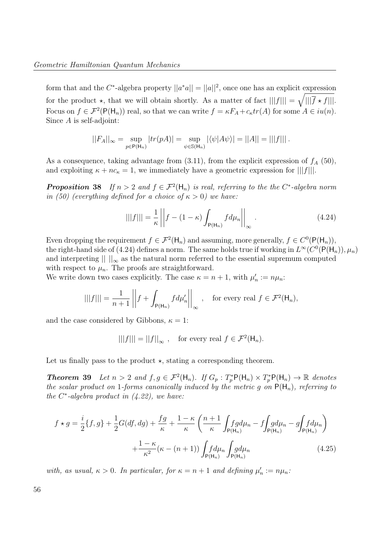form that and the C<sup>\*</sup>-algebra property  $||a^*a|| = ||a||^2$ , once one has an explicit expression for the product  $\star$ , that we will obtain shortly. As a matter of fact  $|||f||| = \sqrt{|||\overline{f} \star f|||}$ . Focus on  $f \in \mathcal{F}^2(\mathsf{P}(\mathsf{H}_n))$  real, so that we can write  $f = \kappa F_A + c_\kappa tr(A)$  for some  $A \in i\mathfrak{u}(n)$ . Since A is self-adjoint:

$$
||F_A||_{\infty} = \sup_{p \in P(H_n)} |tr(pA)| = \sup_{\psi \in S(H_n)} |\langle \psi | A\psi \rangle| = ||A|| = |||f|||.
$$

As a consequence, taking advantage from  $(3.11)$ , from the explicit expression of  $f_A$  (50), and exploiting  $\kappa + nc_{\kappa} = 1$ , we immediately have a geometric expression for  $|||f|||$ .

**Proposition 38** If  $n > 2$  and  $f \in \mathcal{F}^2(\mathsf{H}_n)$  is real, referring to the the C<sup>\*</sup>-algebra norm in (50) (everything defined for a choice of  $\kappa > 0$ ) we have:

$$
|||f||| = \frac{1}{\kappa} \left| \left| f - (1 - \kappa) \int_{\mathsf{P}(\mathsf{H}_n)} f d\mu_n \right| \right|_{\infty} . \tag{4.24}
$$

Even dropping the requirement  $f \in \mathcal{F}^2(\mathsf{H}_n)$  and assuming, more generally,  $f \in C^0(\mathsf{P}(\mathsf{H}_n))$ , the right-hand side of (4.24) defines a norm. The same holds true if working in  $L^{\infty}(C^0(\mathsf{P}(\mathsf{H}_n)), \mu_n)$ and interpreting  $\| \cdot \|_{\infty}$  as the natural norm referred to the essential supremum computed with respect to  $\mu_n$ . The proofs are straightforward.

We write down two cases explicitly. The case  $\kappa = n + 1$ , with  $\mu'_n := n\mu_n$ :

$$
|||f||| = \frac{1}{n+1} ||f + \int_{P(\mathsf{H}_n)} f d\mu'_n ||_{\infty}, \quad \text{for every real } f \in \mathcal{F}^2(\mathsf{H}_n),
$$

and the case considered by Gibbons,  $\kappa = 1$ :

 $|||f||| = ||f||_{\infty}$ , for every real  $f \in \mathcal{F}^2(\mathsf{H}_n)$ .

Let us finally pass to the product  $\star$ , stating a corresponding theorem.

**Theorem 39** Let  $n > 2$  and  $f, g \in \mathcal{F}^2(\mathsf{H}_n)$ . If  $G_p : T_p^* \mathsf{P}(\mathsf{H}_n) \times T_p^* \mathsf{P}(\mathsf{H}_n) \to \mathbb{R}$  denotes the scalar product on 1-forms canonically induced by the metric g on  $P(H_n)$ , referring to the  $C^*$ -algebra product in  $(4.22)$ , we have:

$$
f \star g = \frac{i}{2} \{f, g\} + \frac{1}{2} G(df, dg) + \frac{fg}{\kappa} + \frac{1 - \kappa}{\kappa} \left( \frac{n+1}{\kappa} \int_{\mathsf{P}(\mathsf{H}_n)} f g d\mu_n - f \int_{\mathsf{P}(\mathsf{H}_n)} g d\mu_n - g \int_{\mathsf{P}(\mathsf{H}_n)} f d\mu_n \right) + \frac{1 - \kappa}{\kappa^2} (\kappa - (n+1)) \int_{\mathsf{P}(\mathsf{H}_n)} f g d\mu_n \qquad (4.25)
$$

with, as usual,  $\kappa > 0$ . In particular, for  $\kappa = n + 1$  and defining  $\mu'_n := n\mu_n$ .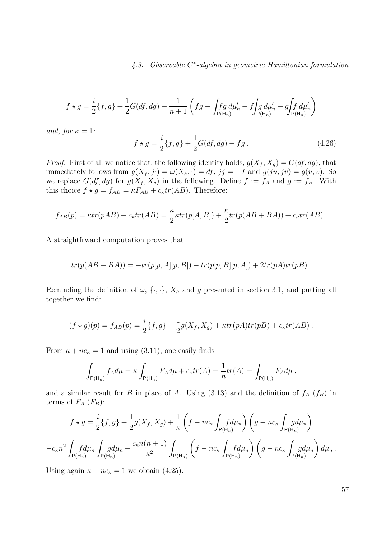$$
f \star g = \frac{i}{2} \{ f, g \} + \frac{1}{2} G(df, dg) + \frac{1}{n+1} \left( fg - \int_{\mathsf{P}(\mathsf{H}_n)} f g d\mu'_n + f \int_{\mathsf{P}(\mathsf{H}_n)} d\mu'_n + g \int_{\mathsf{P}(\mathsf{H}_n)} f d\mu'_n \right)
$$

and, for  $\kappa = 1$ :

$$
f \star g = \frac{i}{2} \{f, g\} + \frac{1}{2} G(df, dg) + fg.
$$
 (4.26)

*Proof.* First of all we notice that, the following identity holds,  $g(X_f, X_g) = G(df, dg)$ , that immediately follows from  $g(X_f, j \cdot) = \omega(X_h, \cdot) = df, jj = -I$  and  $g(ju, jv) = g(u, v)$ . So we replace  $G(df, dg)$  for  $g(X_f, X_g)$  in the following. Define  $f := f_A$  and  $g := f_B$ . With this choice  $f \star g = f_{AB} = \kappa F_{AB} + c_{\kappa} tr(AB)$ . Therefore:

$$
f_{AB}(p) = \kappa tr(pAB) + c_{\kappa} tr(AB) = \frac{\kappa}{2} \kappa tr(p[A, B]) + \frac{\kappa}{2} tr(p(AB + BA)) + c_{\kappa} tr(AB).
$$

A straightfrward computation proves that

$$
tr(p(AB+BA)) = -tr(p[p, A][p, B]) - tr(p[p, B][p, A]) + 2tr(pA)tr(pB).
$$

Reminding the definition of  $\omega$ ,  $\{\cdot,\cdot\}$ ,  $X_h$  and g presented in section 3.1, and putting all together we find:

$$
(f \star g)(p) = f_{AB}(p) = \frac{i}{2} \{f, g\} + \frac{1}{2} g(X_f, X_g) + \kappa tr(pA) tr(pB) + c_{\kappa} tr(AB).
$$

From  $\kappa + nc_{\kappa} = 1$  and using (3.11), one easily finds

$$
\int_{\mathsf{P}(\mathsf{H}_n)} f_A d\mu = \kappa \int_{\mathsf{P}(\mathsf{H}_n)} F_A d\mu + c_{\kappa} tr(A) = \frac{1}{n} tr(A) = \int_{\mathsf{P}(\mathsf{H}_n)} F_A d\mu,
$$

and a similar result for B in place of A. Using  $(3.13)$  and the definition of  $f_A(f_B)$  in terms of  $F_A$  ( $F_B$ ):

$$
f \star g = \frac{i}{2} \{f, g\} + \frac{1}{2} g(X_f, X_g) + \frac{1}{\kappa} \left( f - nc_{\kappa} \int_{\mathsf{P}(\mathsf{H}_n)} f d\mu_n \right) \left( g - nc_{\kappa} \int_{\mathsf{P}(\mathsf{H}_n)} g d\mu_n \right)
$$

$$
-c_{\kappa} n^2 \int_{\mathsf{P}(\mathsf{H}_n)} f d\mu_n \int_{\mathsf{P}(\mathsf{H}_n)} g d\mu_n + \frac{c_{\kappa} n(n+1)}{\kappa^2} \int_{\mathsf{P}(\mathsf{H}_n)} \left( f - nc_{\kappa} \int_{\mathsf{P}(\mathsf{H}_n)} f d\mu_n \right) \left( g - nc_{\kappa} \int_{\mathsf{P}(\mathsf{H}_n)} g d\mu_n \right) d\mu_n.
$$

Using again  $\kappa + nc_{\kappa} = 1$  we obtain (4.25).

57

 $\Box$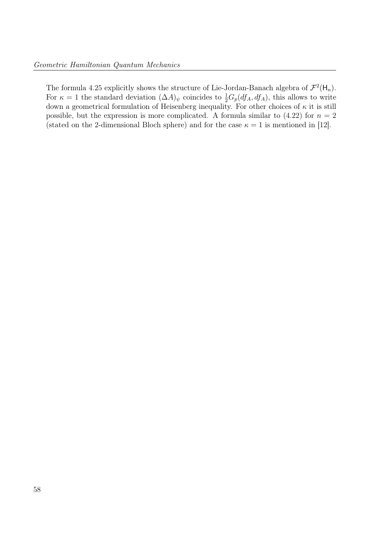The formula 4.25 explicitly shows the structure of Lie-Jordan-Banach algebra of  $\mathcal{F}^2(\mathsf{H}_n)$ . For  $\kappa = 1$  the standard deviation  $(\Delta A)_{\psi}$  coincides to  $\frac{1}{2}G_p(df_A, df_A)$ , this allows to write down a geometrical formulation of Heisenberg inequality. For other choices of  $\kappa$  it is still possible, but the expression is more complicated. A formula similar to  $(4.22)$  for  $n = 2$ (stated on the 2-dimensional Bloch sphere) and for the case  $\kappa = 1$  is mentioned in [12].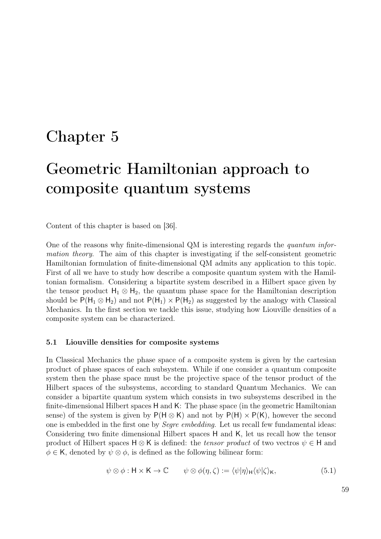### Chapter 5

# Geometric Hamiltonian approach to composite quantum systems

Content of this chapter is based on [36].

One of the reasons why finite-dimensional QM is interesting regards the quantum information theory. The aim of this chapter is investigating if the self-consistent geometric Hamiltonian formulation of finite-dimensional QM admits any application to this topic. First of all we have to study how describe a composite quantum system with the Hamiltonian formalism. Considering a bipartite system described in a Hilbert space given by the tensor product  $H_1 \otimes H_2$ , the quantum phase space for the Hamiltonian description should be  $P(H_1 \otimes H_2)$  and not  $P(H_1) \times P(H_2)$  as suggested by the analogy with Classical Mechanics. In the first section we tackle this issue, studying how Liouville densities of a composite system can be characterized.

#### 5.1 Liouville densities for composite systems

In Classical Mechanics the phase space of a composite system is given by the cartesian product of phase spaces of each subsystem. While if one consider a quantum composite system then the phase space must be the projective space of the tensor product of the Hilbert spaces of the subsystems, according to standard Quantum Mechanics. We can consider a bipartite quantum system which consists in two subsystems described in the finite-dimensional Hilbert spaces H and K: The phase space (in the geometric Hamiltonian sense) of the system is given by  $P(H \otimes K)$  and not by  $P(H) \times P(K)$ , however the second one is embedded in the first one by Segre embedding. Let us recall few fundamental ideas: Considering two finite dimensional Hilbert spaces H and K, let us recall how the tensor product of Hilbert spaces  $H \otimes K$  is defined: the *tensor product* of two vectros  $\psi \in H$  and  $\phi \in \mathsf{K}$ , denoted by  $\psi \otimes \phi$ , is defined as the following bilinear form:

$$
\psi \otimes \phi : \mathsf{H} \times \mathsf{K} \to \mathbb{C} \qquad \psi \otimes \phi(\eta, \zeta) := \langle \psi | \eta \rangle_{\mathsf{H}} \langle \psi | \zeta \rangle_{\mathsf{K}}, \tag{5.1}
$$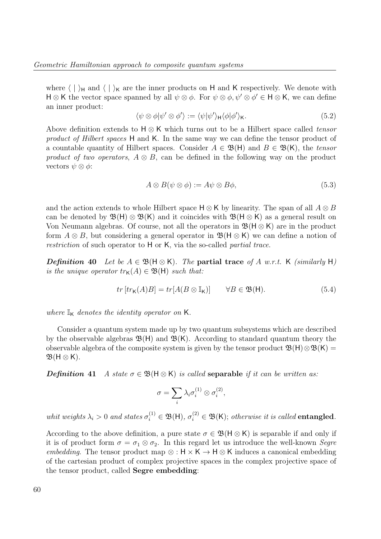where  $\langle | \rangle_H$  and  $\langle | \rangle_K$  are the inner products on H and K respectively. We denote with  $H \otimes K$  the vector space spanned by all  $\psi \otimes \phi$ . For  $\psi \otimes \phi$ ,  $\psi' \otimes \phi' \in H \otimes K$ , we can define an inner product:

$$
\langle \psi \otimes \phi | \psi' \otimes \phi' \rangle := \langle \psi | \psi' \rangle_{\mathsf{H}} \langle \phi | \phi' \rangle_{\mathsf{K}}.
$$
\n(5.2)

Above definition extends to  $H \otimes K$  which turns out to be a Hilbert space called tensor product of Hilbert spaces H and K. In the same way we can define the tensor product of a countable quantity of Hilbert spaces. Consider  $A \in \mathfrak{B}(\mathsf{H})$  and  $B \in \mathfrak{B}(\mathsf{K})$ , the tensor product of two operators,  $A \otimes B$ , can be defined in the following way on the product vectors  $\psi \otimes \phi$ :

$$
A \otimes B(\psi \otimes \phi) := A\psi \otimes B\phi,\tag{5.3}
$$

and the action extends to whole Hilbert space  $H \otimes K$  by linearity. The span of all  $A \otimes B$ can be denoted by  $\mathfrak{B}(\mathsf{H})\otimes\mathfrak{B}(\mathsf{K})$  and it coincides with  $\mathfrak{B}(\mathsf{H}\otimes\mathsf{K})$  as a general result on Von Neumann algebras. Of course, not all the operators in  $\mathfrak{B}(\mathsf{H} \otimes \mathsf{K})$  are in the product form  $A \otimes B$ , but considering a general operator in  $\mathfrak{B}(\mathsf{H} \otimes \mathsf{K})$  we can define a notion of restriction of such operator to H or K, via the so-called partial trace.

**Definition 40** Let be  $A \in \mathfrak{B}(\mathsf{H} \otimes \mathsf{K})$ . The **partial trace** of A w.r.t. K (similarly H) is the unique operator  $tr_{\mathsf{K}}(A) \in \mathfrak{B}(\mathsf{H})$  such that:

$$
tr [tr_{\mathsf{K}}(A)B] = tr [A(B \otimes \mathbb{I}_{\mathsf{K}})] \qquad \forall B \in \mathfrak{B}(\mathsf{H}). \tag{5.4}
$$

where  $\mathbb{I}_{\mathsf{K}}$  denotes the identity operator on **K**.

Consider a quantum system made up by two quantum subsystems which are described by the observable algebras  $\mathfrak{B}(H)$  and  $\mathfrak{B}(K)$ . According to standard quantum theory the observable algebra of the composite system is given by the tensor product  $\mathfrak{B}(\mathsf{H})\otimes\mathfrak{B}(\mathsf{K})=$  $\mathfrak{B}(H \otimes K)$ .

**Definition 41** A state  $\sigma \in \mathfrak{B}(\mathsf{H} \otimes \mathsf{K})$  is called **separable** if it can be written as:

$$
\sigma = \sum_i \lambda_i \sigma_i^{(1)} \otimes \sigma_i^{(2)},
$$

whit weights  $\lambda_i > 0$  and states  $\sigma_i^{(1)} \in \mathfrak{B}(\mathsf{H})$ ,  $\sigma_i^{(2)} \in \mathfrak{B}(\mathsf{K})$ ; otherwise it is called **entangled**.

According to the above definition, a pure state  $\sigma \in \mathfrak{B}(\mathsf{H} \otimes \mathsf{K})$  is separable if and only if it is of product form  $\sigma = \sigma_1 \otimes \sigma_2$ . In this regard let us introduce the well-known *Segre* embedding. The tensor product map  $\otimes : H \times K \to H \otimes K$  induces a canonical embedding of the cartesian product of complex projective spaces in the complex projective space of the tensor product, called Segre embedding: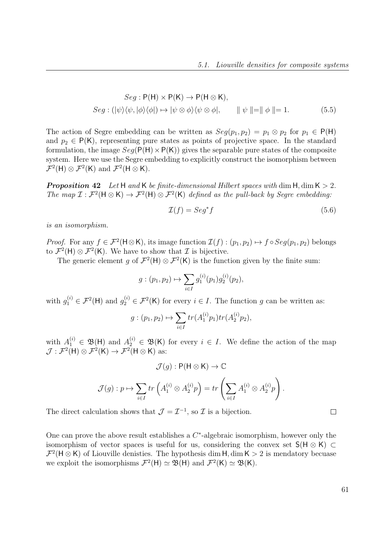$$
Seg: P(H) \times P(K) \to P(H \otimes K),
$$
  
\n
$$
Seg: (\vert \psi \rangle \langle \psi, \vert \phi \rangle \langle \phi \vert) \mapsto \vert \psi \otimes \phi \rangle \langle \psi \otimes \phi \vert, \qquad \Vert \psi \Vert = \Vert \phi \Vert = 1.
$$
 (5.5)

The action of Segre embedding can be written as  $Seg(p_1, p_2) = p_1 \otimes p_2$  for  $p_1 \in P(H)$ and  $p_2 \in P(K)$ , representing pure states as points of projective space. In the standard formulation, the image  $Seq(P(H) \times P(K))$  gives the separable pure states of the composite system. Here we use the Segre embedding to explicitly construct the isomorphism between  $\mathcal{F}^2(\mathsf{H}) \otimes \mathcal{F}^2(\mathsf{K})$  and  $\mathcal{F}^2(\mathsf{H} \otimes \mathsf{K})$ .

**Proposition 42** Let H and K be finite-dimensional Hilbert spaces with dim H, dim  $K > 2$ . The map  $\mathcal{I}: \mathcal{F}^2(\mathsf{H} \otimes \mathsf{K}) \to \mathcal{F}^2(\mathsf{H}) \otimes \mathcal{F}^2(\mathsf{K})$  defined as the pull-back by Segre embedding:

$$
\mathcal{I}(f) = \mathcal{S}eg^*f\tag{5.6}
$$

is an isomorphism.

*Proof.* For any  $f \in \mathcal{F}^2(\mathsf{H}\otimes\mathsf{K})$ , its image function  $\mathcal{I}(f) : (p_1, p_2) \mapsto f \circ Seg(p_1, p_2)$  belongs to  $\mathcal{F}^2(\mathsf{H}) \otimes \mathcal{F}^2(\mathsf{K})$ . We have to show that  $\mathcal I$  is bijective.

The generic element g of  $\mathcal{F}^2(\mathsf{H}) \otimes \mathcal{F}^2(\mathsf{K})$  is the function given by the finite sum:

$$
g:(p_1,p_2)\mapsto \sum_{i\in I}g_1^{(i)}(p_1)g_2^{(i)}(p_2),
$$

with  $g_1^{(i)} \in \mathcal{F}^2(\mathsf{H})$  and  $g_2^{(i)} \in \mathcal{F}^2(\mathsf{K})$  for every  $i \in I$ . The function g can be written as:

$$
g:(p_1,p_2)\mapsto \sum_{i\in I} tr(A_1^{(i)}p_1)tr(A_2^{(i)}p_2),
$$

with  $A_1^{(i)} \in \mathfrak{B}(\mathsf{H})$  and  $A_2^{(i)} \in \mathfrak{B}(\mathsf{K})$  for every  $i \in I$ . We define the action of the map  $\mathcal{J}: \mathcal{F}^2(\mathsf{H}) \otimes \mathcal{F}^2(\mathsf{K}) \to \mathcal{F}^2(\mathsf{H} \otimes \mathsf{K})$  as:

$$
\mathcal{J}(g) : \mathsf{P}(\mathsf{H} \otimes \mathsf{K}) \to \mathbb{C}
$$

$$
\mathcal{J}(g) : p \mapsto \sum_{i \in I} tr\left(A_1^{(i)} \otimes A_2^{(i)} p\right) = tr\left(\sum_{i \in I} A_1^{(i)} \otimes A_2^{(i)} p\right).
$$

The direct calculation shows that  $\mathcal{J} = \mathcal{I}^{-1}$ , so  $\mathcal{I}$  is a bijection.

One can prove the above result establishes a  $C^*$ -algebraic isomorphism, however only the isomorphism of vector spaces is useful for us, considering the convex set  $S(H \otimes K) \subset$  $\mathcal{F}^2(\mathsf{H}\otimes\mathsf{K})$  of Liouville denisties. The hypothesis dim  $\mathsf{H}, \dim \mathsf{K} > 2$  is mendatory becuase we exploit the isomorphisms  $\mathcal{F}^2(\mathsf{H}) \simeq \mathfrak{B}(\mathsf{H})$  and  $\mathcal{F}^2(\mathsf{K}) \simeq \mathfrak{B}(\mathsf{K})$ .

61

 $\Box$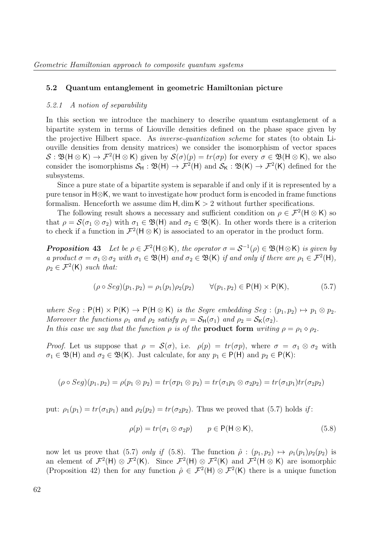#### 5.2 Quantum entanglement in geometric Hamiltonian picture

#### 5.2.1 A notion of separability

In this section we introduce the machinery to describe quantum esntanglement of a bipartite system in terms of Liouville densities defined on the phase space given by the projective Hilbert space. As inverse-quantization scheme for states (to obtain Liouville densities from density matrices) we consider the isomorphism of vector spaces  $S: \mathfrak{B}(\mathsf{H} \otimes \mathsf{K}) \to \mathcal{F}^2(\mathsf{H} \otimes \mathsf{K})$  given by  $\mathcal{S}(\sigma)(p) = tr(\sigma p)$  for every  $\sigma \in \mathfrak{B}(\mathsf{H} \otimes \mathsf{K})$ , we also consider the isomorphisms  $S_H : \mathfrak{B}(\mathsf{H}) \to \mathcal{F}^2(\mathsf{H})$  and  $S_K : \mathfrak{B}(\mathsf{K}) \to \mathcal{F}^2(\mathsf{K})$  defined for the subsystems.

Since a pure state of a bipartite system is separable if and only if it is represented by a pure tensor in H⊗K, we want to investigate how product form is encoded in frame functions formalism. Henceforth we assume dim  $H$ , dim  $K > 2$  without further specifications.

The following result shows a necessary and sufficient condition on  $\rho \in \mathcal{F}^2(\mathsf{H} \otimes \mathsf{K})$  so that  $\rho = \mathcal{S}(\sigma_1 \otimes \sigma_2)$  with  $\sigma_1 \in \mathfrak{B}(\mathsf{H})$  and  $\sigma_2 \in \mathfrak{B}(\mathsf{K})$ . In other words there is a criterion to check if a function in  $\mathcal{F}^2(\mathsf{H}\otimes\mathsf{K})$  is associated to an operator in the product form.

**Proposition 43** Let be  $\rho \in \mathcal{F}^2(\mathsf{H} \otimes \mathsf{K})$ , the operator  $\sigma = \mathcal{S}^{-1}(\rho) \in \mathfrak{B}(\mathsf{H} \otimes \mathsf{K})$  is given by a product  $\sigma = \sigma_1 \otimes \sigma_2$  with  $\sigma_1 \in \mathfrak{B}(\mathsf{H})$  and  $\sigma_2 \in \mathfrak{B}(\mathsf{K})$  if and only if there are  $\rho_1 \in \mathcal{F}^2(\mathsf{H})$ ,  $\rho_2 \in \mathcal{F}^2(\mathsf{K})$  such that:

$$
(\rho \circ Seg)(p_1, p_2) = \rho_1(p_1)\rho_2(p_2) \qquad \forall (p_1, p_2) \in P(H) \times P(K), \tag{5.7}
$$

where  $Seg : P(H) \times P(K) \rightarrow P(H \otimes K)$  is the Segre embedding  $Seg : (p_1, p_2) \mapsto p_1 \otimes p_2$ . Moreover the functions  $\rho_1$  and  $\rho_2$  satisfy  $\rho_1 = S_H(\sigma_1)$  and  $\rho_2 = S_K(\sigma_2)$ . In this case we say that the function  $\rho$  is of the **product form** writing  $\rho = \rho_1 \diamond \rho_2$ .

*Proof.* Let us suppose that  $\rho = \mathcal{S}(\sigma)$ , i.e.  $\rho(p) = tr(\sigma p)$ , where  $\sigma = \sigma_1 \otimes \sigma_2$  with  $\sigma_1 \in \mathfrak{B}(\mathsf{H})$  and  $\sigma_2 \in \mathfrak{B}(\mathsf{K})$ . Just calculate, for any  $p_1 \in \mathsf{P}(\mathsf{H})$  and  $p_2 \in \mathsf{P}(\mathsf{K})$ :

$$
(\rho \circ Seg)(p_1, p_2) = \rho(p_1 \otimes p_2) = tr(\sigma p_1 \otimes p_2) = tr(\sigma_1 p_1 \otimes \sigma_2 p_2) = tr(\sigma_1 p_1) tr(\sigma_2 p_2)
$$

put:  $\rho_1(p_1) = tr(\sigma_1 p_1)$  and  $\rho_2(p_2) = tr(\sigma_2 p_2)$ . Thus we proved that (5.7) holds if:

$$
\rho(p) = tr(\sigma_1 \otimes \sigma_2 p) \qquad p \in \mathsf{P}(\mathsf{H} \otimes \mathsf{K}), \tag{5.8}
$$

now let us prove that (5.7) only if (5.8). The function  $\hat{\rho}$  :  $(p_1, p_2) \mapsto \rho_1(p_1)\rho_2(p_2)$  is an element of  $\mathcal{F}^2(\mathsf{H}) \otimes \mathcal{F}^2(\mathsf{K})$ . Since  $\mathcal{F}^2(\mathsf{H}) \otimes \mathcal{F}^2(\mathsf{K})$  and  $\mathcal{F}^2(\mathsf{H} \otimes \mathsf{K})$  are isomorphic (Proposition 42) then for any function  $\hat{\rho} \in \mathcal{F}^2(\mathsf{H}) \otimes \mathcal{F}^2(\mathsf{K})$  there is a unique function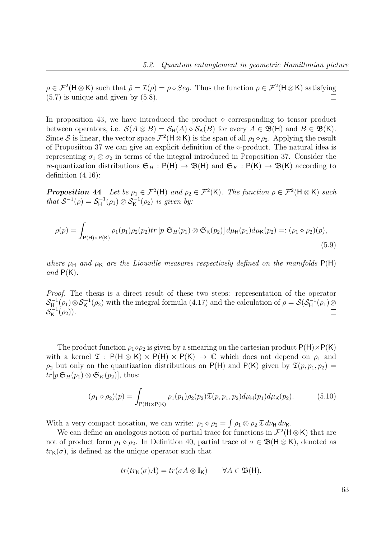$\rho \in \mathcal{F}^2(\mathsf{H} \otimes \mathsf{K})$  such that  $\hat{\rho} = \mathcal{I}(\rho) = \rho \circ Seg$ . Thus the function  $\rho \in \mathcal{F}^2(\mathsf{H} \otimes \mathsf{K})$  satisfying  $(5.7)$  is unique and given by  $(5.8)$ .  $\Box$ 

In proposition 43, we have introduced the product  $\Diamond$  corresponding to tensor product between operators, i.e.  $S(A \otimes B) = S_H(A) \otimes S_K(B)$  for every  $A \in \mathfrak{B}(\mathsf{H})$  and  $B \in \mathfrak{B}(\mathsf{K})$ . Since S is linear, the vector space  $\mathcal{F}^2(\mathsf{H}\otimes\mathsf{K})$  is the span of all  $\rho_1\diamond\rho_2$ . Applying the result of Proposition 37 we can give an explicit definition of the  $\diamond$ -product. The natural idea is representing  $\sigma_1 \otimes \sigma_2$  in terms of the integral introduced in Proposition 37. Consider the re-quantization distributions  $\mathfrak{S}_H : \mathsf{P}(\mathsf{H}) \to \mathfrak{B}(\mathsf{H})$  and  $\mathfrak{S}_K : \mathsf{P}(\mathsf{K}) \to \mathfrak{B}(\mathsf{K})$  according to definition (4.16):

**Proposition 44** Let be  $\rho_1 \in \mathcal{F}^2(\mathsf{H})$  and  $\rho_2 \in \mathcal{F}^2(\mathsf{K})$ . The function  $\rho \in \mathcal{F}^2(\mathsf{H} \otimes \mathsf{K})$  such that  $S^{-1}(\rho) = S_H^{-1}$  $S_{\mathsf{H}}^{-1}(\rho_1) \otimes S_{\mathsf{K}}^{-1}(\rho_2)$  is given by:

$$
\rho(p) = \int_{P(\mathsf{H}) \times P(\mathsf{K})} \rho_1(p_1) \rho_2(p_2) tr \left[ p \mathfrak{S}_H(p_1) \otimes \mathfrak{S}_\mathsf{K}(p_2) \right] d\mu_\mathsf{H}(p_1) d\mu_\mathsf{K}(p_2) =: (\rho_1 \diamond \rho_2)(p),\tag{5.9}
$$

where  $\mu_H$  and  $\mu_K$  are the Liouville measures respectively defined on the manifolds  $P(H)$ and  $P(K)$ .

Proof. The thesis is a direct result of these two steps: representation of the operator  $\mathcal{S}_{\mathsf{H}}^{-1}$  $S_H^{-1}(\rho_1) \otimes S_K^{-1}(\rho_2)$  with the integral formula (4.17) and the calculation of  $\rho = \mathcal{S}(S_H^{-1})$  $\zeta_{\mathsf{H}}^{-1}(\rho_1) \otimes$  $\mathcal{S}_{\mathsf{K}}^{-1}$  $K^{-1}(\rho_2)).$  $\Box$ 

The product function  $\rho_1 \diamond \rho_2$  is given by a smearing on the cartesian product  $P(H) \times P(K)$ with a kernel  $\mathfrak{T}$  :  $P(H \otimes K) \times P(H) \times P(K) \rightarrow \mathbb{C}$  which does not depend on  $\rho_1$  and  $\rho_2$  but only on the quantization distributions on P(H) and P(K) given by  $\mathfrak{T}(p, p_1, p_2)$  =  $tr[p \mathfrak{S}_H(p_1) \otimes \mathfrak{S}_K(p_2)]$ , thus:

$$
(\rho_1 \diamond \rho_2)(p) = \int_{P(H) \times P(K)} \rho_1(p_1) \rho_2(p_2) \mathfrak{T}(p, p_1, p_2) d\mu_H(p_1) d\mu_K(p_2).
$$
 (5.10)

With a very compact notation, we can write:  $\rho_1 \diamond \rho_2 = \int \rho_1 \otimes \rho_2 \mathfrak{T} d\nu_{\mathsf{H}} d\nu_{\mathsf{K}}$ .

We can define an anologous notion of partial trace for functions in  $\mathcal{F}^2(\mathsf{H}\otimes\mathsf{K})$  that are not of product form  $\rho_1 \diamond \rho_2$ . In Definition 40, partial trace of  $\sigma \in \mathfrak{B}(\mathsf{H} \otimes \mathsf{K})$ , denoted as  $tr<sub>K</sub>(\sigma)$ , is defined as the unique operator such that

$$
tr(tr_{\mathsf{K}}(\sigma)A) = tr(\sigma A \otimes \mathbb{I}_{\mathsf{K}}) \qquad \forall A \in \mathfrak{B}(\mathsf{H}).
$$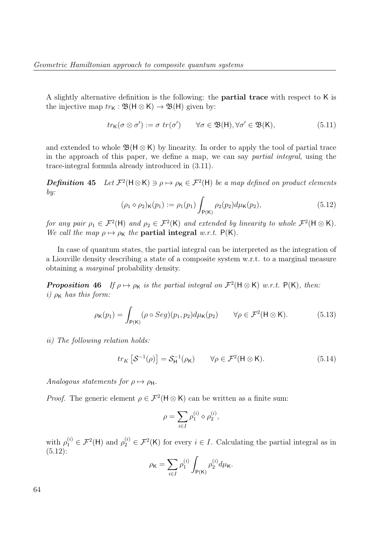A slightly alternative definition is the following: the partial trace with respect to K is the injective map  $tr_{\mathsf{K}} : \mathfrak{B}(\mathsf{H} \otimes \mathsf{K}) \to \mathfrak{B}(\mathsf{H})$  given by:

$$
tr_{\mathsf{K}}(\sigma \otimes \sigma') := \sigma \ tr(\sigma') \qquad \forall \sigma \in \mathfrak{B}(\mathsf{H}), \forall \sigma' \in \mathfrak{B}(\mathsf{K}), \tag{5.11}
$$

and extended to whole  $\mathfrak{B}(H \otimes K)$  by linearity. In order to apply the tool of partial trace in the approach of this paper, we define a map, we can say partial integral, using the trace-integral formula already introduced in (3.11).

**Definition 45** Let  $\mathcal{F}^2(\mathsf{H}\otimes\mathsf{K})\ni\rho\mapsto\rho_{\mathsf{K}}\in\mathcal{F}^2(\mathsf{H})$  be a map defined on product elements by:

$$
(\rho_1 \diamond \rho_2)_{\mathsf{K}}(p_1) := \rho_1(p_1) \int_{\mathsf{P}(\mathsf{K})} \rho_2(p_2) d\mu_{\mathsf{K}}(p_2), \tag{5.12}
$$

for any pair  $\rho_1 \in \mathcal{F}^2(\mathsf{H})$  and  $\rho_2 \in \mathcal{F}^2(\mathsf{K})$  and extended by linearity to whole  $\mathcal{F}^2(\mathsf{H} \otimes \mathsf{K})$ . We call the map  $\rho \mapsto \rho_K$  the **partial integral** w.r.t.  $P(K)$ .

In case of quantum states, the partial integral can be interpreted as the integration of a Liouville density describing a state of a composite system w.r.t. to a marginal measure obtaining a marginal probability density.

**Proposition 46** If  $\rho \mapsto \rho_K$  is the partial integral on  $\mathcal{F}^2(\mathsf{H} \otimes \mathsf{K})$  w.r.t.  $\mathsf{P}(\mathsf{K})$ , then: i)  $\rho_K$  has this form:

$$
\rho_{\mathsf{K}}(p_1) = \int_{\mathsf{P}(\mathsf{K})} (\rho \circ Seg)(p_1, p_2) d\mu_{\mathsf{K}}(p_2) \qquad \forall \rho \in \mathcal{F}^2(\mathsf{H} \otimes \mathsf{K}). \tag{5.13}
$$

ii) The following relation holds:

$$
tr_K\left[\mathcal{S}^{-1}(\rho)\right] = \mathcal{S}_H^{-1}(\rho_K) \qquad \forall \rho \in \mathcal{F}^2(\mathsf{H} \otimes \mathsf{K}).\tag{5.14}
$$

Analogous statements for  $\rho \mapsto \rho_H$ .

*Proof.* The generic element  $\rho \in \mathcal{F}^2(\mathsf{H} \otimes \mathsf{K})$  can be written as a finite sum:

$$
\rho=\sum_{i\in I}\rho_1^{(i)}\diamond\rho_2^{(i)},
$$

with  $\rho_1^{(i)} \in \mathcal{F}^2(\mathsf{H})$  and  $\rho_2^{(i)} \in \mathcal{F}^2(\mathsf{K})$  for every  $i \in I$ . Calculating the partial integral as in  $(5.12):$ 

$$
\rho_{\mathsf{K}} = \sum_{i \in I} \rho_1^{(i)} \int_{\mathsf{P}(\mathsf{K})} \rho_2^{(i)} d\mu_{\mathsf{K}}.
$$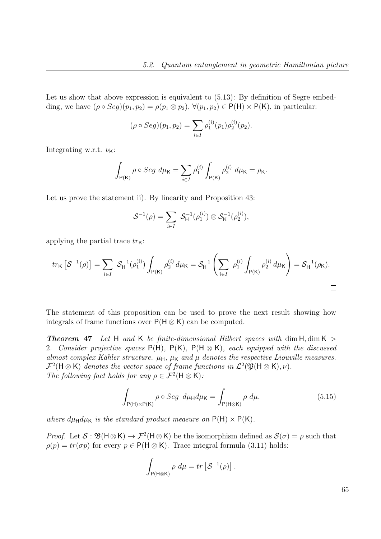Let us show that above expression is equivalent to  $(5.13)$ : By definition of Segre embedding, we have  $(\rho \circ Seg)(p_1, p_2) = \rho(p_1 \otimes p_2)$ ,  $\forall (p_1, p_2) \in P(H) \times P(K)$ , in particular:

$$
(\rho \circ Seg)(p_1, p_2) = \sum_{i \in I} \rho_1^{(i)}(p_1) \rho_2^{(i)}(p_2).
$$

Integrating w.r.t.  $\nu_{\mathsf{K}}$ :

$$
\int_{\mathsf{P}(\mathsf{K})} \rho \circ Seg \ d\mu_{\mathsf{K}} = \sum_{i \in I} \rho_1^{(i)} \int_{\mathsf{P}(\mathsf{K})} \rho_2^{(i)} \ d\mu_{\mathsf{K}} = \rho_{\mathsf{K}}.
$$

Let us prove the statement ii). By linearity and Proposition 43:

$$
S^{-1}(\rho) = \sum_{i \in I} S_{\mathsf{H}}^{-1}(\rho_1^{(i)}) \otimes S_{\mathsf{K}}^{-1}(\rho_2^{(i)}),
$$

applying the partial trace  $tr_{\mathsf{K}}$ :

$$
tr_{\mathsf{K}}\left[\mathcal{S}^{-1}(\rho)\right] = \sum_{i \in I} \ \mathcal{S}_{\mathsf{H}}^{-1}(\rho_1^{(i)}) \int_{\mathsf{P}(\mathsf{K})} \rho_2^{(i)} d\mu_{\mathsf{K}} = \mathcal{S}_{\mathsf{H}}^{-1} \left(\sum_{i \in I} \ \rho_1^{(i)} \int_{\mathsf{P}(\mathsf{K})} \rho_2^{(i)} d\mu_{\mathsf{K}}\right) = \mathcal{S}_{\mathsf{H}}^{-1}(\rho_{\mathsf{K}}).
$$

The statement of this proposition can be used to prove the next result showing how integrals of frame functions over  $P(H \otimes K)$  can be computed.

**Theorem 47** Let H and K be finite-dimensional Hilbert spaces with dim  $H$ , dim  $K >$ 2. Consider projective spaces  $P(H)$ ,  $P(K)$ ,  $P(H \otimes K)$ , each equipped with the discussed almost complex Kähler structure.  $\mu_H$ ,  $\mu_K$  and  $\mu$  denotes the respective Liouville measures.  $\mathcal{F}^2(\mathsf{H}\otimes\mathsf{K})$  denotes the vector space of frame functions in  $\mathcal{L}^2(\mathfrak{P}(\mathsf{H}\otimes\mathsf{K}),\nu)$ . The following fact holds for any  $\rho \in \mathcal{F}^2(\mathsf{H} \otimes \mathsf{K})$ :

$$
\int_{P(H)\times P(K)} \rho \circ Seg \ d\mu_H d\mu_K = \int_{P(H\otimes K)} \rho \ d\mu, \tag{5.15}
$$

where  $d\mu_H d\mu_K$  is the standard product measure on  $P(H) \times P(K)$ .

*Proof.* Let  $S : \mathfrak{B}(\mathsf{H} \otimes \mathsf{K}) \to \mathcal{F}^2(\mathsf{H} \otimes \mathsf{K})$  be the isomorphism defined as  $\mathcal{S}(\sigma) = \rho$  such that  $\rho(p) = tr(\sigma p)$  for every  $p \in P(H \otimes K)$ . Trace integral formula (3.11) holds:

$$
\int_{P(H\otimes K)} \rho \ d\mu = tr \left[ \mathcal{S}^{-1}(\rho) \right].
$$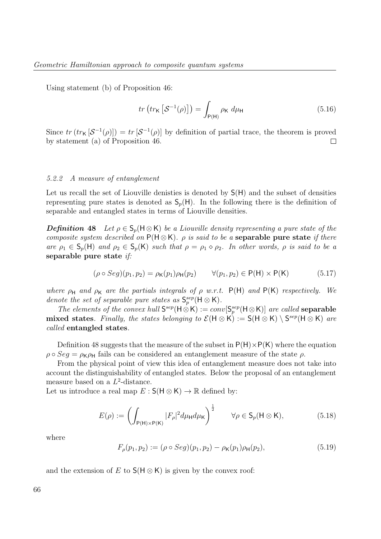Using statement (b) of Proposition 46:

$$
tr\left(tr_{\mathsf{K}}\left[\mathcal{S}^{-1}(\rho)\right]\right) = \int_{\mathsf{P}(\mathsf{H})} \rho_{\mathsf{K}} \, d\mu_{\mathsf{H}} \tag{5.16}
$$

Since  $tr(tr_{\mathsf{K}}[\mathcal{S}^{-1}(\rho)]) = tr[\mathcal{S}^{-1}(\rho)]$  by definition of partial trace, the theorem is proved by statement (a) of Proposition 46.  $\Box$ 

#### 5.2.2 A measure of entanglement

Let us recall the set of Liouville denisties is denoted by S(H) and the subset of densities representing pure states is denoted as  $S_p(H)$ . In the following there is the definition of separable and entangled states in terms of Liouville densities.

**Definition 48** Let  $\rho \in S_n(H \otimes K)$  be a Liouville density representing a pure state of the composite system described on  $P(H \otimes K)$ .  $\rho$  is said to be a **separable pure state** if there are  $\rho_1 \in S_p(H)$  and  $\rho_2 \in S_p(K)$  such that  $\rho = \rho_1 \diamond \rho_2$ . In other words,  $\rho$  is said to be a separable pure state if:

$$
(\rho \circ Seg)(p_1, p_2) = \rho_K(p_1)\rho_H(p_2) \qquad \forall (p_1, p_2) \in P(H) \times P(K) \tag{5.17}
$$

where  $\rho_H$  and  $\rho_K$  are the partials integrals of  $\rho$  w.r.t. P(H) and P(K) respectively. We denote the set of separable pure states as  $\mathsf{S}_p^{sep}(\mathsf{H} \otimes \mathsf{K})$ .

The elements of the convex hull  $S^{sep}(H \otimes K) := conv[S^{sep}_p(H \otimes K)]$  are called **separable** mixed states. Finally, the states belonging to  $\mathcal{E}(\mathsf{H} \otimes \mathsf{K}) := \mathsf{S}(\mathsf{H} \otimes \mathsf{K}) \setminus \mathsf{S}^{sep}(\mathsf{H} \otimes \mathsf{K})$  are called entangled states.

Definition 48 suggests that the measure of the subset in  $P(H) \times P(K)$  where the equation  $\rho \circ Seq = \rho_K \rho_H$  fails can be considered an entanglement measure of the state  $\rho$ .

From the physical point of view this idea of entanglement measure does not take into account the distinguishability of entangled states. Below the proposal of an entanglement measure based on a  $L^2$ -distance.

Let us introduce a real map  $E : S(H \otimes K) \to \mathbb{R}$  defined by:

$$
E(\rho) := \left(\int_{P(\mathsf{H}) \times P(\mathsf{K})} |F_{\rho}|^2 d\mu_{\mathsf{H}} d\mu_{\mathsf{K}}\right)^{\frac{1}{2}} \qquad \forall \rho \in \mathsf{S}_p(\mathsf{H} \otimes \mathsf{K}),\tag{5.18}
$$

where

$$
F_{\rho}(p_1, p_2) := (\rho \circ Seg)(p_1, p_2) - \rho_K(p_1)\rho_H(p_2), \tag{5.19}
$$

and the extension of E to  $S(H \otimes K)$  is given by the convex roof: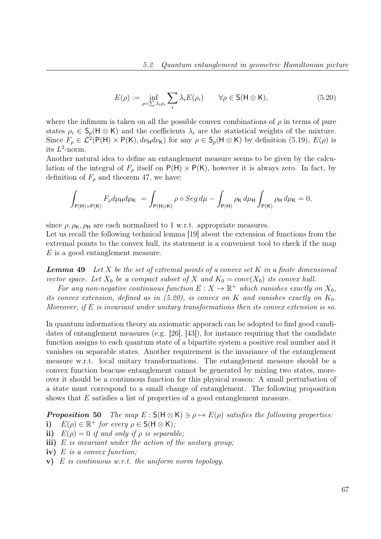$$
E(\rho) := \inf_{\rho = \sum_{i} \lambda_i \rho_i} \sum_i \lambda_i E(\rho_i) \qquad \forall \rho \in \mathsf{S}(\mathsf{H} \otimes \mathsf{K}), \tag{5.20}
$$

where the infimum is taken on all the possible convex combinations of  $\rho$  in terms of pure states  $\rho_i \in \mathsf{S}_p(\mathsf{H} \otimes \mathsf{K})$  and the coefficients  $\lambda_i$  are the statistical weights of the mixture. Since  $F_{\rho} \in \mathcal{L}^2(\mathsf{P}(\mathsf{H}) \times \mathsf{P}(\mathsf{K}), d\nu_{\mathsf{H}} d\nu_{\mathsf{K}})$  for any  $\rho \in \mathsf{S}_p(\mathsf{H} \otimes \mathsf{K})$  by definition (5.19),  $E(\rho)$  is its  $L^2$ -norm.

Another natural idea to define an entanglement measure seems to be given by the calculation of the integral of  $F_{\rho}$  itself on  $P(H) \times P(K)$ , however it is always zero. In fact, by definition of  $F_{\rho}$  and theorem 47, we have:

$$
\int_{P(H)\times P(K)} F_{\rho} d\mu_{H} d\mu_{K} = \int_{P(H\otimes K)} \rho \circ Seg \, d\mu - \int_{P(H)} \rho_{K} \, d\mu_{H} \int_{P(K)} \rho_{H} \, d\mu_{K} = 0,
$$

since  $\rho$ ,  $\rho_{\mathsf{K}}$ ,  $\rho_{\mathsf{H}}$  are each normalized to 1 w.r.t. appropriate measures.

Let us recall the following technical lemma [19] about the extension of functions from the extremal points to the convex hull, its statement is a convenient tool to check if the map E is a good entanglement measure.

**Lemma 49** Let X be the set of extremal points of a convex set K in a finite dimensional vector space. Let  $X_0$  be a compact subset of X and  $K_0 = conv(X_0)$  its convex hull.

For any non-negative continuous function  $E: X \to \mathbb{R}^+$  which vanishes exactly on  $X_0$ , its convex extension, defined as in  $(5.20)$ , is convex on K and vanishes exactly on  $K_0$ . Moreover, if  $E$  is invariant under unitary transformations then its convex extension is so.

In quantum information theory an axiomatic apporach can be adopted to find good candidates of entanglement measures (e.g. [26], [43]), for instance requiring that the candidate function assigns to each quantum state of a bipartite system a positive real number and it vanishes on separable states. Another requirement is the invariance of the entanglement measure w.r.t. local unitary transformations. The entanglement measure should be a convex function beacuse entanglement cannot be generated by mixing two states, moreover it should be a continuous function for this physical reason: A small perturbation of a state must correspond to a small change of entanglement. The following proposition shows that E satisfies a list of properties of a good entanglement measure.

**Proposition 50** The map  $E : S(H \otimes K) \ni \rho \mapsto E(\rho)$  satisfies the following properties: i)  $E(\rho) \in \mathbb{R}^+$  for every  $\rho \in \mathsf{S}(\mathsf{H} \otimes \mathsf{K});$ 

- ii)  $E(\rho) = 0$  if and only if  $\rho$  is separable;
- iii) E is invariant under the action of the unitary group;
- iv) E is a convex function;
- v)  $E$  is continuous w.r.t. the uniform norm topology.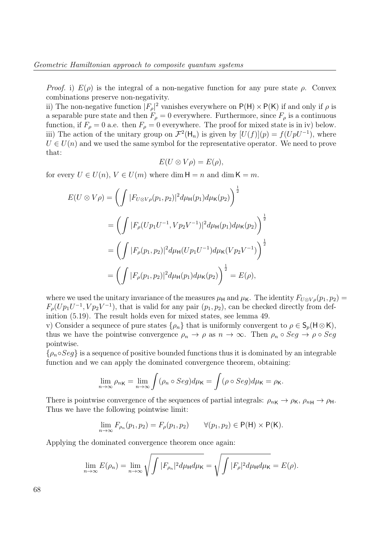*Proof.* i)  $E(\rho)$  is the integral of a non-negative function for any pure state  $\rho$ . Convex combinations preserve non-negativity.

ii) The non-negative function  $|F_{\rho}|^2$  vanishes everywhere on  $P(H) \times P(K)$  if and only if  $\rho$  is a separable pure state and then  $F_{\rho} = 0$  everywhere. Furthermore, since  $F_{\rho}$  is a continuous function, if  $F_{\rho} = 0$  a.e. then  $F_{\rho} = 0$  everywhere. The proof for mixed state is in iv) below. iii) The action of the unitary group on  $\mathcal{F}^2(\mathsf{H}_n)$  is given by  $[U(f)](p) = f(UpU^{-1})$ , where  $U \in U(n)$  and we used the same symbol for the representative operator. We need to prove that:

$$
E(U \otimes V\rho) = E(\rho),
$$

for every  $U \in U(n)$ ,  $V \in U(m)$  where dim  $H = n$  and dim  $K = m$ .

$$
E(U \otimes V\rho) = \left(\int |F_{U \otimes V\rho}(p_1, p_2)|^2 d\mu_{\mathsf{H}}(p_1) d\mu_{\mathsf{K}}(p_2)\right)^{\frac{1}{2}}
$$
  
= 
$$
\left(\int |F_{\rho}(Up_1U^{-1}, Vp_2V^{-1})|^2 d\mu_{\mathsf{H}}(p_1) d\mu_{\mathsf{K}}(p_2)\right)^{\frac{1}{2}}
$$
  
= 
$$
\left(\int |F_{\rho}(p_1, p_2)|^2 d\mu_{\mathsf{H}}(Up_1U^{-1}) d\mu_{\mathsf{K}}(Vp_2V^{-1})\right)^{\frac{1}{2}}
$$
  
= 
$$
\left(\int |F_{\rho}(p_1, p_2)|^2 d\mu_{\mathsf{H}}(p_1) d\mu_{\mathsf{K}}(p_2)\right)^{\frac{1}{2}} = E(\rho),
$$

where we used the unitary invariance of the measures  $\mu_H$  and  $\mu_K$ . The identity  $F_{U\otimes V\rho}(p_1, p_2)$  =  $F_{\rho}(Up_1U^{-1}, Vp_2V^{-1})$ , that is valid for any pair  $(p_1, p_2)$ , can be checked directly from definition (5.19). The result holds even for mixed states, see lemma 49.

v) Consider a sequnece of pure states  $\{\rho_n\}$  that is uniformly convergent to  $\rho \in \mathsf{S}_p(\mathsf{H}\otimes\mathsf{K}),$ thus we have the pointwise convergence  $\rho_n \to \rho$  as  $n \to \infty$ . Then  $\rho_n \circ Seg \to \rho \circ Seg$ pointwise.

 $\{\rho_n \circ Seq\}$  is a sequence of positive bounded functions thus it is dominated by an integrable function and we can apply the dominated convergence theorem, obtaining:

$$
\lim_{n\to\infty}\rho_{n\mathsf{K}}=\lim_{n\to\infty}\int(\rho_n\circ Seg)d\mu_{\mathsf{K}}=\int(\rho\circ Seg)d\mu_{\mathsf{K}}=\rho_{\mathsf{K}}.
$$

There is pointwise convergence of the sequences of partial integrals:  $\rho_{n\mathbf{K}} \to \rho_{\mathbf{K}}$ ,  $\rho_{n\mathbf{H}} \to \rho_{\mathbf{H}}$ . Thus we have the following pointwise limit:

$$
\lim_{n\to\infty} F_{\rho_n}(p_1, p_2) = F_{\rho}(p_1, p_2) \qquad \forall (p_1, p_2) \in \mathsf{P}(\mathsf{H}) \times \mathsf{P}(\mathsf{K}).
$$

Applying the dominated convergence theorem once again:

$$
\lim_{n\to\infty} E(\rho_n) = \lim_{n\to\infty} \sqrt{\int |F_{\rho_n}|^2 d\mu_{\mathsf{H}} d\mu_{\mathsf{K}}} = \sqrt{\int |F_{\rho}|^2 d\mu_{\mathsf{H}} d\mu_{\mathsf{K}}} = E(\rho).
$$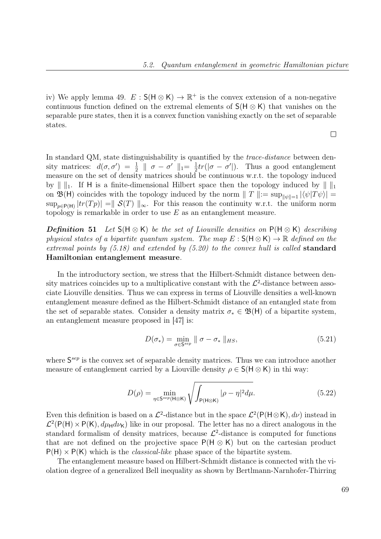iv) We apply lemma 49.  $E : S(H \otimes K) \to \mathbb{R}^+$  is the convex extension of a non-negative continuous function defined on the extremal elements of  $S(H \otimes K)$  that vanishes on the separable pure states, then it is a convex function vanishing exactly on the set of separable states.

 $\Box$ 

In standard QM, state distinguishability is quantified by the *trace-distance* between density matrices:  $d(\sigma, \sigma') = \frac{1}{2} \parallel \sigma - \sigma' \parallel_1 = \frac{1}{2}$  $\frac{1}{2}tr(|\sigma - \sigma'|)$ . Thus a good entanglement measure on the set of density matrices should be continuous w.r.t. the topology induced by  $\| \cdot \|_1$ . If H is a finite-dimensional Hilbert space then the topology induced by  $\| \cdot \|_1$ on  $\mathfrak{B}(\mathsf{H})$  coincides with the topology induced by the norm  $\|T\| := \sup_{\|\psi\|=1} |\langle \psi | T\psi \rangle| =$  $\sup_{p\in P(H)} |tr(Tp)| = ||S(T)||_{\infty}$ . For this reason the continuity w.r.t. the uniform norm topology is remarkable in order to use  $E$  as an entanglement measure.

**Definition 51** Let  $S(H \otimes K)$  be the set of Liouville densities on  $P(H \otimes K)$  describing physical states of a bipartite quantum system. The map  $E : S(H \otimes K) \to \mathbb{R}$  defined on the extremal points by  $(5.18)$  and extended by  $(5.20)$  to the convex hull is called standard Hamiltonian entanglement measure.

In the introductory section, we stress that the Hilbert-Schmidt distance between density matrices coincides up to a multiplicative constant with the  $\mathcal{L}^2$ -distance between associate Liouville densities. Thus we can express in terms of Liouville densities a well-known entanglement measure defined as the Hilbert-Schmidt distance of an entangled state from the set of separable states. Consider a density matrix  $\sigma_* \in \mathfrak{B}(\mathsf{H})$  of a bipartite system, an entanglement measure proposed in [47] is:

$$
D(\sigma_*) = \min_{\sigma \in \mathsf{S}^{sep}} \| \sigma - \sigma_* \|_{HS}, \tag{5.21}
$$

where  $S^{sep}$  is the convex set of separable density matrices. Thus we can introduce another measure of entanglement carried by a Liouville density  $\rho \in S(H \otimes K)$  in thi way:

$$
D(\rho) = \min_{\eta \in \mathsf{S}^{sep}(\mathsf{H} \otimes \mathsf{K})} \sqrt{\int_{\mathsf{P}(\mathsf{H} \otimes \mathsf{K})} |\rho - \eta|^2 d\mu}.
$$
 (5.22)

Even this definition is based on a  $\mathcal{L}^2$ -distance but in the space  $\mathcal{L}^2(\mathsf{P}(\mathsf{H}\otimes\mathsf{K}), d\nu)$  instead in  $\mathcal{L}^2(P(H) \times P(K), d\mu_H d\nu_K)$  like in our proposal. The letter has no a direct analogous in the standard formalism of density matrices, because  $\mathcal{L}^2$ -distance is computed for functions that are not defined on the projective space  $P(H \otimes K)$  but on the cartesian product  $P(H) \times P(K)$  which is the *classical-like* phase space of the bipartite system.

The entanglement measure based on Hilbert-Schmidt distance is connected with the violation degree of a generalized Bell inequality as shown by Bertlmann-Narnhofer-Thirring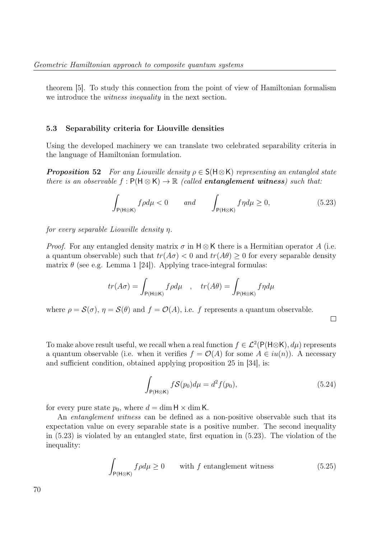theorem [5]. To study this connection from the point of view of Hamiltonian formalism we introduce the *witness inequality* in the next section.

#### 5.3 Separability criteria for Liouville densities

Using the developed machinery we can translate two celebrated separability criteria in the language of Hamiltonian formulation.

**Proposition 52** For any Liouville density  $\rho \in S(H \otimes K)$  representing an entangled state there is an observable  $f: P(H \otimes K) \to \mathbb{R}$  (called entanglement witness) such that:

$$
\int_{P(H \otimes K)} f \rho d\mu < 0 \qquad \text{and} \qquad \int_{P(H \otimes K)} f \eta d\mu \ge 0,\tag{5.23}
$$

for every separable Liouville density η.

*Proof.* For any entangled density matrix  $\sigma$  in H  $\otimes$  K there is a Hermitian operator A (i.e. a quantum observable) such that  $tr(A\sigma) < 0$  and  $tr(A\theta) > 0$  for every separable density matrix  $\theta$  (see e.g. Lemma 1 [24]). Applying trace-integral formulas:

$$
tr(A\sigma) = \int_{P(\mathsf{H}\otimes\mathsf{K})} f\rho d\mu \quad , \quad tr(A\theta) = \int_{P(\mathsf{H}\otimes\mathsf{K})} f\eta d\mu
$$

where  $\rho = \mathcal{S}(\sigma)$ ,  $\eta = \mathcal{S}(\theta)$  and  $f = \mathcal{O}(A)$ , i.e. f represents a quantum observable.

 $\Box$ 

To make above result useful, we recall when a real function  $f \in \mathcal{L}^2(\mathsf{P}(\mathsf{H}\otimes\mathsf{K}), d\mu)$  represents a quantum observable (i.e. when it verifies  $f = \mathcal{O}(A)$  for some  $A \in iu(n)$ ). A necessary and sufficient condition, obtained applying proposition 25 in [34], is:

$$
\int_{P(\mathsf{H}\otimes\mathsf{K})} f\mathcal{S}(p_0) d\mu = d^2 f(p_0),\tag{5.24}
$$

for every pure state  $p_0$ , where  $d = \dim H \times \dim K$ .

An *entanglement witness* can be defined as a non-positive observable such that its expectation value on every separable state is a positive number. The second inequality in (5.23) is violated by an entangled state, first equation in (5.23). The violation of the inequality:

$$
\int_{P(H \otimes K)} f \rho d\mu \ge 0 \qquad \text{with } f \text{ entanglement witness} \tag{5.25}
$$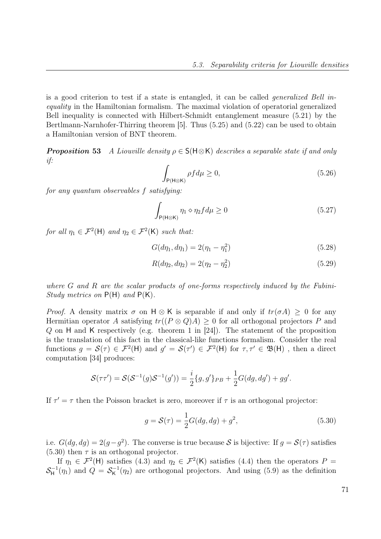is a good criterion to test if a state is entangled, it can be called generalized Bell inequality in the Hamiltonian formalism. The maximal violation of operatorial generalized Bell inequality is connected with Hilbert-Schmidt entanglement measure (5.21) by the Bertlmann-Narnhofer-Thirring theorem [5]. Thus (5.25) and (5.22) can be used to obtain a Hamiltonian version of BNT theorem.

**Proposition 53** A Liouville density  $\rho \in S(H \otimes K)$  describes a separable state if and only if:

$$
\int_{P(H \otimes K)} \rho f d\mu \ge 0,\tag{5.26}
$$

for any quantum observables f satisfying:

$$
\int_{P(H \otimes K)} \eta_1 \diamond \eta_2 f d\mu \ge 0 \tag{5.27}
$$

for all  $\eta_1 \in \mathcal{F}^2(\mathsf{H})$  and  $\eta_2 \in \mathcal{F}^2(\mathsf{K})$  such that:

$$
G(d\eta_1, d\eta_1) = 2(\eta_1 - \eta_1^2) \tag{5.28}
$$

$$
R(d\eta_2, d\eta_2) = 2(\eta_2 - \eta_2^2) \tag{5.29}
$$

where G and R are the scalar products of one-forms respectively induced by the Fubini-Study metrics on  $P(H)$  and  $P(K)$ .

*Proof.* A density matrix  $\sigma$  on H  $\otimes$  K is separable if and only if  $tr(\sigma A) > 0$  for any Hermitian operator A satisfying  $tr((P \otimes Q)A) > 0$  for all orthogonal projectors P and Q on H and K respectively (e.g. theorem 1 in [24]). The statement of the proposition is the translation of this fact in the classical-like functions formalism. Consider the real functions  $g = \mathcal{S}(\tau) \in \mathcal{F}^2(\mathsf{H})$  and  $g' = \mathcal{S}(\tau') \in \mathcal{F}^2(\mathsf{H})$  for  $\tau, \tau' \in \mathfrak{B}(\mathsf{H})$ , then a direct computation [34] produces:

$$
\mathcal{S}(\tau \tau') = \mathcal{S}(\mathcal{S}^{-1}(g)\mathcal{S}^{-1}(g')) = \frac{i}{2} \{g, g'\}_{PB} + \frac{1}{2} G(dg, dg') + gg'.
$$

If  $\tau' = \tau$  then the Poisson bracket is zero, moreover if  $\tau$  is an orthogonal projector:

$$
g = S(\tau) = \frac{1}{2}G(dg, dg) + g^2,
$$
\n(5.30)

i.e.  $G(dg, dg) = 2(g - g^2)$ . The converse is true because S is bijective: If  $g = \mathcal{S}(\tau)$  satisfies  $(5.30)$  then  $\tau$  is an orthogonal projector.

If  $\eta_1 \in \mathcal{F}^2(\mathsf{H})$  satisfies  $(4.3)$  and  $\eta_2 \in \mathcal{F}^2(\mathsf{K})$  satisfies  $(4.4)$  then the operators  $P =$  $\mathcal{S}_{\mathsf{H}}^{-1}$  $G_H^{-1}(\eta_1)$  and  $Q = \mathcal{S}_{\mathsf{K}}^{-1}$  $K^{-1}(\eta_2)$  are orthogonal projectors. And using (5.9) as the definition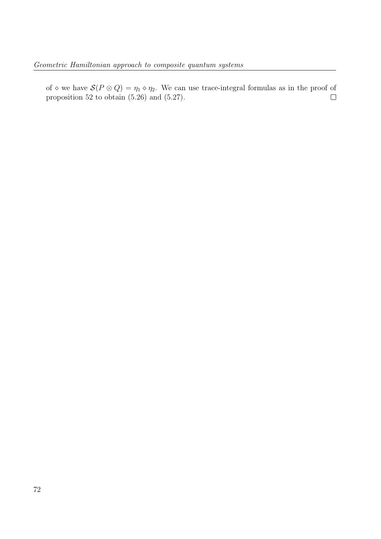of  $\diamond$  we have  $\mathcal{S}(P \otimes Q) = \eta_1 \diamond \eta_2$ . We can use trace-integral formulas as in the proof of proposition 52 to obtain (5.26) and (5.27).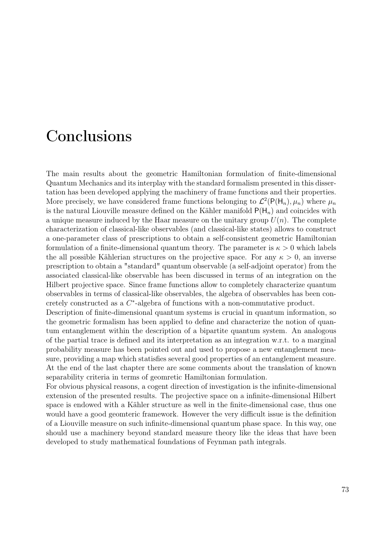### Conclusions

The main results about the geometric Hamiltonian formulation of finite-dimensional Quantum Mechanics and its interplay with the standard formalism presented in this dissertation has been developed applying the machinery of frame functions and their properties. More precisely, we have considered frame functions belonging to  $\mathcal{L}^2(\mathsf{P}(\mathsf{H}_n), \mu_n)$  where  $\mu_n$ is the natural Liouville measure defined on the Kähler manifold  $P(H_n)$  and coincides with a unique measure induced by the Haar measure on the unitary group  $U(n)$ . The complete characterization of classical-like observables (and classical-like states) allows to construct a one-parameter class of prescriptions to obtain a self-consistent geometric Hamiltonian formulation of a finite-dimensional quantum theory. The parameter is  $\kappa > 0$  which labels the all possible Kählerian structures on the projective space. For any  $\kappa > 0$ , an inverse prescription to obtain a "standard" quantum observable (a self-adjoint operator) from the associated classical-like observable has been discussed in terms of an integration on the Hilbert projective space. Since frame functions allow to completely characterize quantum observables in terms of classical-like observables, the algebra of observables has been concretely constructed as a  $C^*$ -algebra of functions with a non-commutative product.

Description of finite-dimensional quantum systems is crucial in quantum information, so the geometric formalism has been applied to define and characterize the notion of quantum entanglement within the description of a bipartite quantum system. An analogous of the partial trace is defined and its interpretation as an integration w.r.t. to a marginal probability measure has been pointed out and used to propose a new entanglement measure, providing a map which statisfies several good properties of an entanglement measure. At the end of the last chapter there are some comments about the translation of known separability criteria in terms of geomretic Hamiltonian formulation.

For obvious physical reasons, a cogent direction of investigation is the infinite-dimensional extension of the presented results. The projective space on a infinite-dimensional Hilbert space is endowed with a Kähler structure as well in the finite-dimensional case, thus one would have a good geomteric framework. However the very difficult issue is the definition of a Liouville measure on such infinite-dimensional quantum phase space. In this way, one should use a machinery beyond standard measure theory like the ideas that have been developed to study mathematical foundations of Feynman path integrals.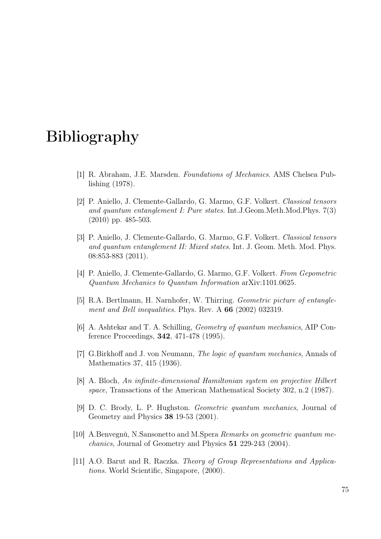## Bibliography

- [1] R. Abraham, J.E. Marsden. Foundations of Mechanics. AMS Chelsea Publishing (1978).
- [2] P. Aniello, J. Clemente-Gallardo, G. Marmo, G.F. Volkert. Classical tensors and quantum entanglement I: Pure states. Int.J.Geom.Meth.Mod.Phys. 7(3) (2010) pp. 485-503.
- [3] P. Aniello, J. Clemente-Gallardo, G. Marmo, G.F. Volkert. Classical tensors and quantum entanglement II: Mixed states. Int. J. Geom. Meth. Mod. Phys. 08:853-883 (2011).
- [4] P. Aniello, J. Clemente-Gallardo, G. Marmo, G.F. Volkert. From Gepometric Quantum Mechanics to Quantum Information arXiv:1101.0625.
- [5] R.A. Bertlmann, H. Narnhofer, W. Thirring. Geometric picture of entanglement and Bell inequalities. Phys. Rev. A 66 (2002) 032319.
- [6] A. Ashtekar and T. A. Schilling, Geometry of quantum mechanics, AIP Conference Proceedings, 342, 471-478 (1995).
- [7] G.Birkhoff and J. von Neumann, The logic of quantum mechanics, Annals of Mathematics 37, 415 (1936).
- [8] A. Bloch, An infinite-dimensional Hamiltonian system on projective Hilbert space, Transactions of the American Mathematical Society 302, n.2 (1987).
- [9] D. C. Brody, L. P. Hughston. Geometric quantum mechanics, Journal of Geometry and Physics 38 19-53 (2001).
- [10] A.Benvegnù, N.Sansonetto and M.Spera Remarks on geometric quantum mechanics, Journal of Geometry and Physics 51 229-243 (2004).
- [11] A.O. Barut and R. Raczka. Theory of Group Representations and Applications. World Scientific, Singapore, (2000).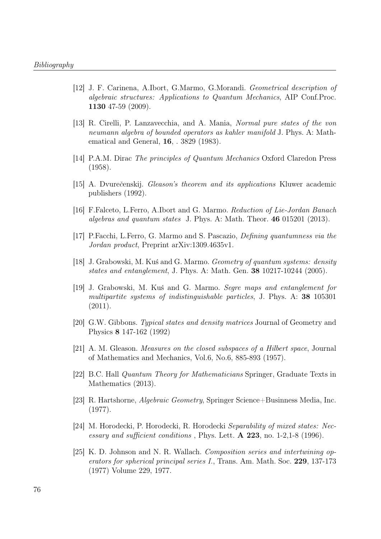- [12] J. F. Carinena, A.Ibort, G.Marmo, G.Morandi. Geometrical description of algebraic structures: Applications to Quantum Mechanics, AIP Conf.Proc. 1130 47-59 (2009).
- [13] R. Cirelli, P. Lanzavecchia, and A. Mania, Normal pure states of the von neumann algebra of bounded operators as kahler manifold J. Phys. A: Mathematical and General, 16, . 3829 (1983).
- [14] P.A.M. Dirac The principles of Quantum Mechanics Oxford Claredon Press (1958).
- [15] A. Dvurečenskij. *Gleason's theorem and its applications* Kluwer academic publishers (1992).
- [16] F.Falceto, L.Ferro, A.Ibort and G. Marmo. Reduction of Lie-Jordan Banach algebras and quantum states J. Phys. A: Math. Theor. 46 015201 (2013).
- [17] P.Facchi, L.Ferro, G. Marmo and S. Pascazio, Defining quantumness via the Jordan product, Preprint arXiv:1309.4635v1.
- [18] J. Grabowski, M. Kuś and G. Marmo. Geometry of quantum systems: density states and entanglement, J. Phys. A: Math. Gen. 38 10217-10244 (2005).
- [19] J. Grabowski, M. Kuś and G. Marmo. Segre maps and entanglement for multipartite systems of indistinguishable particles, J. Phys. A: 38 105301 (2011).
- [20] G.W. Gibbons. Typical states and density matrices Journal of Geometry and Physics 8 147-162 (1992)
- [21] A. M. Gleason. Measures on the closed subspaces of a Hilbert space, Journal of Mathematics and Mechanics, Vol.6, No.6, 885-893 (1957).
- [22] B.C. Hall Quantum Theory for Mathematicians Springer, Graduate Texts in Mathematics (2013).
- [23] R. Hartshorne, Algebraic Geometry, Springer Science+Businness Media, Inc. (1977).
- [24] M. Horodecki, P. Horodecki, R. Horodecki Separability of mixed states: Necessary and sufficient conditions, Phys. Lett. A 223, no. 1-2,1-8 (1996).
- [25] K. D. Johnson and N. R. Wallach. Composition series and intertwining operators for spherical principal series I., Trans. Am. Math. Soc. 229, 137-173 (1977) Volume 229, 1977.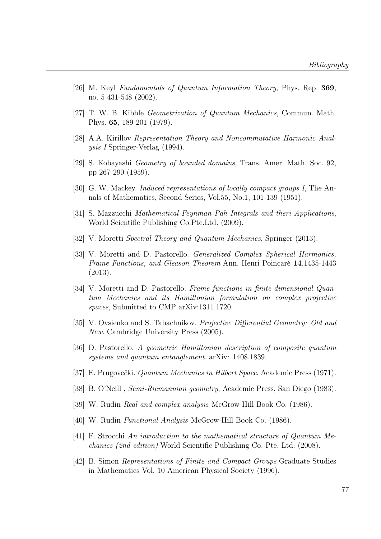- [26] M. Keyl Fundamentals of Quantum Information Theory, Phys. Rep. 369, no. 5 431-548 (2002).
- [27] T. W. B. Kibble Geometrization of Quantum Mechanics, Commun. Math. Phys. 65, 189-201 (1979).
- [28] A.A. Kirillov Representation Theory and Noncommutative Harmonic Analysis I Springer-Verlag (1994).
- [29] S. Kobayashi Geometry of bounded domains, Trans. Amer. Math. Soc. 92, pp 267-290 (1959).
- [30] G. W. Mackey. Induced representations of locally compact groups I, The Annals of Mathematics, Second Series, Vol.55, No.1, 101-139 (1951).
- [31] S. Mazzucchi Mathematical Feynman Pah Integrals and theri Applications, World Scientific Publishing Co.Pte.Ltd. (2009).
- [32] V. Moretti Spectral Theory and Quantum Mechanics, Springer (2013).
- [33] V. Moretti and D. Pastorello. Generalized Complex Spherical Harmonics, Frame Functions, and Gleason Theorem Ann. Henri Poincaré 14,1435-1443 (2013).
- [34] V. Moretti and D. Pastorello. Frame functions in finite-dimensional Quantum Mechanics and its Hamiltonian formulation on complex projective spaces, Submitted to CMP arXiv:1311.1720.
- [35] V. Ovsienko and S. Tabachnikov. Projective Differential Geometry: Old and New. Cambridge University Press (2005).
- [36] D. Pastorello. A geometric Hamiltonian description of composite quantum systems and quantum entanglement. arXiv: 1408.1839.
- [37] E. Prugovečki. *Quantum Mechanics in Hilbert Space*. Academic Press (1971).
- [38] B. O'Neill , Semi-Riemannian geometry, Academic Press, San Diego (1983).
- [39] W. Rudin *Real and complex analysis* McGrow-Hill Book Co. (1986).
- [40] W. Rudin Functional Analysis McGrow-Hill Book Co. (1986).
- [41] F. Strocchi An introduction to the mathematical structure of Quantum Mechanics (2nd edition) World Scientific Publishing Co. Pte. Ltd. (2008).
- [42] B. Simon Representations of Finite and Compact Groups Graduate Studies in Mathematics Vol. 10 American Physical Society (1996).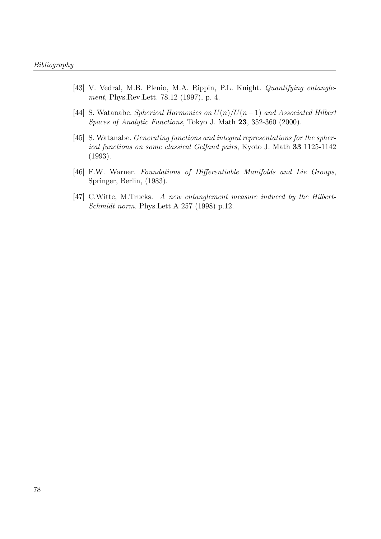- [43] V. Vedral, M.B. Plenio, M.A. Rippin, P.L. Knight. *Quantifying entangle*ment, Phys.Rev.Lett. 78.12 (1997), p. 4.
- [44] S. Watanabe. Spherical Harmonics on  $U(n)/U(n-1)$  and Associated Hilbert Spaces of Analytic Functions, Tokyo J. Math 23, 352-360 (2000).
- [45] S. Watanabe. *Generating functions and integral representations for the spher*ical functions on some classical Gelfand pairs, Kyoto J. Math 33 1125-1142 (1993).
- [46] F.W. Warner. Foundations of Differentiable Manifolds and Lie Groups, Springer, Berlin, (1983).
- [47] C.Witte, M.Trucks. A new entanglement measure induced by the Hilbert-Schmidt norm. Phys.Lett.A 257 (1998) p.12.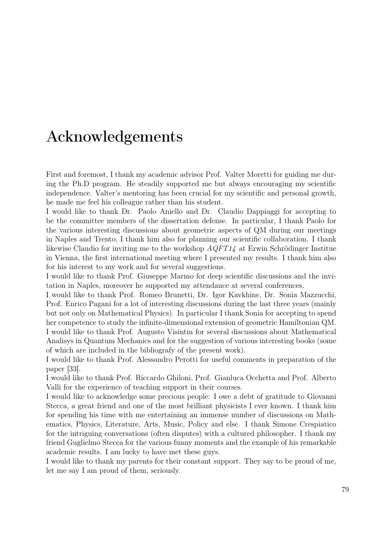### Acknowledgements

First and foremost, I thank my academic advisor Prof. Valter Moretti for guiding me during the Ph.D program. He steadily supported me but always encouraging my scientific independence. Valter's mentoring has been crucial for my scientific and personal growth, he made me feel his colleague rather than his student.

I would like to thank Dr. Paolo Aniello and Dr. Claudio Dappiaggi for accepting to be the committee members of the dissertation defense. In particular, I thank Paolo for the various interesting discussions about geometric aspects of QM during our meetings in Naples and Trento; I thank him also for planning our scientific collaboration. I thank likewise Claudio for inviting me to the workshop AQFT14 at Erwin Schrödinger Institue in Vienna, the first international meeting where I presented my results. I thank him also for his interest to my work and for several suggestions.

I would like to thank Prof. Giuseppe Marmo for deep scientific discussions and the invitation in Naples, moreover he supported my attendance at several conferences.

I would like to thank Prof. Romeo Brunetti, Dr. Igor Kavkhine, Dr. Sonia Mazzucchi, Prof. Enrico Pagani for a lot of interesting discussions during the last three years (mainly but not only on Mathematical Physics). In particular I thank Sonia for accepting to spend her competence to study the infinite-dimensional extension of geometric Hamiltonian QM. I would like to thank Prof. Augusto Visintin for several discussions about Mathematical Analisys in Quantum Mechanics and for the suggestion of various interesting books (some of which are included in the bibliografy of the present work).

I would like to thank Prof. Alessandro Perotti for useful comments in preparation of the paper [33].

I would like to thank Prof. Riccardo Ghiloni, Prof. Gianluca Occhetta and Prof. Alberto Valli for the experience of teaching support in their courses.

I would like to acknowledge some precious people: I owe a debt of gratitude to Giovanni Stecca, a great friend and one of the most brilliant physicists I ever known. I thank him for spending his time with me entertaining an immense number of discussions on Mathematics, Physics, Literature, Arts, Music, Policy and else. I thank Simone Crespiatico for the intriguing conversations (often disputes) with a cultured philosopher. I thank my friend Guglielmo Stecca for the various funny moments and the example of his remarkable academic results. I am lucky to have met these guys.

I would like to thank my parents for their constant support. They say to be proud of me, let me say I am proud of them, seriously.